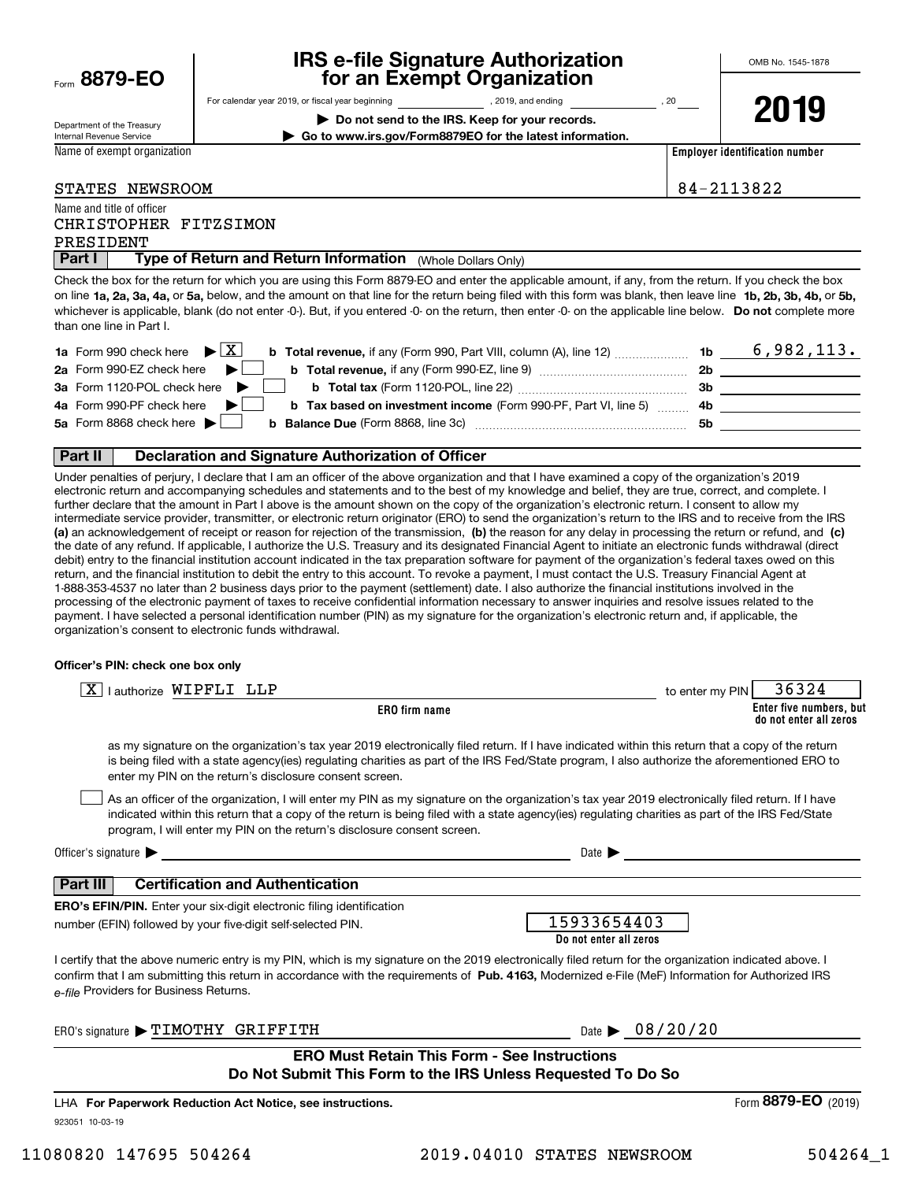| Form 8879-EO |  |
|--------------|--|
|              |  |

# **IRS e-file Signature Authorization for an Exempt Organization**

**| Do not send to the IRS. Keep for your records. | Go to www.irs.gov/Form8879EO for the latest information.**

For calendar year 2019, or fiscal year beginning and the state of the state of 2019, and ending calendary permu

Department of the Treasury Internal Revenue Service

Name of exempt organization

**2019**

**Employer identification number**

| <b>STATES</b> | <b>NEWSROOM</b> |
|---------------|-----------------|
|               |                 |

84-2113822

#### Name and title of officer CHRISTOPHER FITZSIMON

PRESIDENT

**Part I** | Type of Return and Return Information (Whole Dollars Only)

on line **1a, 2a, 3a, 4a,** or **5a,** below, and the amount on that line for the return being filed with this form was blank, then leave line **1b, 2b, 3b, 4b,** or **5b,** whichever is applicable, blank (do not enter -0-). But, if you entered -0- on the return, then enter -0- on the applicable line below. **Do not** complete more Check the box for the return for which you are using this Form 8879-EO and enter the applicable amount, if any, from the return. If you check the box than one line in Part I.

| <b>1a</b> Form 990 check here $\blacktriangleright$ $\boxed{\text{X}}$<br><b>b Total revenue,</b> if any (Form 990, Part VIII, column (A), line 12) | 1b  | 6,982,113. |
|-----------------------------------------------------------------------------------------------------------------------------------------------------|-----|------------|
| 2a Form 990-EZ check here $\blacktriangleright$<br>b Total revenue, if any (Form 990-EZ, line 9)                                                    | 2b  |            |
| 3a Form 1120-POL check here                                                                                                                         | 3b  |            |
| 4a Form 990-PF check here $\blacktriangleright$<br><b>b Tax based on investment income (Form 990-PF, Part VI, line 5)</b>                           | -4b |            |
| 5a Form 8868 check here $\blacktriangleright$<br><b>b</b> Balance Due (Form 8868, line 3c)                                                          | 5b  |            |
|                                                                                                                                                     |     |            |

#### **Part II Declaration and Signature Authorization of Officer**

**(a)** an acknowledgement of receipt or reason for rejection of the transmission, (b) the reason for any delay in processing the return or refund, and (c) Under penalties of perjury, I declare that I am an officer of the above organization and that I have examined a copy of the organization's 2019 electronic return and accompanying schedules and statements and to the best of my knowledge and belief, they are true, correct, and complete. I further declare that the amount in Part I above is the amount shown on the copy of the organization's electronic return. I consent to allow my intermediate service provider, transmitter, or electronic return originator (ERO) to send the organization's return to the IRS and to receive from the IRS the date of any refund. If applicable, I authorize the U.S. Treasury and its designated Financial Agent to initiate an electronic funds withdrawal (direct debit) entry to the financial institution account indicated in the tax preparation software for payment of the organization's federal taxes owed on this return, and the financial institution to debit the entry to this account. To revoke a payment, I must contact the U.S. Treasury Financial Agent at 1-888-353-4537 no later than 2 business days prior to the payment (settlement) date. I also authorize the financial institutions involved in the processing of the electronic payment of taxes to receive confidential information necessary to answer inquiries and resolve issues related to the payment. I have selected a personal identification number (PIN) as my signature for the organization's electronic return and, if applicable, the organization's consent to electronic funds withdrawal.

#### **Officer's PIN: check one box only**

| lauthorize WIPFLI LLP<br>ΧI                                                                                                                                                                                                                                                                                                                                                      | to enter my PIN | 36324                                             |
|----------------------------------------------------------------------------------------------------------------------------------------------------------------------------------------------------------------------------------------------------------------------------------------------------------------------------------------------------------------------------------|-----------------|---------------------------------------------------|
| <b>ERO</b> firm name                                                                                                                                                                                                                                                                                                                                                             |                 | Enter five numbers, but<br>do not enter all zeros |
| as my signature on the organization's tax year 2019 electronically filed return. If I have indicated within this return that a copy of the return<br>is being filed with a state agency(ies) regulating charities as part of the IRS Fed/State program, I also authorize the aforementioned ERO to<br>enter my PIN on the return's disclosure consent screen.                    |                 |                                                   |
| As an officer of the organization, I will enter my PIN as my signature on the organization's tax year 2019 electronically filed return. If I have<br>indicated within this return that a copy of the return is being filed with a state agency(ies) regulating charities as part of the IRS Fed/State<br>program, I will enter my PIN on the return's disclosure consent screen. |                 |                                                   |
| Officer's signature $\blacktriangleright$<br>Date $\blacktriangleright$                                                                                                                                                                                                                                                                                                          |                 |                                                   |
| <b>Part III</b><br><b>Certification and Authentication</b>                                                                                                                                                                                                                                                                                                                       |                 |                                                   |
| <b>ERO's EFIN/PIN.</b> Enter your six-digit electronic filing identification                                                                                                                                                                                                                                                                                                     |                 |                                                   |
| 15933654403<br>number (EFIN) followed by your five-digit self-selected PIN.<br>Do not enter all zeros                                                                                                                                                                                                                                                                            |                 |                                                   |
| I certify that the above numeric entry is my PIN, which is my signature on the 2019 electronically filed return for the organization indicated above. I<br>confirm that I am submitting this return in accordance with the requirements of Pub. 4163, Modernized e-File (MeF) Information for Authorized IRS<br>e-file Providers for Business Returns.                           |                 |                                                   |
| Date $\triangleright$ 08/20/20<br>ERO's signature > TIMOTHY GRIFFITH                                                                                                                                                                                                                                                                                                             |                 |                                                   |
| <b>ERO Must Retain This Form - See Instructions</b>                                                                                                                                                                                                                                                                                                                              |                 |                                                   |
| Do Not Submit This Form to the IRS Unless Requested To Do So                                                                                                                                                                                                                                                                                                                     |                 |                                                   |
| LHA For Paperwork Reduction Act Notice, see instructions.                                                                                                                                                                                                                                                                                                                        |                 | Form 8879-EO (2019)                               |

923051 10-03-19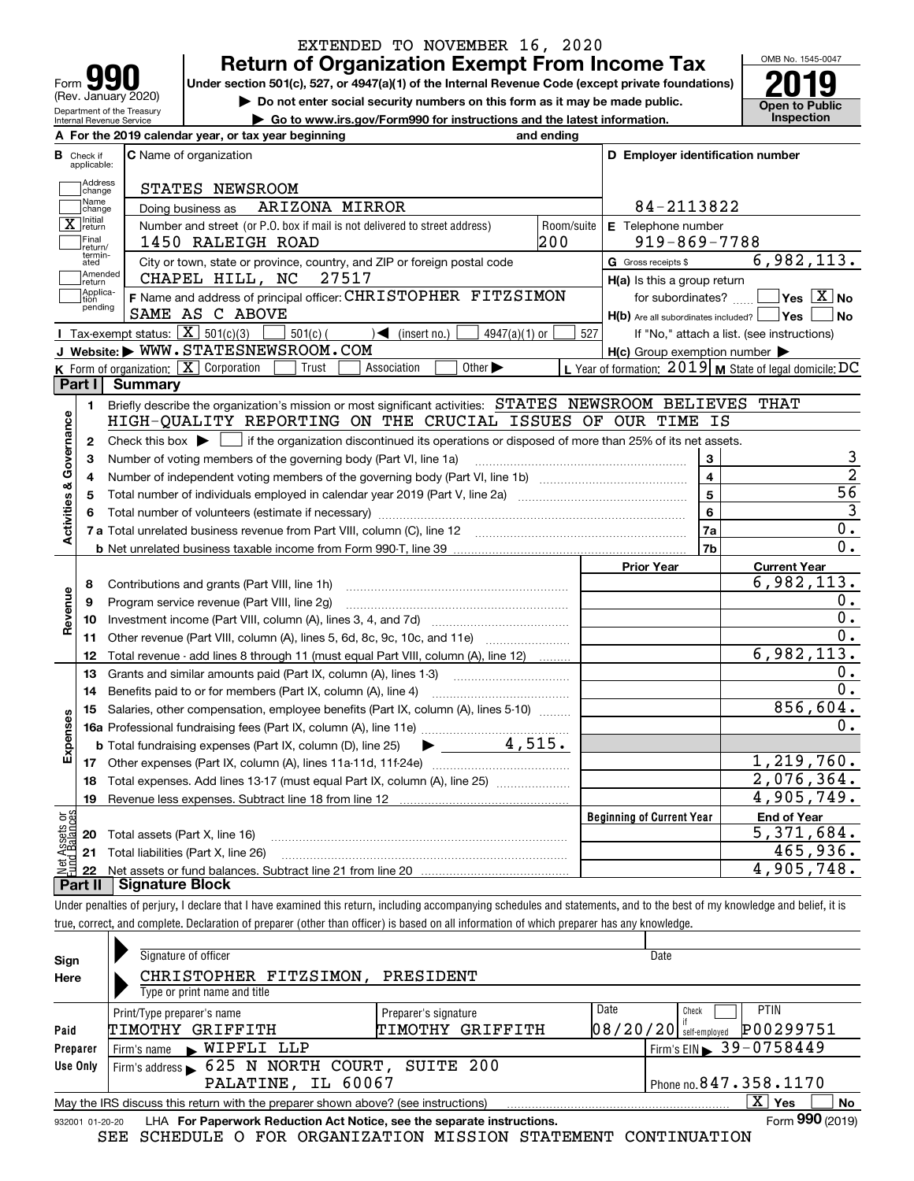| q<br>Form                                              |
|--------------------------------------------------------|
| (Rev. January 2020)                                    |
| Department of the Treasury<br>Internal Revenue Service |

## **Return of Organization Exempt From Income Tax** EXTENDED TO NOVEMBER 16, 2020

Under section 501(c), 527, or 4947(a)(1) of the Internal Revenue Code (except private foundations) **2019** 

**| Do not enter social security numbers on this form as it may be made public.**

**| Go to www.irs.gov/Form990 for instructions and the latest information. Inspection**

OMB No. 1545-0047 **Open to Public** 

|                                  | A For the 2019 calendar year, or tax year beginning<br>and ending                                                                           |                                                         |                |
|----------------------------------|---------------------------------------------------------------------------------------------------------------------------------------------|---------------------------------------------------------|----------------|
| <b>B</b> Check if<br>applicable: | C Name of organization                                                                                                                      | D Employer identification number                        |                |
| Address<br>change                | STATES NEWSROOM                                                                                                                             |                                                         |                |
| Name<br>change                   | ARIZONA MIRROR<br>Doing business as                                                                                                         | 84-2113822                                              |                |
| X return                         | Number and street (or P.O. box if mail is not delivered to street address)<br>Room/suite                                                    | E Telephone number                                      |                |
| Final<br>return/                 | 200<br>1450 RALEIGH ROAD                                                                                                                    | $919 - 869 - 7788$                                      |                |
| termin-<br>ated                  | City or town, state or province, country, and ZIP or foreign postal code                                                                    | 6,982,113.<br>G Gross receipts \$                       |                |
| Amended<br>return                | CHAPEL HILL, NC<br>27517                                                                                                                    | H(a) Is this a group return                             |                |
| Applica-<br>tion                 | F Name and address of principal officer: CHRISTOPHER FITZSIMON                                                                              | for subordinates? $\Box$ Yes $\boxed{X}$ No             |                |
| pending                          | SAME AS C ABOVE                                                                                                                             | $H(b)$ Are all subordinates included? $\Box$ Yes        | No   No        |
|                                  | <b>I</b> Tax-exempt status: $\overline{X}$ 501(c)(3)<br>$501(c)$ (<br>$\sqrt{\frac{1}{1}}$ (insert no.)<br>$4947(a)(1)$ or                  | 527<br>If "No," attach a list. (see instructions)       |                |
|                                  | J Website: WWW.STATESNEWSROOM.COM                                                                                                           | $H(c)$ Group exemption number $\blacktriangleright$     |                |
|                                  | <b>K</b> Form of organization: $\boxed{\mathbf{X}}$ Corporation<br>Other $\blacktriangleright$<br>Trust<br>Association                      | L Year of formation: 2019 M State of legal domicile: DC |                |
|                                  | Part I Summary                                                                                                                              |                                                         |                |
| 1.                               | Briefly describe the organization's mission or most significant activities: STATES NEWSROOM BELIEVES THAT                                   |                                                         |                |
| Activities & Governance          | HIGH-QUALITY REPORTING ON THE CRUCIAL ISSUES OF OUR TIME IS                                                                                 |                                                         |                |
| 2                                | Check this box $\blacktriangleright$ $\Box$ if the organization discontinued its operations or disposed of more than 25% of its net assets. |                                                         |                |
| з                                |                                                                                                                                             | 3                                                       | 3              |
| 4                                |                                                                                                                                             | $\overline{4}$                                          | $\overline{2}$ |
|                                  |                                                                                                                                             | 5                                                       | 56             |
| 5                                |                                                                                                                                             | 6                                                       | $\overline{3}$ |
|                                  |                                                                                                                                             | 7a                                                      | $0$ .          |
|                                  |                                                                                                                                             | 7b                                                      | $0$ .          |
|                                  |                                                                                                                                             |                                                         |                |
|                                  |                                                                                                                                             | <b>Current Year</b><br><b>Prior Year</b><br>6,982,113.  |                |
| 8                                |                                                                                                                                             |                                                         | $0$ .          |
| Revenue<br>9                     | Program service revenue (Part VIII, line 2g)                                                                                                |                                                         | 0.             |
| 10                               |                                                                                                                                             |                                                         | 0.             |
| 11                               | Other revenue (Part VIII, column (A), lines 5, 6d, 8c, 9c, 10c, and 11e)                                                                    | 6,982,113.                                              |                |
| 12                               | Total revenue - add lines 8 through 11 (must equal Part VIII, column (A), line 12)                                                          |                                                         | 0.             |
| 13                               | Grants and similar amounts paid (Part IX, column (A), lines 1-3)                                                                            |                                                         | 0.             |
| 14                               |                                                                                                                                             | 856,604.                                                |                |
| 15                               | Salaries, other compensation, employee benefits (Part IX, column (A), lines 5-10)                                                           |                                                         |                |
|                                  |                                                                                                                                             |                                                         | $0$ .          |
| Expenses                         |                                                                                                                                             |                                                         |                |
|                                  |                                                                                                                                             | 1,219,760.                                              |                |
|                                  | 18 Total expenses. Add lines 13-17 (must equal Part IX, column (A), line 25)                                                                | 2,076,364.                                              |                |
|                                  | 19 Revenue less expenses. Subtract line 18 from line 12                                                                                     | 4,905,749.                                              |                |
| <b>Assets or<br/>Balances</b>    |                                                                                                                                             | <b>Beginning of Current Year</b><br><b>End of Year</b>  |                |
| 20                               | Total assets (Part X, line 16)                                                                                                              | $\overline{5,371},684.$                                 |                |
| 21                               | Total liabilities (Part X, line 26)                                                                                                         | 465,936.<br>4,905,748.                                  |                |
|                                  |                                                                                                                                             |                                                         |                |

true, correct, and complete. Declaration of preparer (other than officer) is based on all information of which preparer has any knowledge.

| Sign<br>Here | Signature of officer<br>CHRISTOPHER FITZSIMON,                                                               | PRESIDENT            | Date                                  |  |  |  |  |
|--------------|--------------------------------------------------------------------------------------------------------------|----------------------|---------------------------------------|--|--|--|--|
|              | Type or print name and title                                                                                 |                      |                                       |  |  |  |  |
|              | Print/Type preparer's name                                                                                   | Preparer's signature | PTIN<br>Date<br>Check                 |  |  |  |  |
| Paid         | TIMOTHY GRIFFITH                                                                                             | GRIFFITH<br>ТІМОТНҮ  | P00299751<br>$08/20/20$ self-employed |  |  |  |  |
| Preparer     | Firm's name WIPFLI LLP                                                                                       |                      | $1$ Firm's EIN 39-0758449             |  |  |  |  |
| Use Only     | Firm's address > 625 N NORTH COURT, SUITE 200                                                                |                      |                                       |  |  |  |  |
|              | Phone no. 847.358.1170<br>PALATINE, IL 60067                                                                 |                      |                                       |  |  |  |  |
|              | May the IRS discuss this return with the preparer shown above? (see instructions)                            |                      | X.<br><b>No</b><br>∣ Yes              |  |  |  |  |
|              | Form 990 (2019)<br>LHA For Paperwork Reduction Act Notice, see the separate instructions.<br>932001 01-20-20 |                      |                                       |  |  |  |  |

SEE SCHEDULE O FOR ORGANIZATION MISSION STATEMENT CONTINUATION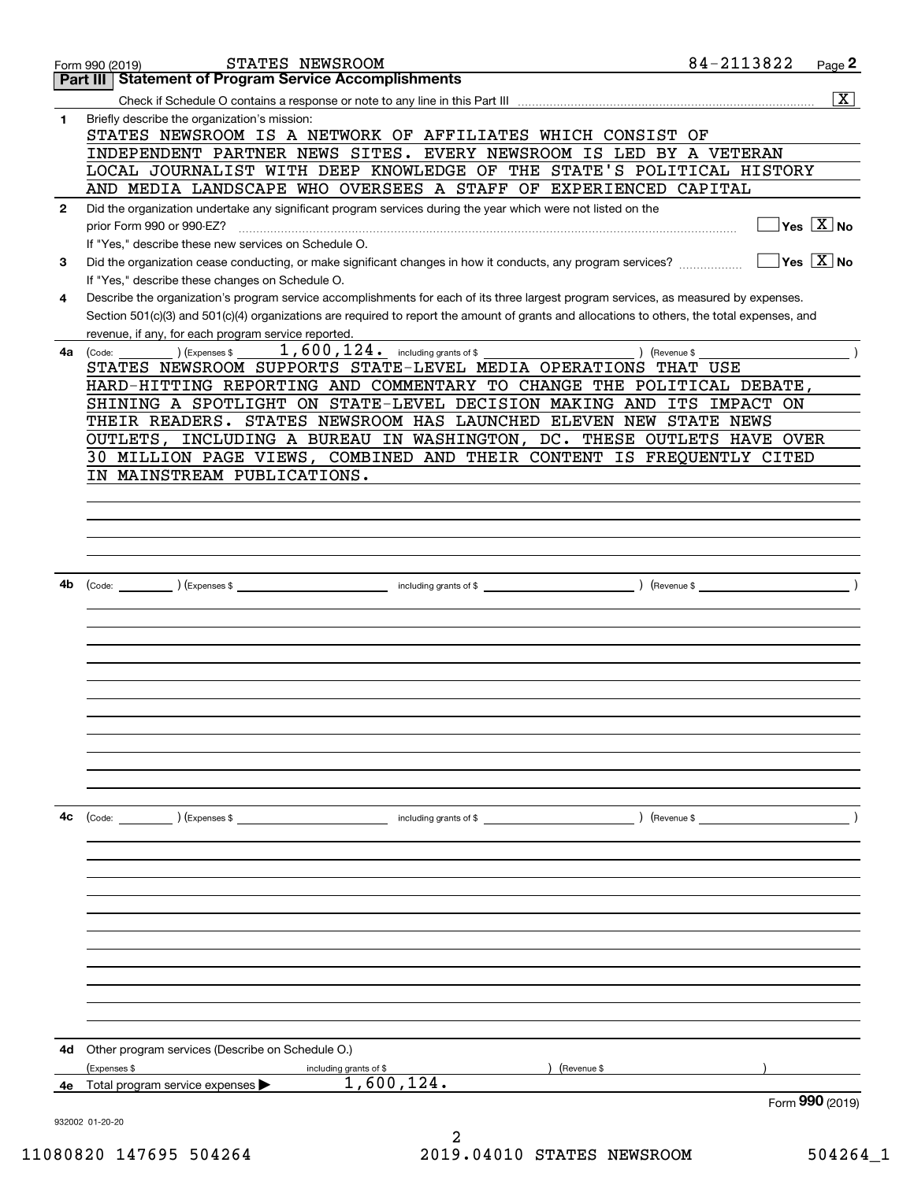|              | STATES NEWSROOM<br>Form 990 (2019)                                                                                                                              | 84-2113822 | Page 2                                     |
|--------------|-----------------------------------------------------------------------------------------------------------------------------------------------------------------|------------|--------------------------------------------|
|              | <b>Statement of Program Service Accomplishments</b><br>Part III                                                                                                 |            |                                            |
| 1            | Briefly describe the organization's mission:                                                                                                                    |            | $\overline{\mathbf{X}}$                    |
|              | STATES NEWSROOM IS A NETWORK OF AFFILIATES WHICH CONSIST OF                                                                                                     |            |                                            |
|              | INDEPENDENT PARTNER NEWS SITES. EVERY NEWSROOM IS LED BY A VETERAN                                                                                              |            |                                            |
|              | LOCAL JOURNALIST WITH DEEP KNOWLEDGE OF THE STATE'S POLITICAL HISTORY                                                                                           |            |                                            |
|              | AND MEDIA LANDSCAPE WHO OVERSEES A STAFF OF EXPERIENCED CAPITAL                                                                                                 |            |                                            |
| $\mathbf{2}$ | Did the organization undertake any significant program services during the year which were not listed on the                                                    |            |                                            |
|              | prior Form 990 or 990-EZ?                                                                                                                                       |            | $\overline{\ }$ Yes $\overline{\rm{X}}$ No |
|              | If "Yes," describe these new services on Schedule O.                                                                                                            |            | $\sqrt{}$ Yes $\sqrt{}$ X $\sqrt{}$ No     |
| 3            | Did the organization cease conducting, or make significant changes in how it conducts, any program services?<br>If "Yes," describe these changes on Schedule O. |            |                                            |
| 4            | Describe the organization's program service accomplishments for each of its three largest program services, as measured by expenses.                            |            |                                            |
|              | Section 501(c)(3) and 501(c)(4) organizations are required to report the amount of grants and allocations to others, the total expenses, and                    |            |                                            |
|              | revenue, if any, for each program service reported.                                                                                                             |            |                                            |
| 4a           | $1,600,124$ . including grants of \$<br>) (Revenue \$<br>) (Expenses \$<br>(Code:                                                                               |            |                                            |
|              | STATES NEWSROOM SUPPORTS STATE-LEVEL MEDIA OPERATIONS THAT USE                                                                                                  |            |                                            |
|              | HARD-HITTING REPORTING AND COMMENTARY TO CHANGE THE POLITICAL DEBATE,<br>SHINING A SPOTLIGHT ON STATE-LEVEL DECISION MAKING AND ITS IMPACT ON                   |            |                                            |
|              | THEIR READERS. STATES NEWSROOM HAS LAUNCHED ELEVEN NEW STATE NEWS                                                                                               |            |                                            |
|              | OUTLETS, INCLUDING A BUREAU IN WASHINGTON, DC. THESE OUTLETS HAVE OVER                                                                                          |            |                                            |
|              | 30 MILLION PAGE VIEWS, COMBINED AND THEIR CONTENT IS FREQUENTLY CITED                                                                                           |            |                                            |
|              | IN MAINSTREAM PUBLICATIONS.                                                                                                                                     |            |                                            |
|              |                                                                                                                                                                 |            |                                            |
|              |                                                                                                                                                                 |            |                                            |
|              |                                                                                                                                                                 |            |                                            |
|              |                                                                                                                                                                 |            |                                            |
| 4b           |                                                                                                                                                                 |            |                                            |
|              |                                                                                                                                                                 |            |                                            |
|              |                                                                                                                                                                 |            |                                            |
|              |                                                                                                                                                                 |            |                                            |
|              |                                                                                                                                                                 |            |                                            |
|              |                                                                                                                                                                 |            |                                            |
|              |                                                                                                                                                                 |            |                                            |
|              |                                                                                                                                                                 |            |                                            |
|              |                                                                                                                                                                 |            |                                            |
|              |                                                                                                                                                                 |            |                                            |
|              |                                                                                                                                                                 |            |                                            |
|              |                                                                                                                                                                 |            |                                            |
| 4c           | (Code: ) (Expenses \$<br>including grants of \$                                                                                                                 |            |                                            |
|              |                                                                                                                                                                 |            |                                            |
|              |                                                                                                                                                                 |            |                                            |
|              |                                                                                                                                                                 |            |                                            |
|              |                                                                                                                                                                 |            |                                            |
|              |                                                                                                                                                                 |            |                                            |
|              |                                                                                                                                                                 |            |                                            |
|              |                                                                                                                                                                 |            |                                            |
|              |                                                                                                                                                                 |            |                                            |
|              |                                                                                                                                                                 |            |                                            |
|              |                                                                                                                                                                 |            |                                            |
| 4d           | Other program services (Describe on Schedule O.)                                                                                                                |            |                                            |
|              | (Expenses \$<br>(Revenue \$<br>including grants of \$                                                                                                           |            |                                            |
| 4e           | 1,600,124.<br>Total program service expenses                                                                                                                    |            |                                            |
|              | 932002 01-20-20                                                                                                                                                 |            | Form 990 (2019)                            |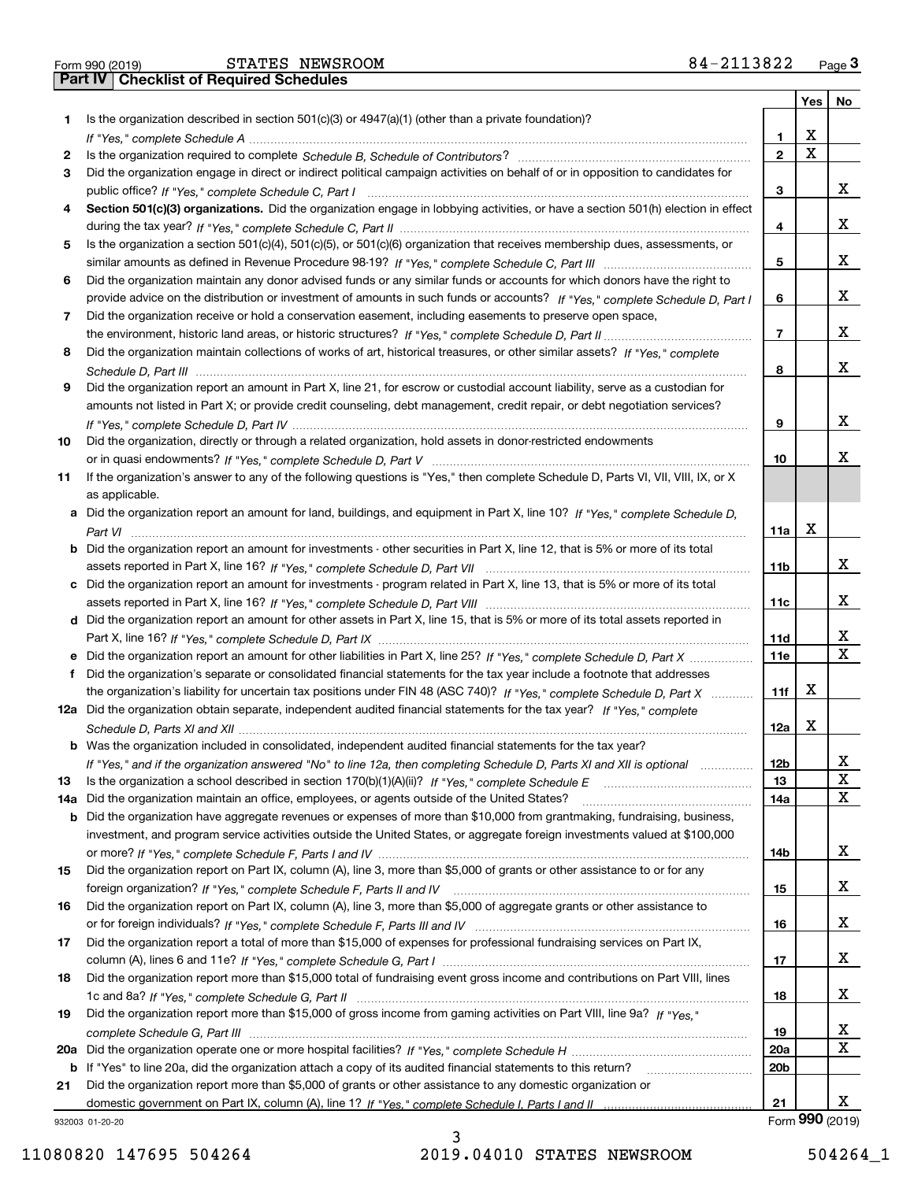|  | Form 990 (2019) |
|--|-----------------|
|  |                 |

|    |                                                                                                                                       |                  |   | Yes   No        |
|----|---------------------------------------------------------------------------------------------------------------------------------------|------------------|---|-----------------|
| 1. | Is the organization described in section $501(c)(3)$ or $4947(a)(1)$ (other than a private foundation)?                               |                  |   |                 |
|    |                                                                                                                                       | 1                | х |                 |
| 2  |                                                                                                                                       | $\mathbf{2}$     | X |                 |
| 3  | Did the organization engage in direct or indirect political campaign activities on behalf of or in opposition to candidates for       |                  |   |                 |
|    |                                                                                                                                       | 3                |   | x               |
| 4  | Section 501(c)(3) organizations. Did the organization engage in lobbying activities, or have a section 501(h) election in effect      |                  |   |                 |
|    |                                                                                                                                       | 4                |   | х               |
| 5  | Is the organization a section 501(c)(4), 501(c)(5), or 501(c)(6) organization that receives membership dues, assessments, or          |                  |   |                 |
|    |                                                                                                                                       | 5                |   | х               |
| 6  | Did the organization maintain any donor advised funds or any similar funds or accounts for which donors have the right to             |                  |   | x               |
|    | provide advice on the distribution or investment of amounts in such funds or accounts? If "Yes," complete Schedule D, Part I          | 6                |   |                 |
| 7  | Did the organization receive or hold a conservation easement, including easements to preserve open space,                             | 7                |   | х               |
|    | Did the organization maintain collections of works of art, historical treasures, or other similar assets? If "Yes," complete          |                  |   |                 |
| 8  |                                                                                                                                       | 8                |   | х               |
| 9  | Did the organization report an amount in Part X, line 21, for escrow or custodial account liability, serve as a custodian for         |                  |   |                 |
|    | amounts not listed in Part X; or provide credit counseling, debt management, credit repair, or debt negotiation services?             |                  |   |                 |
|    |                                                                                                                                       | 9                |   | х               |
| 10 | Did the organization, directly or through a related organization, hold assets in donor-restricted endowments                          |                  |   |                 |
|    |                                                                                                                                       | 10               |   | x               |
| 11 | If the organization's answer to any of the following questions is "Yes," then complete Schedule D, Parts VI, VIII, VIII, IX, or X     |                  |   |                 |
|    | as applicable.                                                                                                                        |                  |   |                 |
|    | a Did the organization report an amount for land, buildings, and equipment in Part X, line 10? If "Yes," complete Schedule D,         |                  |   |                 |
|    |                                                                                                                                       | 11a              | X |                 |
|    | <b>b</b> Did the organization report an amount for investments - other securities in Part X, line 12, that is 5% or more of its total |                  |   |                 |
|    |                                                                                                                                       | 11b              |   | x               |
|    | c Did the organization report an amount for investments - program related in Part X, line 13, that is 5% or more of its total         |                  |   |                 |
|    |                                                                                                                                       | 11c              |   | x               |
|    | d Did the organization report an amount for other assets in Part X, line 15, that is 5% or more of its total assets reported in       |                  |   |                 |
|    |                                                                                                                                       | 11d              |   | х               |
|    |                                                                                                                                       | <b>11e</b>       |   | X               |
| f  | Did the organization's separate or consolidated financial statements for the tax year include a footnote that addresses               |                  |   |                 |
|    | the organization's liability for uncertain tax positions under FIN 48 (ASC 740)? If "Yes," complete Schedule D, Part X                | 11f              | х |                 |
|    | 12a Did the organization obtain separate, independent audited financial statements for the tax year? If "Yes," complete               |                  |   |                 |
|    |                                                                                                                                       | 12a              | х |                 |
|    | <b>b</b> Was the organization included in consolidated, independent audited financial statements for the tax year?                    |                  |   |                 |
|    | If "Yes," and if the organization answered "No" to line 12a, then completing Schedule D, Parts XI and XII is optional                 | 12 <sub>b</sub>  |   | х               |
| 13 |                                                                                                                                       | 13               |   | X               |
|    | 14a Did the organization maintain an office, employees, or agents outside of the United States?                                       | 14a              |   | x               |
|    | <b>b</b> Did the organization have aggregate revenues or expenses of more than \$10,000 from grantmaking, fundraising, business,      |                  |   |                 |
|    | investment, and program service activities outside the United States, or aggregate foreign investments valued at \$100,000            |                  |   |                 |
|    |                                                                                                                                       | 14b              |   | x               |
| 15 | Did the organization report on Part IX, column (A), line 3, more than \$5,000 of grants or other assistance to or for any             |                  |   |                 |
|    |                                                                                                                                       | 15               |   | x               |
| 16 | Did the organization report on Part IX, column (A), line 3, more than \$5,000 of aggregate grants or other assistance to              |                  |   |                 |
|    |                                                                                                                                       | 16               |   | x               |
| 17 | Did the organization report a total of more than \$15,000 of expenses for professional fundraising services on Part IX,               |                  |   |                 |
|    |                                                                                                                                       | 17               |   | x               |
| 18 | Did the organization report more than \$15,000 total of fundraising event gross income and contributions on Part VIII, lines          |                  |   | x               |
|    |                                                                                                                                       | 18               |   |                 |
| 19 | Did the organization report more than \$15,000 of gross income from gaming activities on Part VIII, line 9a? If "Yes."                |                  |   | х               |
|    |                                                                                                                                       | 19<br><b>20a</b> |   | x               |
|    | b If "Yes" to line 20a, did the organization attach a copy of its audited financial statements to this return?                        | 20 <sub>b</sub>  |   |                 |
| 21 | Did the organization report more than \$5,000 of grants or other assistance to any domestic organization or                           |                  |   |                 |
|    |                                                                                                                                       | 21               |   | x               |
|    | 932003 01-20-20                                                                                                                       |                  |   | Form 990 (2019) |

932003 01-20-20

11080820 147695 504264 2019.04010 STATES NEWSROOM 504264\_1

3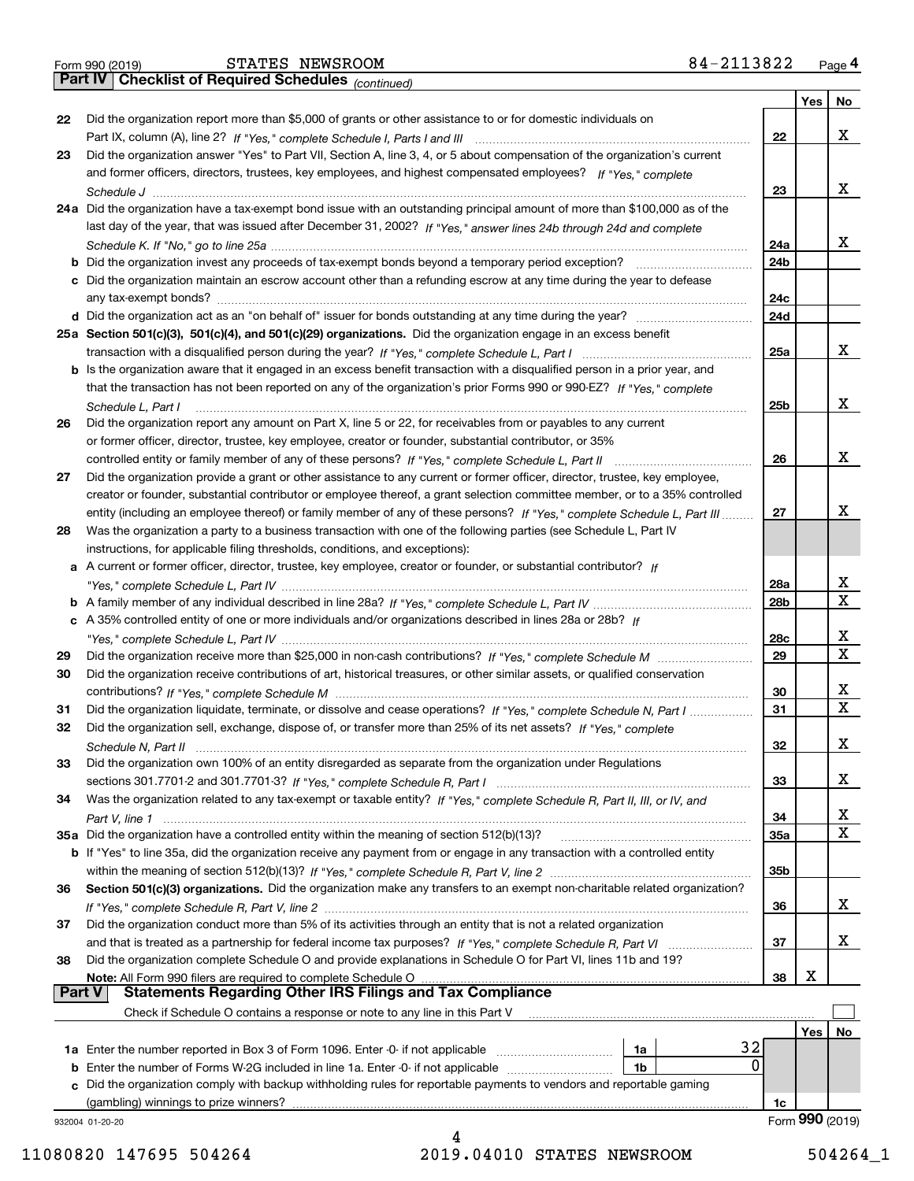| Form 990 (2019) |  |  |
|-----------------|--|--|
|                 |  |  |

*(continued)*

|        |                                                                                                                              |                 | Yes | No                      |
|--------|------------------------------------------------------------------------------------------------------------------------------|-----------------|-----|-------------------------|
| 22     | Did the organization report more than \$5,000 of grants or other assistance to or for domestic individuals on                |                 |     |                         |
|        |                                                                                                                              | 22              |     | x                       |
| 23     | Did the organization answer "Yes" to Part VII, Section A, line 3, 4, or 5 about compensation of the organization's current   |                 |     |                         |
|        | and former officers, directors, trustees, key employees, and highest compensated employees? If "Yes," complete               |                 |     |                         |
|        |                                                                                                                              | 23              |     | x                       |
|        | 24a Did the organization have a tax-exempt bond issue with an outstanding principal amount of more than \$100,000 as of the  |                 |     |                         |
|        | last day of the year, that was issued after December 31, 2002? If "Yes," answer lines 24b through 24d and complete           |                 |     |                         |
|        |                                                                                                                              | 24a             |     | x                       |
|        | <b>b</b> Did the organization invest any proceeds of tax-exempt bonds beyond a temporary period exception?                   | 24 <sub>b</sub> |     |                         |
|        | c Did the organization maintain an escrow account other than a refunding escrow at any time during the year to defease       |                 |     |                         |
|        | any tax-exempt bonds?                                                                                                        | 24c             |     |                         |
|        | d Did the organization act as an "on behalf of" issuer for bonds outstanding at any time during the year?                    | 24d             |     |                         |
|        | 25a Section 501(c)(3), 501(c)(4), and 501(c)(29) organizations. Did the organization engage in an excess benefit             |                 |     |                         |
|        |                                                                                                                              | 25a             |     | x                       |
|        | b Is the organization aware that it engaged in an excess benefit transaction with a disqualified person in a prior year, and |                 |     |                         |
|        | that the transaction has not been reported on any of the organization's prior Forms 990 or 990-EZ? If "Yes," complete        |                 |     |                         |
|        | Schedule L, Part I                                                                                                           | 25b             |     | x                       |
| 26     | Did the organization report any amount on Part X, line 5 or 22, for receivables from or payables to any current              |                 |     |                         |
|        | or former officer, director, trustee, key employee, creator or founder, substantial contributor, or 35%                      |                 |     |                         |
|        | controlled entity or family member of any of these persons? If "Yes," complete Schedule L, Part II                           | 26              |     | х                       |
| 27     | Did the organization provide a grant or other assistance to any current or former officer, director, trustee, key employee,  |                 |     |                         |
|        | creator or founder, substantial contributor or employee thereof, a grant selection committee member, or to a 35% controlled  |                 |     |                         |
|        | entity (including an employee thereof) or family member of any of these persons? If "Yes," complete Schedule L, Part III     | 27              |     | x                       |
| 28     | Was the organization a party to a business transaction with one of the following parties (see Schedule L, Part IV            |                 |     |                         |
|        | instructions, for applicable filing thresholds, conditions, and exceptions):                                                 |                 |     |                         |
|        | a A current or former officer, director, trustee, key employee, creator or founder, or substantial contributor? If           |                 |     |                         |
|        |                                                                                                                              | 28a             |     | х                       |
|        |                                                                                                                              | 28b             |     | $\overline{\mathbf{x}}$ |
|        |                                                                                                                              |                 |     |                         |
|        | c A 35% controlled entity of one or more individuals and/or organizations described in lines 28a or 28b? If                  |                 |     | х                       |
|        |                                                                                                                              | 28c             |     | $\mathbf X$             |
| 29     |                                                                                                                              | 29              |     |                         |
| 30     | Did the organization receive contributions of art, historical treasures, or other similar assets, or qualified conservation  |                 |     |                         |
|        |                                                                                                                              | 30              |     | х<br>$\mathbf X$        |
| 31     | Did the organization liquidate, terminate, or dissolve and cease operations? If "Yes," complete Schedule N, Part I           | 31              |     |                         |
| 32     | Did the organization sell, exchange, dispose of, or transfer more than 25% of its net assets? If "Yes," complete             |                 |     |                         |
|        | Schedule N, Part II                                                                                                          | 32              |     | X                       |
| 33     | Did the organization own 100% of an entity disregarded as separate from the organization under Regulations                   |                 |     |                         |
|        |                                                                                                                              | 33              |     | х                       |
| 34     | Was the organization related to any tax-exempt or taxable entity? If "Yes," complete Schedule R, Part II, III, or IV, and    |                 |     |                         |
|        |                                                                                                                              | 34              |     | x                       |
|        | 35a Did the organization have a controlled entity within the meaning of section 512(b)(13)?                                  | <b>35a</b>      |     | $\mathbf x$             |
|        | b If "Yes" to line 35a, did the organization receive any payment from or engage in any transaction with a controlled entity  |                 |     |                         |
|        |                                                                                                                              | 35b             |     |                         |
| 36     | Section 501(c)(3) organizations. Did the organization make any transfers to an exempt non-charitable related organization?   |                 |     |                         |
|        |                                                                                                                              | 36              |     | x                       |
| 37     | Did the organization conduct more than 5% of its activities through an entity that is not a related organization             |                 |     |                         |
|        | and that is treated as a partnership for federal income tax purposes? If "Yes," complete Schedule R, Part VI                 | 37              |     | x                       |
| 38     | Did the organization complete Schedule O and provide explanations in Schedule O for Part VI, lines 11b and 19?               |                 |     |                         |
|        | Note: All Form 990 filers are required to complete Schedule O                                                                | 38              | X   |                         |
| Part V | <b>Statements Regarding Other IRS Filings and Tax Compliance</b>                                                             |                 |     |                         |
|        | Check if Schedule O contains a response or note to any line in this Part V                                                   |                 |     |                         |
|        |                                                                                                                              |                 | Yes | No                      |
|        | 32<br>1a Enter the number reported in Box 3 of Form 1096. Enter -0- if not applicable<br>1a                                  |                 |     |                         |
|        | 0<br><b>b</b> Enter the number of Forms W-2G included in line 1a. Enter -0- if not applicable <i>manumerances</i><br>1b      |                 |     |                         |
| c      | Did the organization comply with backup withholding rules for reportable payments to vendors and reportable gaming           |                 |     |                         |
|        | (gambling) winnings to prize winners?                                                                                        | 1c              |     |                         |
|        | 932004 01-20-20                                                                                                              |                 |     | Form 990 (2019)         |
|        |                                                                                                                              |                 |     |                         |

11080820 147695 504264 2019.04010 STATES NEWSROOM 504264\_1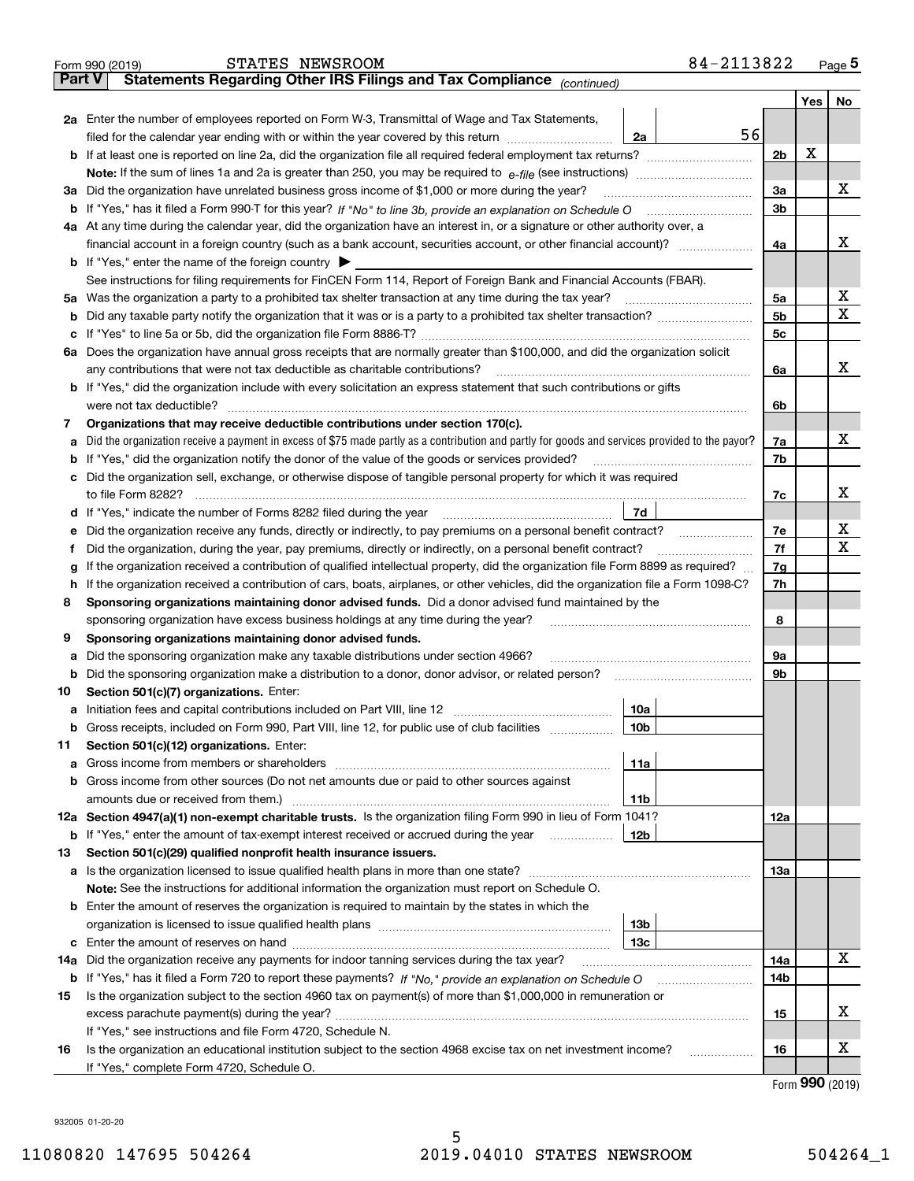|               | 84-2113822<br>STATES NEWSROOM<br>Form 990 (2019)                                                                                                                                                                                     |     |         | <u>Page 5</u> |  |  |  |
|---------------|--------------------------------------------------------------------------------------------------------------------------------------------------------------------------------------------------------------------------------------|-----|---------|---------------|--|--|--|
| <b>Part V</b> | Statements Regarding Other IRS Filings and Tax Compliance (continued)                                                                                                                                                                |     |         |               |  |  |  |
|               |                                                                                                                                                                                                                                      |     | Yes $ $ | No            |  |  |  |
|               | 2a Enter the number of employees reported on Form W-3, Transmittal of Wage and Tax Statements,                                                                                                                                       |     |         |               |  |  |  |
|               | 56<br>filed for the calendar year ending with or within the year covered by this return <i>manumumumum</i><br>2a                                                                                                                     |     |         |               |  |  |  |
|               |                                                                                                                                                                                                                                      |     |         |               |  |  |  |
|               |                                                                                                                                                                                                                                      |     |         |               |  |  |  |
| За            | Did the organization have unrelated business gross income of \$1,000 or more during the year?                                                                                                                                        | 3a  |         | x             |  |  |  |
|               |                                                                                                                                                                                                                                      | 3b  |         |               |  |  |  |
|               | 4a At any time during the calendar year, did the organization have an interest in, or a signature or other authority over, a                                                                                                         |     |         |               |  |  |  |
|               |                                                                                                                                                                                                                                      | 4a  |         | х             |  |  |  |
|               | <b>b</b> If "Yes," enter the name of the foreign country $\blacktriangleright$                                                                                                                                                       |     |         |               |  |  |  |
|               | See instructions for filing requirements for FinCEN Form 114, Report of Foreign Bank and Financial Accounts (FBAR).                                                                                                                  |     |         |               |  |  |  |
|               |                                                                                                                                                                                                                                      | 5a  |         | х             |  |  |  |
| b             |                                                                                                                                                                                                                                      | 5b  |         | Χ             |  |  |  |
| c             |                                                                                                                                                                                                                                      | 5c  |         |               |  |  |  |
|               | 6a Does the organization have annual gross receipts that are normally greater than \$100,000, and did the organization solicit                                                                                                       |     |         |               |  |  |  |
|               | any contributions that were not tax deductible as charitable contributions?                                                                                                                                                          | 6a  |         | х             |  |  |  |
|               | <b>b</b> If "Yes," did the organization include with every solicitation an express statement that such contributions or gifts                                                                                                        |     |         |               |  |  |  |
|               | were not tax deductible?                                                                                                                                                                                                             | 6b  |         |               |  |  |  |
| 7             | Organizations that may receive deductible contributions under section 170(c).                                                                                                                                                        |     |         |               |  |  |  |
| a             | Did the organization receive a payment in excess of \$75 made partly as a contribution and partly for goods and services provided to the payor?                                                                                      | 7a  |         | х             |  |  |  |
|               | <b>b</b> If "Yes," did the organization notify the donor of the value of the goods or services provided?                                                                                                                             | 7b  |         |               |  |  |  |
|               | c Did the organization sell, exchange, or otherwise dispose of tangible personal property for which it was required                                                                                                                  |     |         |               |  |  |  |
|               |                                                                                                                                                                                                                                      | 7с  |         | х             |  |  |  |
|               | 7d<br>d If "Yes," indicate the number of Forms 8282 filed during the year [11] [11] The Section of Holden and The Year [11] In The Year [11] In The Year [11] In The Year [11] In The Year [11] In The Year [11] In The Year [11] In |     |         |               |  |  |  |
| е             | Did the organization receive any funds, directly or indirectly, to pay premiums on a personal benefit contract?                                                                                                                      | 7e  |         | х<br>х        |  |  |  |
| f             | Did the organization, during the year, pay premiums, directly or indirectly, on a personal benefit contract?                                                                                                                         |     |         |               |  |  |  |
| g             | If the organization received a contribution of qualified intellectual property, did the organization file Form 8899 as required?                                                                                                     |     |         |               |  |  |  |
| h.            | If the organization received a contribution of cars, boats, airplanes, or other vehicles, did the organization file a Form 1098-C?                                                                                                   | 7h  |         |               |  |  |  |
| 8             | Sponsoring organizations maintaining donor advised funds. Did a donor advised fund maintained by the                                                                                                                                 |     |         |               |  |  |  |
|               | sponsoring organization have excess business holdings at any time during the year?                                                                                                                                                   | 8   |         |               |  |  |  |
| 9             | Sponsoring organizations maintaining donor advised funds.                                                                                                                                                                            |     |         |               |  |  |  |
| а             | Did the sponsoring organization make any taxable distributions under section 4966?                                                                                                                                                   | 9а  |         |               |  |  |  |
|               | <b>b</b> Did the sponsoring organization make a distribution to a donor, donor advisor, or related person?                                                                                                                           | 9b  |         |               |  |  |  |
| 10            | Section 501(c)(7) organizations. Enter:                                                                                                                                                                                              |     |         |               |  |  |  |
|               | 10a                                                                                                                                                                                                                                  |     |         |               |  |  |  |
|               | 10b <br>Gross receipts, included on Form 990, Part VIII, line 12, for public use of club facilities                                                                                                                                  |     |         |               |  |  |  |
| 11            | Section 501(c)(12) organizations. Enter:                                                                                                                                                                                             |     |         |               |  |  |  |
| a             | Gross income from members or shareholders<br>11a                                                                                                                                                                                     |     |         |               |  |  |  |
|               | b Gross income from other sources (Do not net amounts due or paid to other sources against                                                                                                                                           |     |         |               |  |  |  |
|               | 11b                                                                                                                                                                                                                                  |     |         |               |  |  |  |
|               | 12a Section 4947(a)(1) non-exempt charitable trusts. Is the organization filing Form 990 in lieu of Form 1041?                                                                                                                       | 12a |         |               |  |  |  |
|               | 12b<br><b>b</b> If "Yes," enter the amount of tax-exempt interest received or accrued during the year                                                                                                                                |     |         |               |  |  |  |
| 13            | Section 501(c)(29) qualified nonprofit health insurance issuers.                                                                                                                                                                     |     |         |               |  |  |  |
|               | a Is the organization licensed to issue qualified health plans in more than one state?                                                                                                                                               | 13а |         |               |  |  |  |
|               | Note: See the instructions for additional information the organization must report on Schedule O.                                                                                                                                    |     |         |               |  |  |  |
|               | <b>b</b> Enter the amount of reserves the organization is required to maintain by the states in which the                                                                                                                            |     |         |               |  |  |  |
|               | 13 <sub>b</sub>                                                                                                                                                                                                                      |     |         |               |  |  |  |
|               | 13с                                                                                                                                                                                                                                  |     |         |               |  |  |  |
| 14a           | Did the organization receive any payments for indoor tanning services during the tax year?                                                                                                                                           | 14a |         | x             |  |  |  |
|               | <b>b</b> If "Yes," has it filed a Form 720 to report these payments? If "No," provide an explanation on Schedule O                                                                                                                   | 14b |         |               |  |  |  |
| 15            | Is the organization subject to the section 4960 tax on payment(s) of more than \$1,000,000 in remuneration or                                                                                                                        |     |         |               |  |  |  |
|               |                                                                                                                                                                                                                                      | 15  |         | X.            |  |  |  |
|               | If "Yes," see instructions and file Form 4720, Schedule N.                                                                                                                                                                           |     |         |               |  |  |  |
| 16            | Is the organization an educational institution subject to the section 4968 excise tax on net investment income?                                                                                                                      | 16  |         | х             |  |  |  |
|               | If "Yes," complete Form 4720, Schedule O.                                                                                                                                                                                            |     |         |               |  |  |  |

932005 01-20-20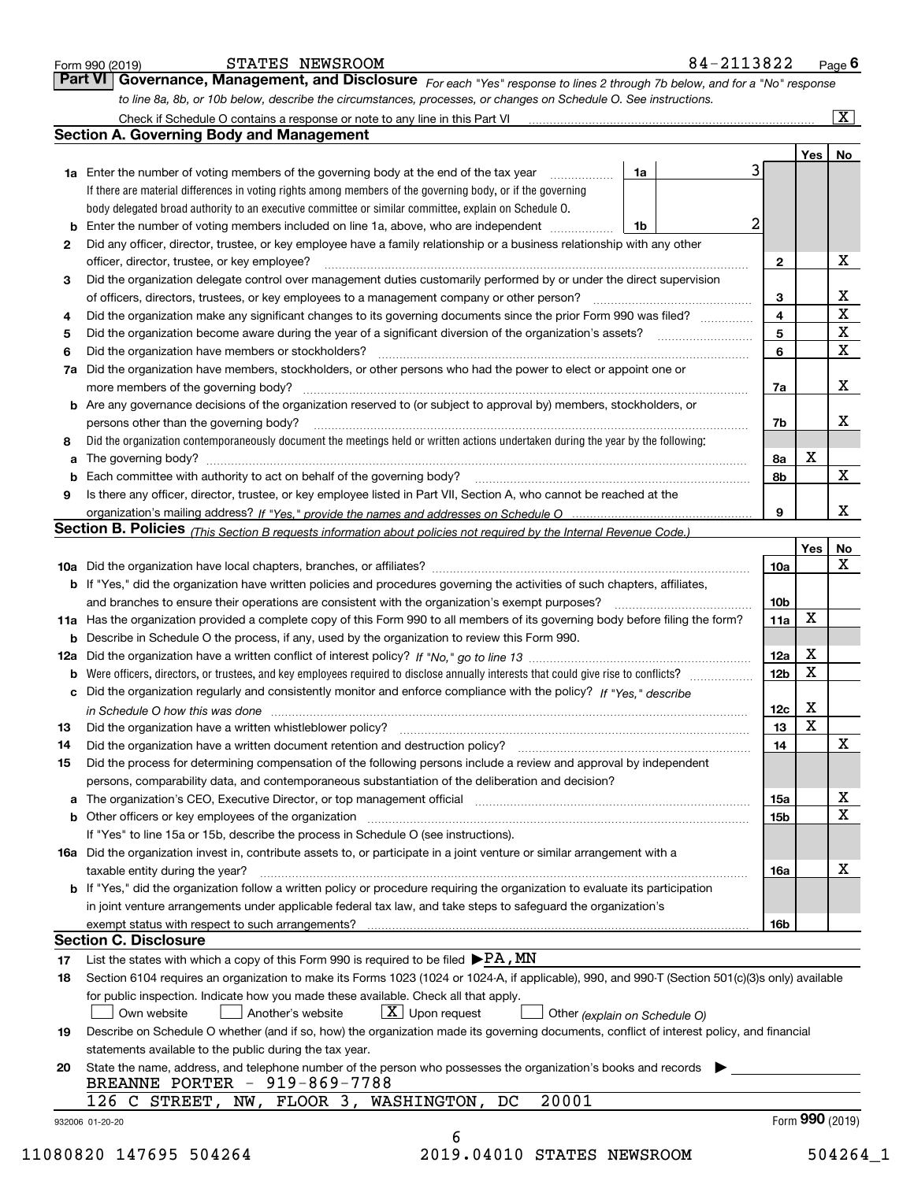|    |                                                                                                                                                                                                                 |                 |             | $\overline{\mathbf{x}}$ |
|----|-----------------------------------------------------------------------------------------------------------------------------------------------------------------------------------------------------------------|-----------------|-------------|-------------------------|
|    | <b>Section A. Governing Body and Management</b>                                                                                                                                                                 |                 |             |                         |
|    |                                                                                                                                                                                                                 | 3               | Yes   No    |                         |
|    | <b>1a</b> Enter the number of voting members of the governing body at the end of the tax year<br>1a                                                                                                             |                 |             |                         |
|    | If there are material differences in voting rights among members of the governing body, or if the governing                                                                                                     |                 |             |                         |
|    | body delegated broad authority to an executive committee or similar committee, explain on Schedule O.                                                                                                           | 2               |             |                         |
|    | Enter the number of voting members included on line 1a, above, who are independent<br>1b                                                                                                                        |                 |             |                         |
| 2  | Did any officer, director, trustee, or key employee have a family relationship or a business relationship with any other                                                                                        |                 |             | х                       |
|    | officer, director, trustee, or key employee?                                                                                                                                                                    | $\mathbf{2}$    |             |                         |
| 3  | Did the organization delegate control over management duties customarily performed by or under the direct supervision                                                                                           |                 |             |                         |
|    | of officers, directors, trustees, or key employees to a management company or other person?<br>Did the organization make any significant changes to its governing documents since the prior Form 990 was filed? | 3<br>4          |             | $rac{X}{X}$             |
| 4  |                                                                                                                                                                                                                 | 5               |             | $\overline{\mathbf{x}}$ |
| 5  | Did the organization have members or stockholders?                                                                                                                                                              | 6               |             | $\overline{\mathbf{x}}$ |
| 6  | Did the organization have members, stockholders, or other persons who had the power to elect or appoint one or                                                                                                  |                 |             |                         |
| 7a |                                                                                                                                                                                                                 |                 |             | X                       |
|    |                                                                                                                                                                                                                 | 7a              |             |                         |
|    | <b>b</b> Are any governance decisions of the organization reserved to (or subject to approval by) members, stockholders, or                                                                                     |                 |             | х                       |
|    | persons other than the governing body?<br>Did the organization contemporaneously document the meetings held or written actions undertaken during the year by the following:                                     | 7b              |             |                         |
| 8  |                                                                                                                                                                                                                 |                 | х           |                         |
| а  |                                                                                                                                                                                                                 | 8а              |             | X                       |
| b  |                                                                                                                                                                                                                 | 8b              |             |                         |
| 9  | Is there any officer, director, trustee, or key employee listed in Part VII, Section A, who cannot be reached at the                                                                                            | 9               |             | X                       |
|    |                                                                                                                                                                                                                 |                 |             |                         |
|    | Section B. Policies (This Section B requests information about policies not required by the Internal Revenue Code.)                                                                                             |                 |             |                         |
|    |                                                                                                                                                                                                                 |                 | Yes         | No<br>X                 |
|    |                                                                                                                                                                                                                 | 10a             |             |                         |
|    | <b>b</b> If "Yes," did the organization have written policies and procedures governing the activities of such chapters, affiliates,                                                                             | 10 <sub>b</sub> |             |                         |
|    |                                                                                                                                                                                                                 | 11a             | x           |                         |
|    | 11a Has the organization provided a complete copy of this Form 990 to all members of its governing body before filing the form?                                                                                 |                 |             |                         |
|    | <b>b</b> Describe in Schedule O the process, if any, used by the organization to review this Form 990.                                                                                                          | 12a             | x           |                         |
|    |                                                                                                                                                                                                                 | 12 <sub>b</sub> | X           |                         |
| b  | c Did the organization regularly and consistently monitor and enforce compliance with the policy? If "Yes," describe                                                                                            |                 |             |                         |
|    |                                                                                                                                                                                                                 | 12c             | X           |                         |
| 13 | in Schedule O how this was done measured and contain an according to the state of the state of the state of th                                                                                                  | 13              | $\mathbf X$ |                         |
|    | Did the organization have a written document retention and destruction policy? [11] manufaction policy?                                                                                                         | 14              |             | $\mathbf X$             |
| 14 |                                                                                                                                                                                                                 |                 |             |                         |
| 15 | Did the process for determining compensation of the following persons include a review and approval by independent                                                                                              |                 |             |                         |
|    | persons, comparability data, and contemporaneous substantiation of the deliberation and decision?                                                                                                               |                 |             | х                       |
|    | a The organization's CEO, Executive Director, or top management official [111] [11] manument material manument                                                                                                  | 15a             |             | X                       |
|    |                                                                                                                                                                                                                 | 15b             |             |                         |
|    | If "Yes" to line 15a or 15b, describe the process in Schedule O (see instructions).                                                                                                                             |                 |             |                         |
|    | 16a Did the organization invest in, contribute assets to, or participate in a joint venture or similar arrangement with a                                                                                       |                 |             | х                       |
|    | taxable entity during the year?                                                                                                                                                                                 | 16a             |             |                         |
|    | b If "Yes," did the organization follow a written policy or procedure requiring the organization to evaluate its participation                                                                                  |                 |             |                         |
|    | in joint venture arrangements under applicable federal tax law, and take steps to safeguard the organization's                                                                                                  |                 |             |                         |
|    | <b>Section C. Disclosure</b>                                                                                                                                                                                    | 16b             |             |                         |
|    |                                                                                                                                                                                                                 |                 |             |                         |
| 17 | List the states with which a copy of this Form 990 is required to be filed $\blacktriangleright$ PA, MN                                                                                                         |                 |             |                         |
| 18 | Section 6104 requires an organization to make its Forms 1023 (1024 or 1024-A, if applicable), 990, and 990-T (Section 501(c)(3)s only) available                                                                |                 |             |                         |
|    | for public inspection. Indicate how you made these available. Check all that apply.                                                                                                                             |                 |             |                         |
|    | $\lfloor X \rfloor$ Upon request<br>Another's website<br>Own website<br>Other (explain on Schedule O)                                                                                                           |                 |             |                         |
|    | Describe on Schedule O whether (and if so, how) the organization made its governing documents, conflict of interest policy, and financial<br>statements available to the public during the tax year.            |                 |             |                         |
| 19 |                                                                                                                                                                                                                 |                 |             |                         |
|    |                                                                                                                                                                                                                 |                 |             |                         |
| 20 | State the name, address, and telephone number of the person who possesses the organization's books and records                                                                                                  |                 |             |                         |
|    | BREANNE PORTER - 919-869-7788<br>126 C STREET, NW, FLOOR 3, WASHINGTON, DC<br>20001                                                                                                                             |                 |             |                         |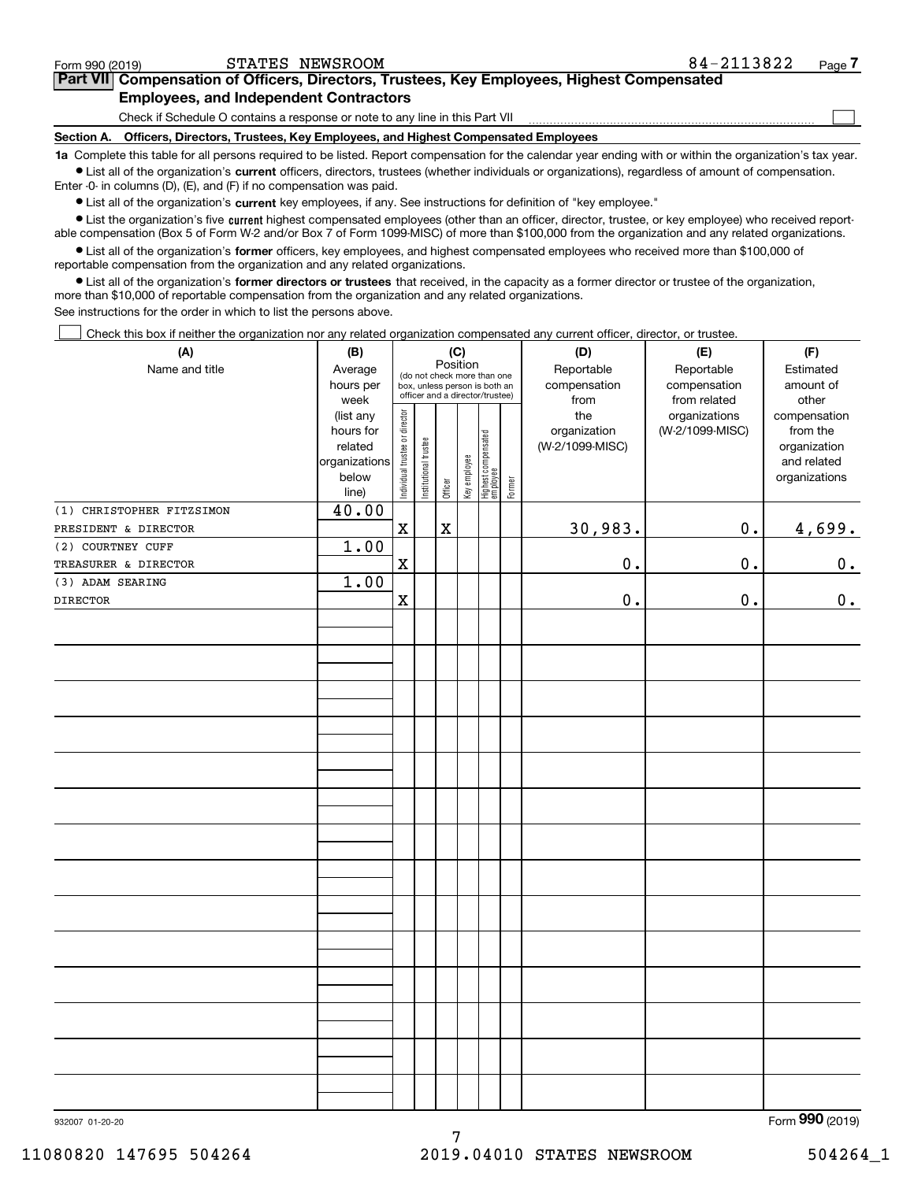| Form 990 (2019)                               | STATES NEWSROOM                                                                                                                                             | 84-2113822 | Page |  |  |  |  |
|-----------------------------------------------|-------------------------------------------------------------------------------------------------------------------------------------------------------------|------------|------|--|--|--|--|
|                                               | Part VII Compensation of Officers, Directors, Trustees, Key Employees, Highest Compensated                                                                  |            |      |  |  |  |  |
| <b>Employees, and Independent Contractors</b> |                                                                                                                                                             |            |      |  |  |  |  |
|                                               | Check if Schedule O contains a response or note to any line in this Part VII                                                                                |            |      |  |  |  |  |
| Section A.                                    | Officers, Directors, Trustees, Key Employees, and Highest Compensated Employees                                                                             |            |      |  |  |  |  |
|                                               | 1a. Complete this table for all persons required to be listed. Benort compensation for the calendar year ending with or within the organization's tax year. |            |      |  |  |  |  |

**1a •** List all of the organization's current officers, directors, trustees (whether individuals or organizations), regardless of amount of compensation. Complete this table for all persons required to be listed. Report compensation for the calendar year ending with or within the organization's tax year. Enter -0- in columns (D), (E), and (F) if no compensation was paid.

 $\bullet$  List all of the organization's  $\,$ current key employees, if any. See instructions for definition of "key employee."

**•** List the organization's five current highest compensated employees (other than an officer, director, trustee, or key employee) who received reportable compensation (Box 5 of Form W-2 and/or Box 7 of Form 1099-MISC) of more than \$100,000 from the organization and any related organizations.

**•** List all of the organization's former officers, key employees, and highest compensated employees who received more than \$100,000 of reportable compensation from the organization and any related organizations.

**former directors or trustees**  ¥ List all of the organization's that received, in the capacity as a former director or trustee of the organization, more than \$10,000 of reportable compensation from the organization and any related organizations.

See instructions for the order in which to list the persons above.

Check this box if neither the organization nor any related organization compensated any current officer, director, or trustee.  $\mathcal{L}^{\text{max}}$ 

| (A)                       | (B)               |                                |                       |             | (C)          |                                                                  |        | (D)                  | (E)                          | (F)                        |
|---------------------------|-------------------|--------------------------------|-----------------------|-------------|--------------|------------------------------------------------------------------|--------|----------------------|------------------------------|----------------------------|
| Name and title            | Average           |                                |                       | Position    |              | (do not check more than one                                      |        | Reportable           | Reportable                   | Estimated<br>amount of     |
|                           | hours per<br>week |                                |                       |             |              | box, unless person is both an<br>officer and a director/trustee) |        | compensation<br>from | compensation<br>from related | other                      |
|                           | (list any         |                                |                       |             |              |                                                                  |        | the                  | organizations                | compensation               |
|                           | hours for         |                                |                       |             |              |                                                                  |        | organization         | (W-2/1099-MISC)              | from the                   |
|                           | related           |                                |                       |             |              |                                                                  |        | (W-2/1099-MISC)      |                              | organization               |
|                           | organizations     |                                |                       |             |              |                                                                  |        |                      |                              | and related                |
|                           | below             | Individual trustee or director | Institutional trustee | Officer     | Key employee | Highest compensated<br>employee                                  | Former |                      |                              | organizations              |
| (1) CHRISTOPHER FITZSIMON | line)<br>40.00    |                                |                       |             |              |                                                                  |        |                      |                              |                            |
| PRESIDENT & DIRECTOR      |                   | $\mathbf x$                    |                       | $\mathbf X$ |              |                                                                  |        | 30,983.              | 0.                           | 4,699.                     |
| (2) COURTNEY CUFF         | 1.00              |                                |                       |             |              |                                                                  |        |                      |                              |                            |
| TREASURER & DIRECTOR      |                   | $\mathbf x$                    |                       |             |              |                                                                  |        | $0$ .                | 0.                           | 0.                         |
| (3) ADAM SEARING          | 1.00              |                                |                       |             |              |                                                                  |        |                      |                              |                            |
| <b>DIRECTOR</b>           |                   | $\mathbf x$                    |                       |             |              |                                                                  |        | $\mathbf 0$ .        | 0.                           | 0.                         |
|                           |                   |                                |                       |             |              |                                                                  |        |                      |                              |                            |
|                           |                   |                                |                       |             |              |                                                                  |        |                      |                              |                            |
|                           |                   |                                |                       |             |              |                                                                  |        |                      |                              |                            |
|                           |                   |                                |                       |             |              |                                                                  |        |                      |                              |                            |
|                           |                   |                                |                       |             |              |                                                                  |        |                      |                              |                            |
|                           |                   |                                |                       |             |              |                                                                  |        |                      |                              |                            |
|                           |                   |                                |                       |             |              |                                                                  |        |                      |                              |                            |
|                           |                   |                                |                       |             |              |                                                                  |        |                      |                              |                            |
|                           |                   |                                |                       |             |              |                                                                  |        |                      |                              |                            |
|                           |                   |                                |                       |             |              |                                                                  |        |                      |                              |                            |
|                           |                   |                                |                       |             |              |                                                                  |        |                      |                              |                            |
|                           |                   |                                |                       |             |              |                                                                  |        |                      |                              |                            |
|                           |                   |                                |                       |             |              |                                                                  |        |                      |                              |                            |
|                           |                   |                                |                       |             |              |                                                                  |        |                      |                              |                            |
|                           |                   |                                |                       |             |              |                                                                  |        |                      |                              |                            |
|                           |                   |                                |                       |             |              |                                                                  |        |                      |                              |                            |
|                           |                   |                                |                       |             |              |                                                                  |        |                      |                              |                            |
|                           |                   |                                |                       |             |              |                                                                  |        |                      |                              |                            |
|                           |                   |                                |                       |             |              |                                                                  |        |                      |                              |                            |
|                           |                   |                                |                       |             |              |                                                                  |        |                      |                              |                            |
|                           |                   |                                |                       |             |              |                                                                  |        |                      |                              |                            |
|                           |                   |                                |                       |             |              |                                                                  |        |                      |                              |                            |
|                           |                   |                                |                       |             |              |                                                                  |        |                      |                              |                            |
|                           |                   |                                |                       |             |              |                                                                  |        |                      |                              | $000$ ( $0010$ )<br>$\sim$ |
|                           |                   |                                |                       |             |              |                                                                  |        |                      |                              |                            |

7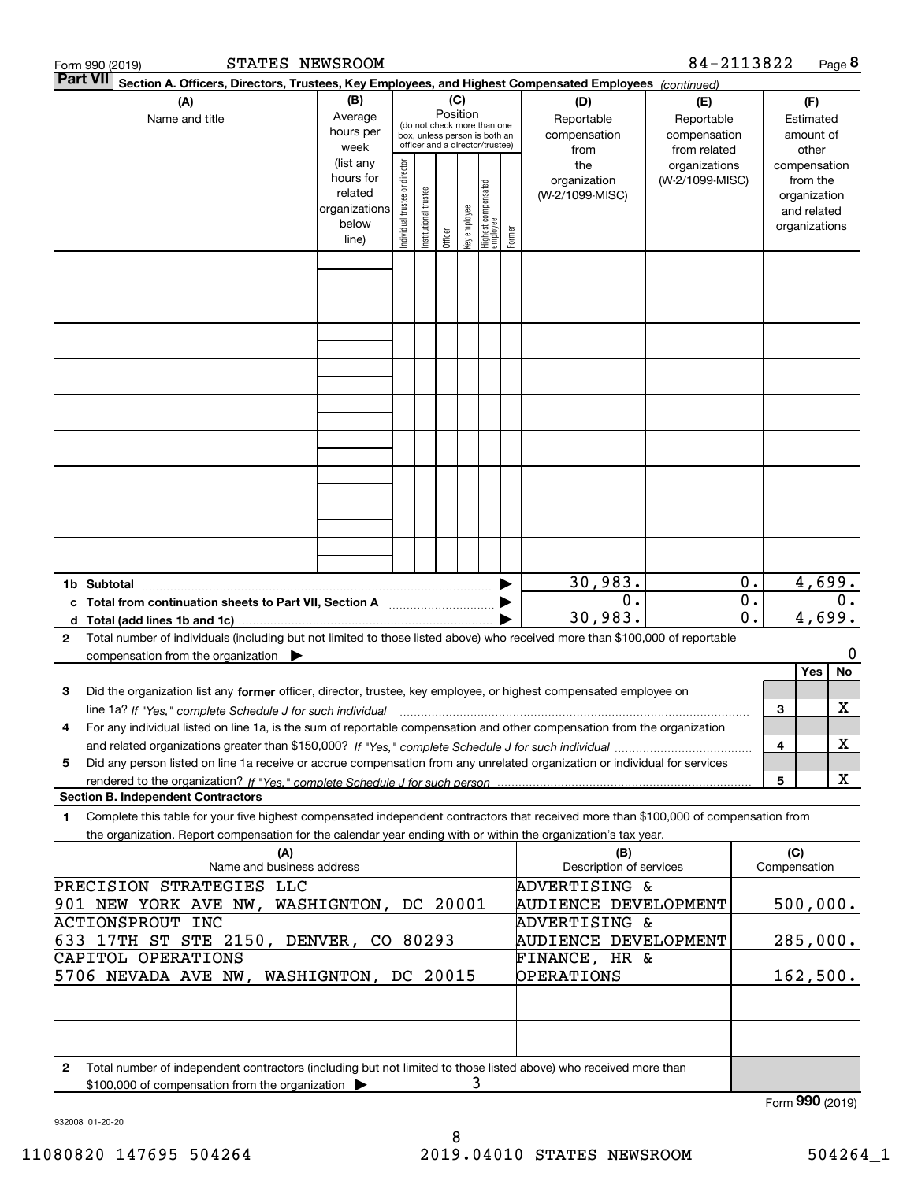| STATES NEWSROOM<br>Form 990 (2019)                                                                                                                                                                                                                                              |                                                                      |                                |                                                                                                 |                 |              |                                  |        |                                                            | 84-2113822                                        |          |                     |                                                                          | Page 8  |
|---------------------------------------------------------------------------------------------------------------------------------------------------------------------------------------------------------------------------------------------------------------------------------|----------------------------------------------------------------------|--------------------------------|-------------------------------------------------------------------------------------------------|-----------------|--------------|----------------------------------|--------|------------------------------------------------------------|---------------------------------------------------|----------|---------------------|--------------------------------------------------------------------------|---------|
| <b>Part VII</b><br>Section A. Officers, Directors, Trustees, Key Employees, and Highest Compensated Employees (continued)                                                                                                                                                       |                                                                      |                                |                                                                                                 |                 |              |                                  |        |                                                            |                                                   |          |                     |                                                                          |         |
| (A)<br>Name and title                                                                                                                                                                                                                                                           | (B)<br>Average<br>hours per<br>week                                  |                                | (do not check more than one<br>box, unless person is both an<br>officer and a director/trustee) | (C)<br>Position |              |                                  |        | (D)<br>Reportable<br>compensation<br>from                  | (E)<br>Reportable<br>compensation<br>from related |          |                     | (F)<br>Estimated<br>amount of<br>other                                   |         |
|                                                                                                                                                                                                                                                                                 | (list any<br>hours for<br>related<br>organizations<br>below<br>line) | Individual trustee or director | Institutional trustee                                                                           | Officer         | Key employee | Highest compensated<br> employee | Former | the<br>organization<br>(W-2/1099-MISC)                     | organizations<br>(W-2/1099-MISC)                  |          |                     | compensation<br>from the<br>organization<br>and related<br>organizations |         |
|                                                                                                                                                                                                                                                                                 |                                                                      |                                |                                                                                                 |                 |              |                                  |        |                                                            |                                                   |          |                     |                                                                          |         |
|                                                                                                                                                                                                                                                                                 |                                                                      |                                |                                                                                                 |                 |              |                                  |        |                                                            |                                                   |          |                     |                                                                          |         |
|                                                                                                                                                                                                                                                                                 |                                                                      |                                |                                                                                                 |                 |              |                                  |        |                                                            |                                                   |          |                     |                                                                          |         |
|                                                                                                                                                                                                                                                                                 |                                                                      |                                |                                                                                                 |                 |              |                                  |        |                                                            |                                                   |          |                     |                                                                          |         |
| 1b Subtotal                                                                                                                                                                                                                                                                     |                                                                      |                                |                                                                                                 |                 |              |                                  |        | 30,983.                                                    |                                                   | 0.       |                     | 4,699.                                                                   |         |
| c Total from continuation sheets to Part VII, Section A<br>Total number of individuals (including but not limited to those listed above) who received more than \$100,000 of reportable<br>$\mathbf{2}$                                                                         |                                                                      |                                |                                                                                                 |                 |              |                                  |        | 0.<br>30,983.                                              |                                                   | 0.<br>0. |                     | 4,699.                                                                   | $0$ .   |
| compensation from the organization                                                                                                                                                                                                                                              |                                                                      |                                |                                                                                                 |                 |              |                                  |        |                                                            |                                                   |          |                     | Yes                                                                      | 0<br>No |
| 3<br>Did the organization list any former officer, director, trustee, key employee, or highest compensated employee on                                                                                                                                                          |                                                                      |                                |                                                                                                 |                 |              |                                  |        |                                                            |                                                   |          | 3                   |                                                                          | х       |
| line 1a? If "Yes," complete Schedule J for such individual manumanamental communities and the 1a? If "Yes," complete Schedule J for such individual<br>For any individual listed on line 1a, is the sum of reportable compensation and other compensation from the organization |                                                                      |                                |                                                                                                 |                 |              |                                  |        |                                                            |                                                   |          | 4                   |                                                                          | х       |
| Did any person listed on line 1a receive or accrue compensation from any unrelated organization or individual for services<br>5                                                                                                                                                 |                                                                      |                                |                                                                                                 |                 |              |                                  |        |                                                            |                                                   |          | 5                   |                                                                          | X       |
| <b>Section B. Independent Contractors</b>                                                                                                                                                                                                                                       |                                                                      |                                |                                                                                                 |                 |              |                                  |        |                                                            |                                                   |          |                     |                                                                          |         |
| Complete this table for your five highest compensated independent contractors that received more than \$100,000 of compensation from<br>1<br>the organization. Report compensation for the calendar year ending with or within the organization's tax year.                     |                                                                      |                                |                                                                                                 |                 |              |                                  |        |                                                            |                                                   |          |                     |                                                                          |         |
| (A)<br>Name and business address                                                                                                                                                                                                                                                |                                                                      |                                |                                                                                                 |                 |              |                                  |        | (B)<br>Description of services                             |                                                   |          | (C)<br>Compensation |                                                                          |         |
| PRECISION STRATEGIES LLC<br>901 NEW YORK AVE NW, WASHIGNTON, DC 20001<br>ACTIONSPROUT INC                                                                                                                                                                                       |                                                                      |                                |                                                                                                 |                 |              |                                  |        | ADVERTISING &<br>AUDIENCE DEVELOPMENT<br>ADVERTISING &     |                                                   |          |                     | 500,000.                                                                 |         |
| 633 17TH ST STE 2150, DENVER, CO 80293<br>CAPITOL OPERATIONS<br>5706 NEVADA AVE NW, WASHIGNTON, DC 20015                                                                                                                                                                        |                                                                      |                                |                                                                                                 |                 |              |                                  |        | AUDIENCE DEVELOPMENT<br>FINANCE, HR &<br><b>OPERATIONS</b> |                                                   |          |                     | 285,000.<br>162,500.                                                     |         |
|                                                                                                                                                                                                                                                                                 |                                                                      |                                |                                                                                                 |                 |              |                                  |        |                                                            |                                                   |          |                     |                                                                          |         |
| Total number of independent contractors (including but not limited to those listed above) who received more than<br>2<br>\$100,000 of compensation from the organization                                                                                                        |                                                                      |                                |                                                                                                 |                 |              | 3                                |        |                                                            |                                                   |          |                     |                                                                          |         |
|                                                                                                                                                                                                                                                                                 |                                                                      |                                |                                                                                                 |                 |              |                                  |        |                                                            |                                                   |          | Form 990 (2019)     |                                                                          |         |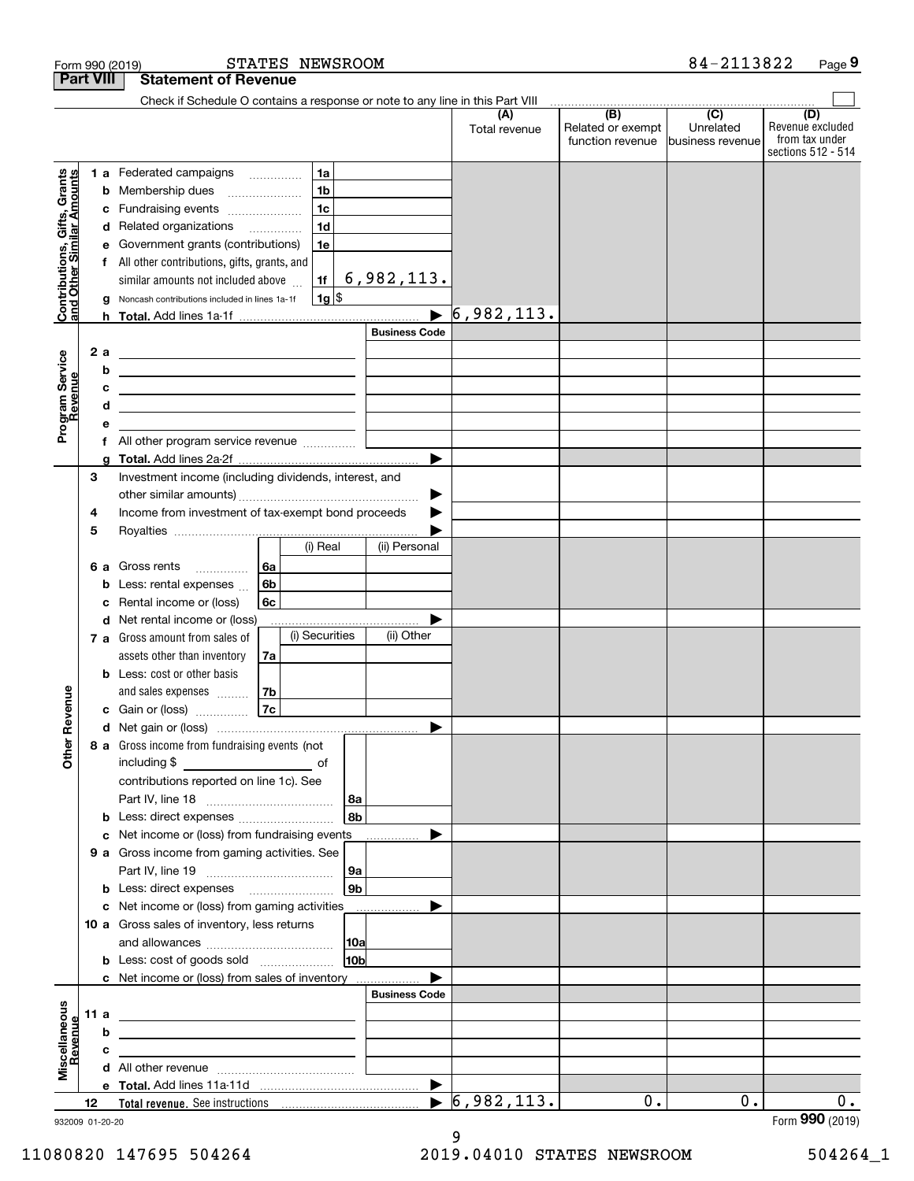|                                                           | <b>Part VIII</b>      | <b>Statement of Revenue</b>                                                                                                                                                                                                                                                                                                                            |                                                                                                                         |                                    |                                  |                                              |                                      |                                           |
|-----------------------------------------------------------|-----------------------|--------------------------------------------------------------------------------------------------------------------------------------------------------------------------------------------------------------------------------------------------------------------------------------------------------------------------------------------------------|-------------------------------------------------------------------------------------------------------------------------|------------------------------------|----------------------------------|----------------------------------------------|--------------------------------------|-------------------------------------------|
|                                                           |                       | Check if Schedule O contains a response or note to any line in this Part VIII                                                                                                                                                                                                                                                                          |                                                                                                                         |                                    |                                  |                                              |                                      |                                           |
|                                                           |                       |                                                                                                                                                                                                                                                                                                                                                        |                                                                                                                         |                                    | (A)<br>Total revenue             | (B)<br>Related or exempt<br>function revenue | (C)<br>Unrelated<br>business revenue | (D)<br>Revenue excluded<br>from tax under |
| Contributions, Gifts, Grants<br>and Other Similar Amounts | с<br>е<br>g<br>2 a    | <b>1 a</b> Federated campaigns<br><b>b</b> Membership dues<br>Fundraising events<br>d Related organizations<br>Government grants (contributions)<br>f All other contributions, gifts, grants, and<br>similar amounts not included above<br>Noncash contributions included in lines 1a-1f<br><u> 1989 - Johann John Stein, fransk politik (d. 1989)</u> | 1a<br>1 <sub>b</sub><br>$\ldots \ldots \ldots \ldots \ldots$<br>1 <sub>c</sub><br>1 <sub>d</sub><br>1e<br>1f<br>$1g$ \$ | 6,982,113.<br><b>Business Code</b> | 6,982,113.                       |                                              |                                      | sections 512 - 514                        |
| Program Service<br>Revenue                                | b<br>c<br>d<br>е      | <u> 1989 - Johann Barbara, martxa alemaniar arg</u><br><u> 1989 - Johann Barbara, martxa alemaniar arg</u><br>All other program service revenue                                                                                                                                                                                                        |                                                                                                                         |                                    |                                  |                                              |                                      |                                           |
|                                                           | a                     |                                                                                                                                                                                                                                                                                                                                                        |                                                                                                                         | ▶                                  |                                  |                                              |                                      |                                           |
|                                                           | 3<br>4                | Investment income (including dividends, interest, and<br>Income from investment of tax-exempt bond proceeds                                                                                                                                                                                                                                            |                                                                                                                         | ▶                                  |                                  |                                              |                                      |                                           |
|                                                           | 5                     | 6 a Gross rents<br>$\overline{\phantom{a}}$                                                                                                                                                                                                                                                                                                            | (i) Real<br>6a                                                                                                          | (ii) Personal                      |                                  |                                              |                                      |                                           |
|                                                           | b<br>c                | Less: rental expenses<br>Rental income or (loss)<br>d Net rental income or (loss)                                                                                                                                                                                                                                                                      | 6b<br>6c                                                                                                                |                                    |                                  |                                              |                                      |                                           |
|                                                           |                       | 7 a Gross amount from sales of<br>assets other than inventory<br><b>b</b> Less: cost or other basis                                                                                                                                                                                                                                                    | (i) Securities<br>7a                                                                                                    | (ii) Other                         |                                  |                                              |                                      |                                           |
| Revenue                                                   |                       | and sales expenses<br>c Gain or (loss)                                                                                                                                                                                                                                                                                                                 | 7b<br>7c                                                                                                                |                                    |                                  |                                              |                                      |                                           |
| Other                                                     |                       | 8 a Gross income from fundraising events (not<br>contributions reported on line 1c). See                                                                                                                                                                                                                                                               |                                                                                                                         | 8a                                 |                                  |                                              |                                      |                                           |
|                                                           |                       |                                                                                                                                                                                                                                                                                                                                                        |                                                                                                                         | 8b                                 |                                  |                                              |                                      |                                           |
|                                                           |                       | c Net income or (loss) from fundraising events<br><b>9 a</b> Gross income from gaming activities. See                                                                                                                                                                                                                                                  |                                                                                                                         |                                    |                                  |                                              |                                      |                                           |
|                                                           |                       |                                                                                                                                                                                                                                                                                                                                                        |                                                                                                                         | 9a<br>9 <sub>b</sub>               |                                  |                                              |                                      |                                           |
|                                                           |                       | c Net income or (loss) from gaming activities<br>10 a Gross sales of inventory, less returns                                                                                                                                                                                                                                                           |                                                                                                                         | .<br> 10a                          |                                  |                                              |                                      |                                           |
|                                                           |                       | <b>b</b> Less: cost of goods sold<br>c Net income or (loss) from sales of inventory                                                                                                                                                                                                                                                                    |                                                                                                                         | 10 <sub>b</sub>                    |                                  |                                              |                                      |                                           |
|                                                           |                       |                                                                                                                                                                                                                                                                                                                                                        |                                                                                                                         | <b>Business Code</b>               |                                  |                                              |                                      |                                           |
| Miscellaneous<br>Revenue                                  |                       |                                                                                                                                                                                                                                                                                                                                                        |                                                                                                                         |                                    |                                  |                                              |                                      |                                           |
|                                                           | b                     | <u> 1989 - Johann Harry Harry Harry Harry Harry Harry Harry Harry Harry Harry Harry Harry Harry Harry Harry Harry</u>                                                                                                                                                                                                                                  |                                                                                                                         |                                    |                                  |                                              |                                      |                                           |
|                                                           | c                     |                                                                                                                                                                                                                                                                                                                                                        |                                                                                                                         |                                    |                                  |                                              |                                      |                                           |
|                                                           |                       |                                                                                                                                                                                                                                                                                                                                                        |                                                                                                                         |                                    |                                  |                                              |                                      |                                           |
|                                                           |                       |                                                                                                                                                                                                                                                                                                                                                        |                                                                                                                         |                                    | $\blacktriangleright$ 6,982,113. | 0.                                           | 0.                                   | 0.                                        |
|                                                           | 12<br>932009 01-20-20 |                                                                                                                                                                                                                                                                                                                                                        |                                                                                                                         |                                    |                                  |                                              |                                      | Form 990 (2019)                           |

932009 01-20-20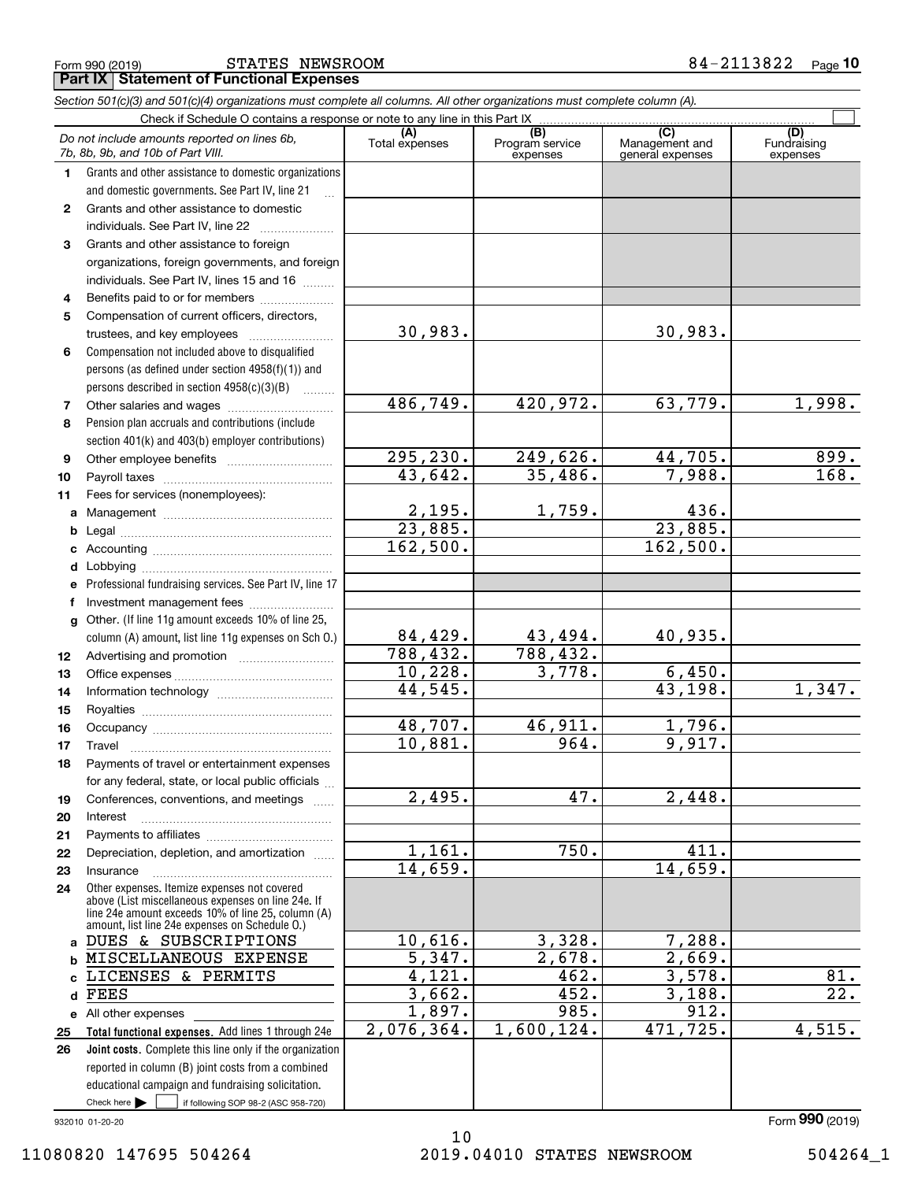Form 990 (2019) STATES NEWSROOM 8 4-2113822 <sub>Page</sub> **Part IX Statement of Functional Expenses**

|              | Section 501(c)(3) and 501(c)(4) organizations must complete all columns. All other organizations must complete column (A).                                                                                 |                        |                                    |                                           |                                |
|--------------|------------------------------------------------------------------------------------------------------------------------------------------------------------------------------------------------------------|------------------------|------------------------------------|-------------------------------------------|--------------------------------|
|              | Check if Schedule O contains a response or note to any line in this Part IX                                                                                                                                |                        |                                    |                                           |                                |
|              | Do not include amounts reported on lines 6b,<br>7b, 8b, 9b, and 10b of Part VIII.                                                                                                                          | (A)<br>Total expenses  | (B)<br>Program service<br>expenses | (C)<br>Management and<br>general expenses | (D)<br>Fundraising<br>expenses |
| 1.           | Grants and other assistance to domestic organizations                                                                                                                                                      |                        |                                    |                                           |                                |
|              | and domestic governments. See Part IV, line 21                                                                                                                                                             |                        |                                    |                                           |                                |
| $\mathbf{2}$ | Grants and other assistance to domestic                                                                                                                                                                    |                        |                                    |                                           |                                |
|              | individuals. See Part IV, line 22                                                                                                                                                                          |                        |                                    |                                           |                                |
| 3            | Grants and other assistance to foreign                                                                                                                                                                     |                        |                                    |                                           |                                |
|              | organizations, foreign governments, and foreign                                                                                                                                                            |                        |                                    |                                           |                                |
|              | individuals. See Part IV, lines 15 and 16                                                                                                                                                                  |                        |                                    |                                           |                                |
| 4            | Benefits paid to or for members                                                                                                                                                                            |                        |                                    |                                           |                                |
| 5            | Compensation of current officers, directors,                                                                                                                                                               |                        |                                    |                                           |                                |
|              | trustees, and key employees                                                                                                                                                                                | 30,983.                |                                    | 30,983.                                   |                                |
| 6            | Compensation not included above to disqualified                                                                                                                                                            |                        |                                    |                                           |                                |
|              | persons (as defined under section 4958(f)(1)) and                                                                                                                                                          |                        |                                    |                                           |                                |
|              | persons described in section 4958(c)(3)(B)                                                                                                                                                                 |                        |                                    |                                           |                                |
| 7            | Other salaries and wages                                                                                                                                                                                   | 486,749.               | 420,972.                           | 63,779.                                   | 1,998.                         |
| 8            | Pension plan accruals and contributions (include                                                                                                                                                           |                        |                                    |                                           |                                |
|              | section 401(k) and 403(b) employer contributions)                                                                                                                                                          |                        |                                    |                                           |                                |
| 9            |                                                                                                                                                                                                            | 295,230.               | 249,626.                           | 44,705.                                   | 899.                           |
| 10           |                                                                                                                                                                                                            | 43,642.                | 35,486.                            | 7,988.                                    | 168.                           |
| 11           | Fees for services (nonemployees):                                                                                                                                                                          |                        |                                    |                                           |                                |
| a            |                                                                                                                                                                                                            | $\frac{2,195}{23,885}$ | 1,759.                             | 436.                                      |                                |
| b            |                                                                                                                                                                                                            |                        |                                    | 23,885.                                   |                                |
| c            |                                                                                                                                                                                                            | 162,500.               |                                    | 162,500.                                  |                                |
| d            |                                                                                                                                                                                                            |                        |                                    |                                           |                                |
| е            | Professional fundraising services. See Part IV, line 17                                                                                                                                                    |                        |                                    |                                           |                                |
| f            | Investment management fees                                                                                                                                                                                 |                        |                                    |                                           |                                |
| g            | Other. (If line 11g amount exceeds 10% of line 25,                                                                                                                                                         |                        |                                    |                                           |                                |
|              | column (A) amount, list line 11g expenses on Sch O.)                                                                                                                                                       | 84,429.                | 43,494.                            | 40,935.                                   |                                |
| 12           |                                                                                                                                                                                                            | 788,432.               | 788,432.                           |                                           |                                |
| 13           |                                                                                                                                                                                                            | 10,228.                | 3,778.                             | 6,450.                                    |                                |
| 14           |                                                                                                                                                                                                            | 44,545.                |                                    | 43, 198.                                  | 1,347.                         |
| 15           |                                                                                                                                                                                                            |                        |                                    |                                           |                                |
| 16           |                                                                                                                                                                                                            | 48,707.                | 46,911.                            | 1,796.                                    |                                |
| 17           |                                                                                                                                                                                                            | 10,881.                | 964.                               | 9,917.                                    |                                |
| 18           | Payments of travel or entertainment expenses                                                                                                                                                               |                        |                                    |                                           |                                |
|              | for any federal, state, or local public officials                                                                                                                                                          |                        |                                    |                                           |                                |
| 19           | Conferences, conventions, and meetings                                                                                                                                                                     | 2,495.                 | 47.                                | 2,448.                                    |                                |
| 20           | Interest                                                                                                                                                                                                   |                        |                                    |                                           |                                |
| 21           |                                                                                                                                                                                                            |                        |                                    |                                           |                                |
| 22           | Depreciation, depletion, and amortization                                                                                                                                                                  | 1,161.                 | 750.                               | 411.                                      |                                |
| 23           | Insurance                                                                                                                                                                                                  | 14,659.                |                                    | 14,659.                                   |                                |
| 24           | Other expenses. Itemize expenses not covered<br>above (List miscellaneous expenses on line 24e. If<br>line 24e amount exceeds 10% of line 25, column (A)<br>amount, list line 24e expenses on Schedule 0.) |                        |                                    |                                           |                                |
|              | a DUES & SUBSCRIPTIONS                                                                                                                                                                                     | 10,616.                | 3,328.                             | 7,288.                                    |                                |
| b            | MISCELLANEOUS EXPENSE                                                                                                                                                                                      | 5,347.                 | 2,678.                             | 2,669.                                    |                                |
| c            | LICENSES & PERMITS                                                                                                                                                                                         | 4,121.                 | 462.                               | 3,578.                                    | 81.                            |
| $\mathsf{d}$ | FEES                                                                                                                                                                                                       | 3,662.                 | 452.                               | 3,188.                                    | 22.                            |
|              | e All other expenses                                                                                                                                                                                       | 1,897.                 | 985.                               | 912.                                      |                                |
| 25           | Total functional expenses. Add lines 1 through 24e                                                                                                                                                         | 2,076,364.             | 1,600,124.                         | 471, 725.                                 | 4,515.                         |
| 26           | Joint costs. Complete this line only if the organization                                                                                                                                                   |                        |                                    |                                           |                                |
|              | reported in column (B) joint costs from a combined                                                                                                                                                         |                        |                                    |                                           |                                |
|              | educational campaign and fundraising solicitation.                                                                                                                                                         |                        |                                    |                                           |                                |
|              | Check here $\blacktriangleright$<br>if following SOP 98-2 (ASC 958-720)                                                                                                                                    |                        |                                    |                                           |                                |

932010 01-20-20

Form (2019) **990**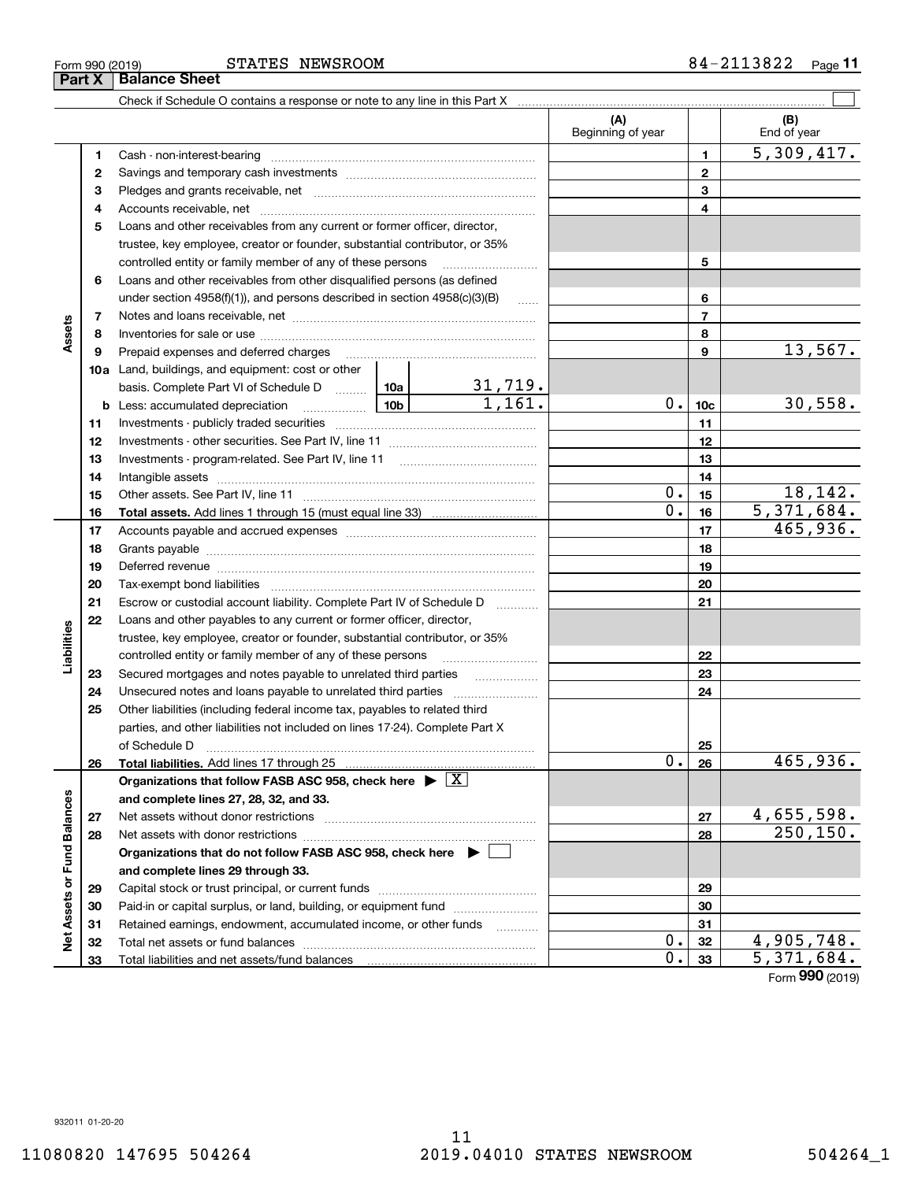STATES NEWSROOM

|                             |    |                                                                                                                                                                                                                                |                   |                          | (A)<br>Beginning of year |                 | (B)<br>End of year             |
|-----------------------------|----|--------------------------------------------------------------------------------------------------------------------------------------------------------------------------------------------------------------------------------|-------------------|--------------------------|--------------------------|-----------------|--------------------------------|
|                             | 1  | Cash - non-interest-bearing                                                                                                                                                                                                    |                   |                          |                          | 1               | 5,309,417.                     |
|                             | 2  |                                                                                                                                                                                                                                |                   |                          |                          | $\mathbf{2}$    |                                |
|                             | 3  |                                                                                                                                                                                                                                |                   |                          |                          | 3               |                                |
|                             | 4  | Accounts receivable, net manually contained and accounts receivable, net                                                                                                                                                       |                   |                          |                          | 4               |                                |
|                             | 5  | Loans and other receivables from any current or former officer, director,                                                                                                                                                      |                   |                          |                          |                 |                                |
|                             |    | trustee, key employee, creator or founder, substantial contributor, or 35%                                                                                                                                                     |                   |                          |                          |                 |                                |
|                             |    | controlled entity or family member of any of these persons                                                                                                                                                                     |                   |                          |                          | 5               |                                |
|                             | 6  | Loans and other receivables from other disqualified persons (as defined                                                                                                                                                        |                   |                          |                          |                 |                                |
|                             |    | under section $4958(f)(1)$ , and persons described in section $4958(c)(3)(B)$                                                                                                                                                  |                   |                          |                          | 6               |                                |
|                             | 7  |                                                                                                                                                                                                                                |                   |                          |                          | $\overline{7}$  |                                |
| Assets                      | 8  |                                                                                                                                                                                                                                |                   |                          |                          | 8               |                                |
|                             | 9  | Prepaid expenses and deferred charges [11] [11] Prepaid expenses and deferred charges [11] [11] Martin Martin Martin Martin Martin Martin Martin Martin Martin Martin Martin Martin Martin Martin Martin Martin Martin Martin  |                   |                          |                          | 9               | 13,567.                        |
|                             |    | <b>10a</b> Land, buildings, and equipment: cost or other                                                                                                                                                                       |                   |                          |                          |                 |                                |
|                             |    | basis. Complete Part VI of Schedule D  10a                                                                                                                                                                                     |                   |                          |                          |                 |                                |
|                             |    | <u>  10b</u>  <br><b>b</b> Less: accumulated depreciation                                                                                                                                                                      |                   | $\frac{31,719.}{1,161.}$ | 0.1                      | 10 <sub>c</sub> | 30,558.                        |
|                             | 11 |                                                                                                                                                                                                                                |                   |                          |                          | 11              |                                |
|                             | 12 |                                                                                                                                                                                                                                |                   |                          |                          | 12              |                                |
|                             | 13 |                                                                                                                                                                                                                                |                   |                          |                          | 13              |                                |
|                             | 14 |                                                                                                                                                                                                                                |                   |                          |                          | 14              |                                |
|                             | 15 |                                                                                                                                                                                                                                |                   |                          | 0.                       | 15              | 18,142.                        |
|                             | 16 | <b>Total assets.</b> Add lines 1 through 15 (must equal line 33) <i></i>                                                                                                                                                       |                   |                          | 0.                       | 16              | 5,371,684.                     |
|                             | 17 |                                                                                                                                                                                                                                |                   |                          |                          | 17              | 465,936.                       |
|                             | 18 |                                                                                                                                                                                                                                |                   |                          |                          | 18              |                                |
|                             | 19 |                                                                                                                                                                                                                                |                   |                          |                          | 19              |                                |
|                             |    | Deferred revenue manual contracts and contracts are all the contracts and contracts are contracted and contracts are contracted and contract are contracted and contract are contracted and contract are contracted and contra |                   |                          |                          |                 |                                |
|                             | 20 | Tax-exempt bond liabilities                                                                                                                                                                                                    |                   |                          |                          | 20              |                                |
|                             | 21 | Escrow or custodial account liability. Complete Part IV of Schedule D                                                                                                                                                          | 1.1.1.1.1.1.1.1.1 |                          | 21                       |                 |                                |
| Liabilities                 | 22 | Loans and other payables to any current or former officer, director,                                                                                                                                                           |                   |                          |                          |                 |                                |
|                             |    | trustee, key employee, creator or founder, substantial contributor, or 35%                                                                                                                                                     |                   |                          |                          |                 |                                |
|                             |    | controlled entity or family member of any of these persons                                                                                                                                                                     |                   |                          |                          | 22              |                                |
|                             | 23 | Secured mortgages and notes payable to unrelated third parties                                                                                                                                                                 |                   |                          |                          | 23              |                                |
|                             | 24 |                                                                                                                                                                                                                                |                   |                          |                          | 24              |                                |
|                             | 25 | Other liabilities (including federal income tax, payables to related third                                                                                                                                                     |                   |                          |                          |                 |                                |
|                             |    | parties, and other liabilities not included on lines 17-24). Complete Part X                                                                                                                                                   |                   |                          |                          |                 |                                |
|                             |    | of Schedule D                                                                                                                                                                                                                  |                   |                          | 0.                       | 25              | 465,936.                       |
|                             | 26 |                                                                                                                                                                                                                                |                   |                          |                          | 26              |                                |
|                             |    | Organizations that follow FASB ASC 958, check here $\blacktriangleright \boxed{X}$                                                                                                                                             |                   |                          |                          |                 |                                |
|                             |    | and complete lines 27, 28, 32, and 33.                                                                                                                                                                                         |                   |                          |                          |                 |                                |
|                             | 27 | Net assets without donor restrictions                                                                                                                                                                                          |                   |                          |                          | 27              | <u>4,655,598.</u><br>250, 150. |
|                             | 28 |                                                                                                                                                                                                                                |                   |                          |                          | 28              |                                |
|                             |    | Organizations that do not follow FASB ASC 958, check here ▶ □                                                                                                                                                                  |                   |                          |                          |                 |                                |
|                             |    | and complete lines 29 through 33.                                                                                                                                                                                              |                   |                          |                          |                 |                                |
|                             | 29 |                                                                                                                                                                                                                                |                   |                          |                          | 29              |                                |
| Net Assets or Fund Balances | 30 | Paid-in or capital surplus, or land, building, or equipment fund                                                                                                                                                               |                   |                          |                          | 30              |                                |
|                             | 31 | Retained earnings, endowment, accumulated income, or other funds                                                                                                                                                               |                   |                          |                          | 31              |                                |
|                             | 32 |                                                                                                                                                                                                                                |                   |                          | 0.                       | 32              | 4,905,748.                     |
|                             | 33 | Total liabilities and net assets/fund balances <b>manually contained</b> in the liabilities and net assets/fund balances                                                                                                       |                   |                          | $\overline{0}$ .         | 33              | 5,371,684.                     |

Form (2019) **990**

# **Part X Balance Sheet**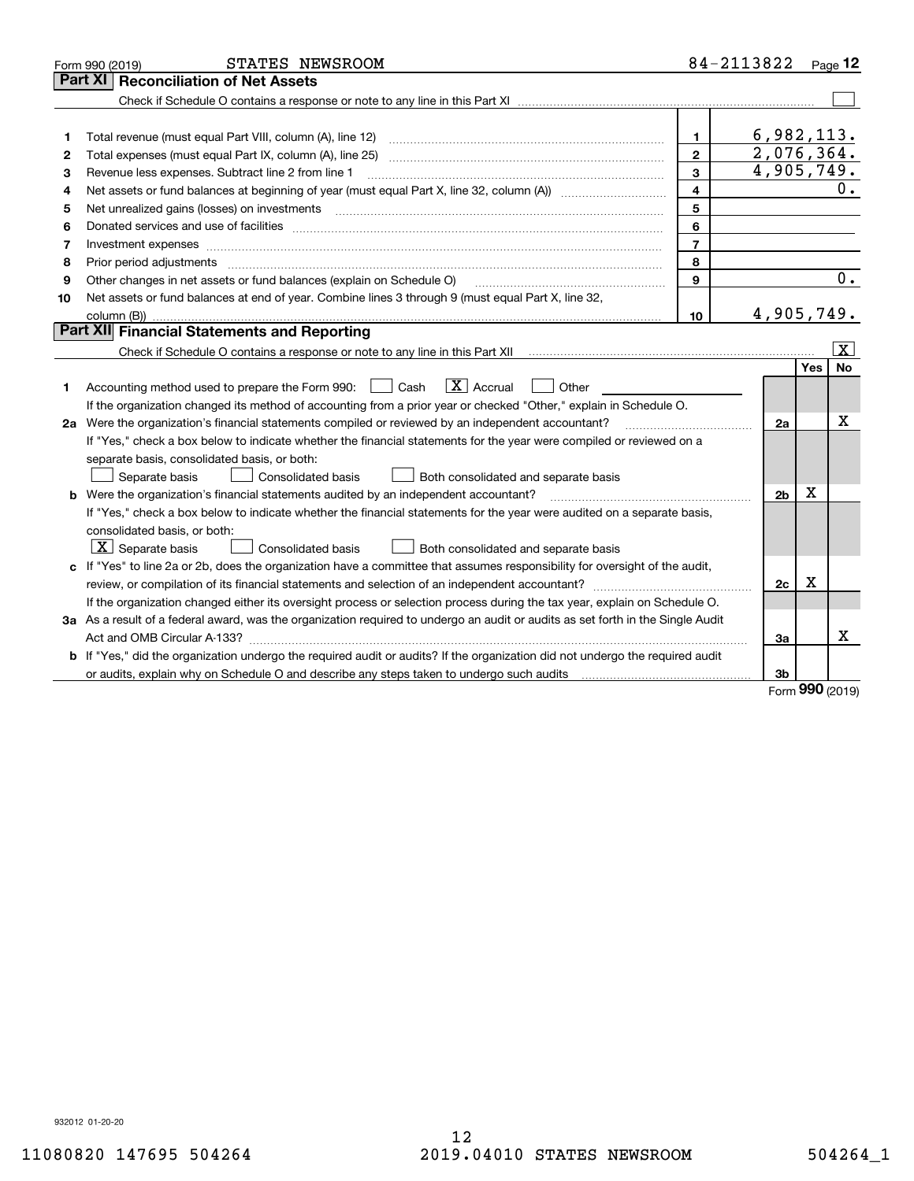|    | STATES NEWSROOM<br>Form 990 (2019)                                                                                                                                                                                             |                         | 84-2113822     |      | Page $12$        |
|----|--------------------------------------------------------------------------------------------------------------------------------------------------------------------------------------------------------------------------------|-------------------------|----------------|------|------------------|
|    | Part XI<br><b>Reconciliation of Net Assets</b>                                                                                                                                                                                 |                         |                |      |                  |
|    |                                                                                                                                                                                                                                |                         |                |      |                  |
|    |                                                                                                                                                                                                                                |                         |                |      |                  |
| 1  |                                                                                                                                                                                                                                | 1                       | 6,982,113.     |      |                  |
| 2  | Total expenses (must equal Part IX, column (A), line 25)                                                                                                                                                                       | $\mathbf{2}$            | 2,076,364.     |      |                  |
| З  | Revenue less expenses. Subtract line 2 from line 1                                                                                                                                                                             | 3                       | 4,905,749.     |      |                  |
| 4  |                                                                                                                                                                                                                                | $\overline{\mathbf{4}}$ |                |      | 0.               |
| 5  |                                                                                                                                                                                                                                | 5                       |                |      |                  |
| 6  |                                                                                                                                                                                                                                | 6                       |                |      |                  |
| 7  |                                                                                                                                                                                                                                | $\overline{7}$          |                |      |                  |
| 8  | Prior period adjustments material contents and content of the content of the content of the content of the content of the content of the content of the content of the content of the content of the content of the content of | 8                       |                |      |                  |
| 9  | Other changes in net assets or fund balances (explain on Schedule O)                                                                                                                                                           | 9                       |                |      | $\overline{0}$ . |
| 10 | Net assets or fund balances at end of year. Combine lines 3 through 9 (must equal Part X, line 32,                                                                                                                             |                         |                |      |                  |
|    |                                                                                                                                                                                                                                | 10                      | 4,905,749.     |      |                  |
|    | Part XII Financial Statements and Reporting                                                                                                                                                                                    |                         |                |      |                  |
|    |                                                                                                                                                                                                                                |                         |                |      | $\vert X \vert$  |
|    |                                                                                                                                                                                                                                |                         |                | Yes  | <b>No</b>        |
| 1. | $\boxed{\text{X}}$ Accrual<br>Accounting method used to prepare the Form 990: <u>[</u> Cash<br>Other                                                                                                                           |                         |                |      |                  |
|    | If the organization changed its method of accounting from a prior year or checked "Other," explain in Schedule O.                                                                                                              |                         |                |      |                  |
|    | 2a Were the organization's financial statements compiled or reviewed by an independent accountant?                                                                                                                             |                         | 2a             |      | x                |
|    | If "Yes," check a box below to indicate whether the financial statements for the year were compiled or reviewed on a                                                                                                           |                         |                |      |                  |
|    | separate basis, consolidated basis, or both:                                                                                                                                                                                   |                         |                |      |                  |
|    | Separate basis<br>Consolidated basis<br>Both consolidated and separate basis                                                                                                                                                   |                         |                |      |                  |
|    | <b>b</b> Were the organization's financial statements audited by an independent accountant?                                                                                                                                    |                         | 2 <sub>b</sub> | х    |                  |
|    | If "Yes," check a box below to indicate whether the financial statements for the year were audited on a separate basis,                                                                                                        |                         |                |      |                  |
|    | consolidated basis, or both:                                                                                                                                                                                                   |                         |                |      |                  |
|    | $ \mathbf{X} $ Separate basis<br>Consolidated basis<br>Both consolidated and separate basis                                                                                                                                    |                         |                |      |                  |
|    | c If "Yes" to line 2a or 2b, does the organization have a committee that assumes responsibility for oversight of the audit,                                                                                                    |                         |                |      |                  |
|    |                                                                                                                                                                                                                                |                         | 2c             | X    |                  |
|    | If the organization changed either its oversight process or selection process during the tax year, explain on Schedule O.                                                                                                      |                         |                |      |                  |
|    | 3a As a result of a federal award, was the organization required to undergo an audit or audits as set forth in the Single Audit                                                                                                |                         |                |      |                  |
|    |                                                                                                                                                                                                                                |                         | За             |      | x                |
|    | b If "Yes," did the organization undergo the required audit or audits? If the organization did not undergo the required audit                                                                                                  |                         |                |      |                  |
|    |                                                                                                                                                                                                                                |                         | 3b             | nnn. |                  |
|    |                                                                                                                                                                                                                                |                         |                |      |                  |

Form (2019) **990**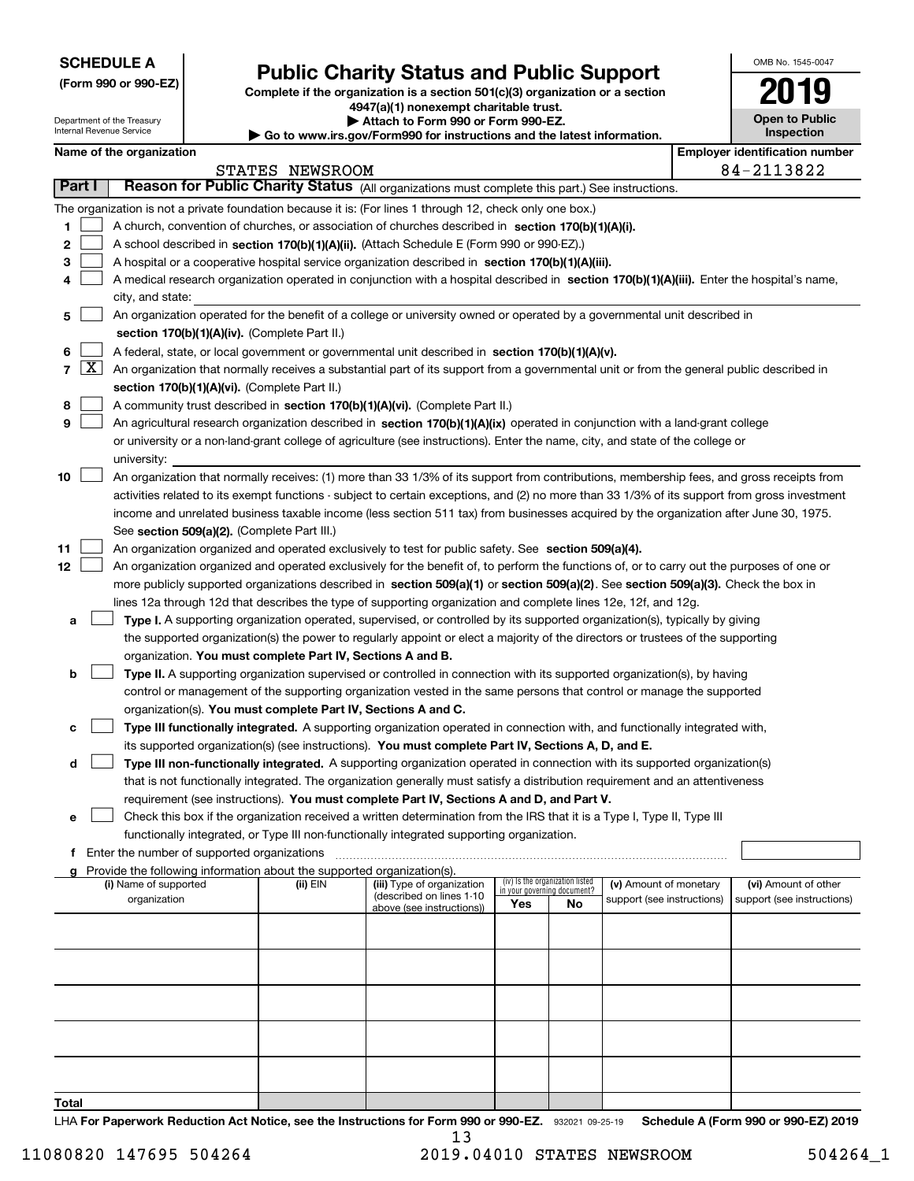| <b>SCHEDULE A</b> |  |
|-------------------|--|
|-------------------|--|

Department of the Treasury Internal Revenue Service

**(Form 990 or 990-EZ)**

# **Public Charity Status and Public Support**

**Complete if the organization is a section 501(c)(3) organization or a section 4947(a)(1) nonexempt charitable trust. | Attach to Form 990 or Form 990-EZ.** 

|  |  | Go to www.irs.gov/Form990 for instructions and the latest information. |
|--|--|------------------------------------------------------------------------|

| OMB No. 1545-0047                   |
|-------------------------------------|
|                                     |
| <b>Open to Public</b><br>Inspection |

|  | Name of the organization |
|--|--------------------------|

|        |            | Name of the organization                                                                                                                      |                 |                            |                                 |    |                            | <b>Employer identification number</b> |  |
|--------|------------|-----------------------------------------------------------------------------------------------------------------------------------------------|-----------------|----------------------------|---------------------------------|----|----------------------------|---------------------------------------|--|
|        |            |                                                                                                                                               | STATES NEWSROOM |                            |                                 |    |                            | 84-2113822                            |  |
| Part I |            | Reason for Public Charity Status (All organizations must complete this part.) See instructions.                                               |                 |                            |                                 |    |                            |                                       |  |
|        |            | The organization is not a private foundation because it is: (For lines 1 through 12, check only one box.)                                     |                 |                            |                                 |    |                            |                                       |  |
| 1.     |            | A church, convention of churches, or association of churches described in section 170(b)(1)(A)(i).                                            |                 |                            |                                 |    |                            |                                       |  |
| 2      |            | A school described in section 170(b)(1)(A)(ii). (Attach Schedule E (Form 990 or 990-EZ).)                                                     |                 |                            |                                 |    |                            |                                       |  |
| з      |            | A hospital or a cooperative hospital service organization described in section $170(b)(1)(A)(iii)$ .                                          |                 |                            |                                 |    |                            |                                       |  |
| 4      |            | A medical research organization operated in conjunction with a hospital described in section 170(b)(1)(A)(iii). Enter the hospital's name,    |                 |                            |                                 |    |                            |                                       |  |
|        |            | city, and state:                                                                                                                              |                 |                            |                                 |    |                            |                                       |  |
| 5      |            | An organization operated for the benefit of a college or university owned or operated by a governmental unit described in                     |                 |                            |                                 |    |                            |                                       |  |
|        |            | section 170(b)(1)(A)(iv). (Complete Part II.)                                                                                                 |                 |                            |                                 |    |                            |                                       |  |
| 6      |            | A federal, state, or local government or governmental unit described in section 170(b)(1)(A)(v).                                              |                 |                            |                                 |    |                            |                                       |  |
|        | $7 \times$ | An organization that normally receives a substantial part of its support from a governmental unit or from the general public described in     |                 |                            |                                 |    |                            |                                       |  |
|        |            | section 170(b)(1)(A)(vi). (Complete Part II.)                                                                                                 |                 |                            |                                 |    |                            |                                       |  |
| 8      |            | A community trust described in section 170(b)(1)(A)(vi). (Complete Part II.)                                                                  |                 |                            |                                 |    |                            |                                       |  |
| 9      |            |                                                                                                                                               |                 |                            |                                 |    |                            |                                       |  |
|        |            | An agricultural research organization described in section 170(b)(1)(A)(ix) operated in conjunction with a land-grant college                 |                 |                            |                                 |    |                            |                                       |  |
|        |            | or university or a non-land-grant college of agriculture (see instructions). Enter the name, city, and state of the college or                |                 |                            |                                 |    |                            |                                       |  |
|        |            | university:                                                                                                                                   |                 |                            |                                 |    |                            |                                       |  |
| 10     |            | An organization that normally receives: (1) more than 33 1/3% of its support from contributions, membership fees, and gross receipts from     |                 |                            |                                 |    |                            |                                       |  |
|        |            | activities related to its exempt functions - subject to certain exceptions, and (2) no more than 33 1/3% of its support from gross investment |                 |                            |                                 |    |                            |                                       |  |
|        |            | income and unrelated business taxable income (less section 511 tax) from businesses acquired by the organization after June 30, 1975.         |                 |                            |                                 |    |                            |                                       |  |
|        |            | See section 509(a)(2). (Complete Part III.)                                                                                                   |                 |                            |                                 |    |                            |                                       |  |
| 11     |            | An organization organized and operated exclusively to test for public safety. See section 509(a)(4).                                          |                 |                            |                                 |    |                            |                                       |  |
| 12     |            | An organization organized and operated exclusively for the benefit of, to perform the functions of, or to carry out the purposes of one or    |                 |                            |                                 |    |                            |                                       |  |
|        |            | more publicly supported organizations described in section 509(a)(1) or section 509(a)(2). See section 509(a)(3). Check the box in            |                 |                            |                                 |    |                            |                                       |  |
|        |            | lines 12a through 12d that describes the type of supporting organization and complete lines 12e, 12f, and 12g.                                |                 |                            |                                 |    |                            |                                       |  |
| а      |            | Type I. A supporting organization operated, supervised, or controlled by its supported organization(s), typically by giving                   |                 |                            |                                 |    |                            |                                       |  |
|        |            | the supported organization(s) the power to regularly appoint or elect a majority of the directors or trustees of the supporting               |                 |                            |                                 |    |                            |                                       |  |
|        |            | organization. You must complete Part IV, Sections A and B.                                                                                    |                 |                            |                                 |    |                            |                                       |  |
| b      |            | Type II. A supporting organization supervised or controlled in connection with its supported organization(s), by having                       |                 |                            |                                 |    |                            |                                       |  |
|        |            | control or management of the supporting organization vested in the same persons that control or manage the supported                          |                 |                            |                                 |    |                            |                                       |  |
|        |            | organization(s). You must complete Part IV, Sections A and C.                                                                                 |                 |                            |                                 |    |                            |                                       |  |
| с      |            | Type III functionally integrated. A supporting organization operated in connection with, and functionally integrated with,                    |                 |                            |                                 |    |                            |                                       |  |
|        |            | its supported organization(s) (see instructions). You must complete Part IV, Sections A, D, and E.                                            |                 |                            |                                 |    |                            |                                       |  |
| d      |            | Type III non-functionally integrated. A supporting organization operated in connection with its supported organization(s)                     |                 |                            |                                 |    |                            |                                       |  |
|        |            | that is not functionally integrated. The organization generally must satisfy a distribution requirement and an attentiveness                  |                 |                            |                                 |    |                            |                                       |  |
|        |            |                                                                                                                                               |                 |                            |                                 |    |                            |                                       |  |
|        |            | requirement (see instructions). You must complete Part IV, Sections A and D, and Part V.                                                      |                 |                            |                                 |    |                            |                                       |  |
|        |            | Check this box if the organization received a written determination from the IRS that it is a Type I, Type II, Type III                       |                 |                            |                                 |    |                            |                                       |  |
|        |            | functionally integrated, or Type III non-functionally integrated supporting organization.                                                     |                 |                            |                                 |    |                            |                                       |  |
|        |            | f Enter the number of supported organizations                                                                                                 |                 |                            |                                 |    |                            |                                       |  |
|        |            | g Provide the following information about the supported organization(s).<br>(i) Name of supported                                             | (ii) EIN        | (iii) Type of organization | (iv) Is the organization listed |    | (v) Amount of monetary     | (vi) Amount of other                  |  |
|        |            | organization                                                                                                                                  |                 | (described on lines 1-10   | in your governing document?     |    | support (see instructions) | support (see instructions)            |  |
|        |            |                                                                                                                                               |                 | above (see instructions))  | Yes                             | No |                            |                                       |  |
|        |            |                                                                                                                                               |                 |                            |                                 |    |                            |                                       |  |
|        |            |                                                                                                                                               |                 |                            |                                 |    |                            |                                       |  |
|        |            |                                                                                                                                               |                 |                            |                                 |    |                            |                                       |  |
|        |            |                                                                                                                                               |                 |                            |                                 |    |                            |                                       |  |
|        |            |                                                                                                                                               |                 |                            |                                 |    |                            |                                       |  |
|        |            |                                                                                                                                               |                 |                            |                                 |    |                            |                                       |  |
|        |            |                                                                                                                                               |                 |                            |                                 |    |                            |                                       |  |
|        |            |                                                                                                                                               |                 |                            |                                 |    |                            |                                       |  |
|        |            |                                                                                                                                               |                 |                            |                                 |    |                            |                                       |  |
|        |            |                                                                                                                                               |                 |                            |                                 |    |                            |                                       |  |
| Total  |            |                                                                                                                                               |                 |                            |                                 |    |                            |                                       |  |
|        |            |                                                                                                                                               |                 |                            |                                 |    |                            |                                       |  |

LHA For Paperwork Reduction Act Notice, see the Instructions for Form 990 or 990-EZ. 932021 09-25-19 Schedule A (Form 990 or 990-EZ) 2019 13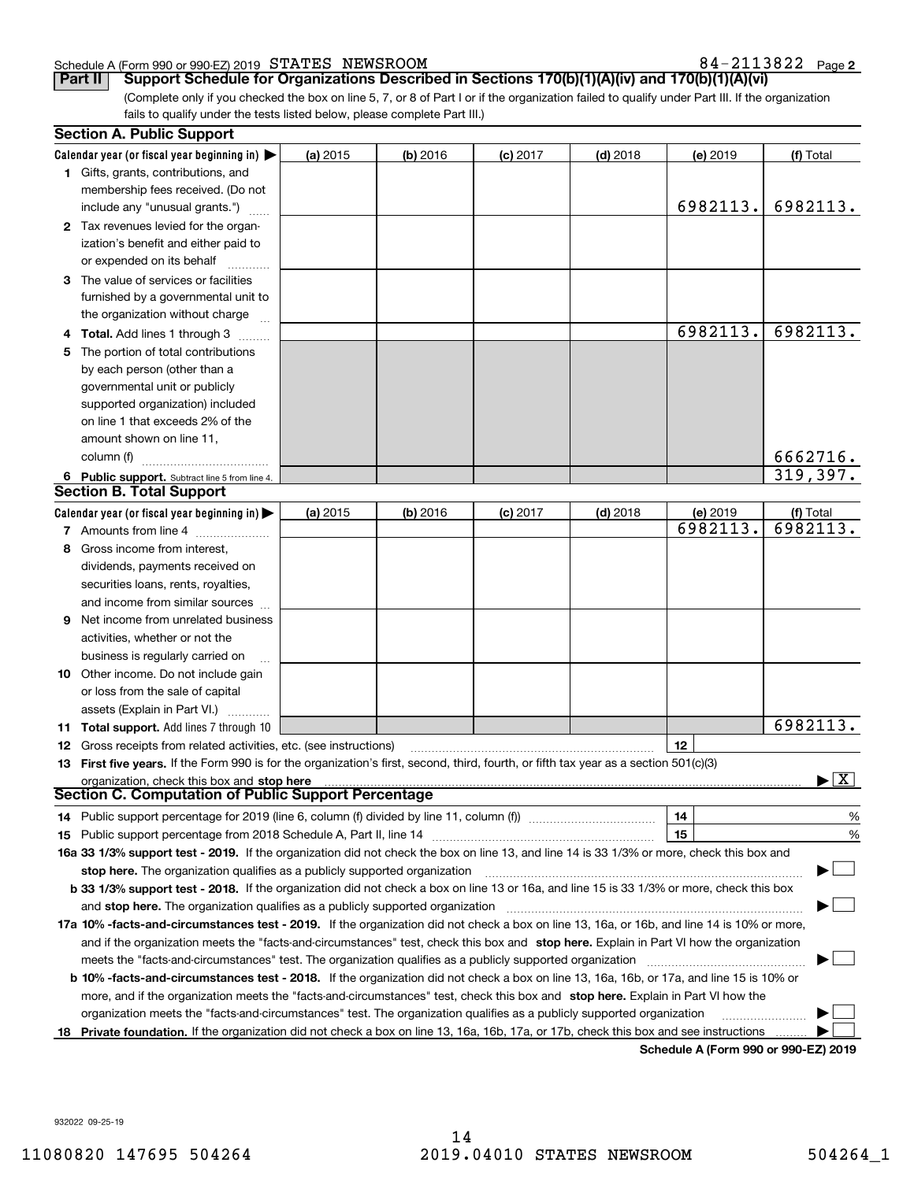#### Schedule A (Form 990 or 990-EZ) 2019 Page STATES NEWSROOM 84-2113822

**2**

(Complete only if you checked the box on line 5, 7, or 8 of Part I or if the organization failed to qualify under Part III. If the organization fails to qualify under the tests listed below, please complete Part III.) **Part II Support Schedule for Organizations Described in Sections 170(b)(1)(A)(iv) and 170(b)(1)(A)(vi)**

|    | <b>Section A. Public Support</b>                                                                                                               |            |            |            |            |                                              |                    |
|----|------------------------------------------------------------------------------------------------------------------------------------------------|------------|------------|------------|------------|----------------------------------------------|--------------------|
|    | Calendar year (or fiscal year beginning in) $\blacktriangleright$                                                                              | (a) 2015   | $(b)$ 2016 | $(c)$ 2017 | $(d)$ 2018 | (e) 2019                                     | (f) Total          |
|    | <b>1</b> Gifts, grants, contributions, and                                                                                                     |            |            |            |            |                                              |                    |
|    | membership fees received. (Do not                                                                                                              |            |            |            |            |                                              |                    |
|    | include any "unusual grants.")                                                                                                                 |            |            |            |            | 6982113.                                     | 6982113.           |
|    | 2 Tax revenues levied for the organ-                                                                                                           |            |            |            |            |                                              |                    |
|    | ization's benefit and either paid to                                                                                                           |            |            |            |            |                                              |                    |
|    | or expended on its behalf                                                                                                                      |            |            |            |            |                                              |                    |
|    | 3 The value of services or facilities                                                                                                          |            |            |            |            |                                              |                    |
|    | furnished by a governmental unit to                                                                                                            |            |            |            |            |                                              |                    |
|    | the organization without charge                                                                                                                |            |            |            |            |                                              |                    |
|    | 4 Total. Add lines 1 through 3                                                                                                                 |            |            |            |            | 6982113.                                     | 6982113.           |
|    | 5 The portion of total contributions                                                                                                           |            |            |            |            |                                              |                    |
|    | by each person (other than a                                                                                                                   |            |            |            |            |                                              |                    |
|    | governmental unit or publicly                                                                                                                  |            |            |            |            |                                              |                    |
|    | supported organization) included                                                                                                               |            |            |            |            |                                              |                    |
|    | on line 1 that exceeds 2% of the                                                                                                               |            |            |            |            |                                              |                    |
|    | amount shown on line 11,                                                                                                                       |            |            |            |            |                                              |                    |
|    | column (f)                                                                                                                                     |            |            |            |            |                                              | 6662716.           |
|    | 6 Public support. Subtract line 5 from line 4.                                                                                                 |            |            |            |            |                                              | 319,397.           |
|    | <b>Section B. Total Support</b>                                                                                                                |            |            |            |            |                                              |                    |
|    | Calendar year (or fiscal year beginning in)                                                                                                    | $(a)$ 2015 | $(b)$ 2016 | $(c)$ 2017 | $(d)$ 2018 | (e) 2019                                     | (f) Total          |
|    | 7 Amounts from line 4                                                                                                                          |            |            |            |            | 6982113.                                     | $\sqrt{6982113}$ . |
|    | 8 Gross income from interest,                                                                                                                  |            |            |            |            |                                              |                    |
|    | dividends, payments received on                                                                                                                |            |            |            |            |                                              |                    |
|    | securities loans, rents, royalties,                                                                                                            |            |            |            |            |                                              |                    |
|    | and income from similar sources                                                                                                                |            |            |            |            |                                              |                    |
|    | 9 Net income from unrelated business                                                                                                           |            |            |            |            |                                              |                    |
|    | activities, whether or not the                                                                                                                 |            |            |            |            |                                              |                    |
|    | business is regularly carried on                                                                                                               |            |            |            |            |                                              |                    |
|    | <b>10</b> Other income. Do not include gain                                                                                                    |            |            |            |            |                                              |                    |
|    | or loss from the sale of capital                                                                                                               |            |            |            |            |                                              |                    |
|    | assets (Explain in Part VI.)                                                                                                                   |            |            |            |            |                                              |                    |
|    | 11 Total support. Add lines 7 through 10                                                                                                       |            |            |            |            |                                              | 6982113.           |
|    | <b>12</b> Gross receipts from related activities, etc. (see instructions)                                                                      |            |            |            |            | 12                                           |                    |
|    | 13 First five years. If the Form 990 is for the organization's first, second, third, fourth, or fifth tax year as a section 501(c)(3)          |            |            |            |            |                                              |                    |
|    | organization, check this box and stop here                                                                                                     |            |            |            |            |                                              | $\boxed{\text{X}}$ |
|    | <b>Section C. Computation of Public Support Percentage</b>                                                                                     |            |            |            |            |                                              |                    |
|    | 14 Public support percentage for 2019 (line 6, column (f) divided by line 11, column (f) <i>manumanomeron</i>                                  |            |            |            |            | 14                                           | %                  |
|    |                                                                                                                                                |            |            |            |            | 15                                           | $\%$               |
|    | 16a 33 1/3% support test - 2019. If the organization did not check the box on line 13, and line 14 is 33 1/3% or more, check this box and      |            |            |            |            |                                              |                    |
|    | stop here. The organization qualifies as a publicly supported organization                                                                     |            |            |            |            |                                              |                    |
|    | b 33 1/3% support test - 2018. If the organization did not check a box on line 13 or 16a, and line 15 is 33 1/3% or more, check this box       |            |            |            |            |                                              |                    |
|    | and stop here. The organization qualifies as a publicly supported organization                                                                 |            |            |            |            |                                              |                    |
|    | 17a 10% -facts-and-circumstances test - 2019. If the organization did not check a box on line 13, 16a, or 16b, and line 14 is 10% or more,     |            |            |            |            |                                              |                    |
|    | and if the organization meets the "facts-and-circumstances" test, check this box and stop here. Explain in Part VI how the organization        |            |            |            |            |                                              |                    |
|    | meets the "facts-and-circumstances" test. The organization qualifies as a publicly supported organization                                      |            |            |            |            |                                              |                    |
|    | <b>b 10% -facts-and-circumstances test - 2018.</b> If the organization did not check a box on line 13, 16a, 16b, or 17a, and line 15 is 10% or |            |            |            |            |                                              |                    |
|    | more, and if the organization meets the "facts-and-circumstances" test, check this box and stop here. Explain in Part VI how the               |            |            |            |            |                                              |                    |
|    | organization meets the "facts-and-circumstances" test. The organization qualifies as a publicly supported organization                         |            |            |            |            |                                              |                    |
| 18 | Private foundation. If the organization did not check a box on line 13, 16a, 16b, 17a, or 17b, check this box and see instructions             |            |            |            |            |                                              |                    |
|    |                                                                                                                                                |            |            |            |            | <b>Cabadula A (Fause 000 av 000 EZ) 0040</b> |                    |

**Schedule A (Form 990 or 990-EZ) 2019**

932022 09-25-19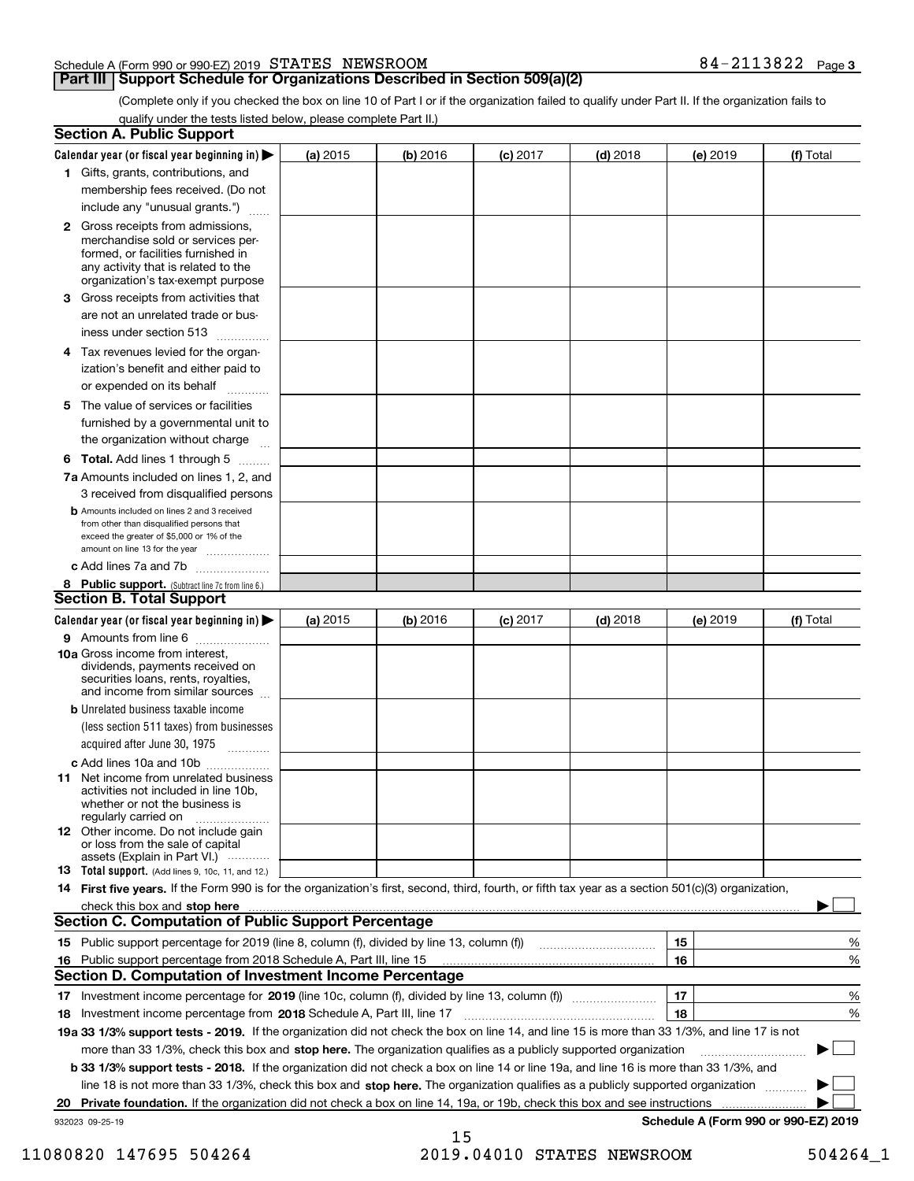#### Schedule A (Form 990 or 990-EZ) 2019 Page STATES NEWSROOM 84-2113822

### **Part III** | Support Schedule for Organizations Described in Section 509(a)(2)

**3**

(Complete only if you checked the box on line 10 of Part I or if the organization failed to qualify under Part II. If the organization fails to qualify under the tests listed below, please complete Part II.)

|    | <b>Section A. Public Support</b>                                                                                                                                                                                                                                                                  |          |          |            |            |                 |                                      |
|----|---------------------------------------------------------------------------------------------------------------------------------------------------------------------------------------------------------------------------------------------------------------------------------------------------|----------|----------|------------|------------|-----------------|--------------------------------------|
|    | Calendar year (or fiscal year beginning in) $\blacktriangleright$                                                                                                                                                                                                                                 | (a) 2015 | (b) 2016 | $(c)$ 2017 | $(d)$ 2018 | <b>(e)</b> 2019 | (f) Total                            |
|    | 1 Gifts, grants, contributions, and                                                                                                                                                                                                                                                               |          |          |            |            |                 |                                      |
|    | membership fees received. (Do not                                                                                                                                                                                                                                                                 |          |          |            |            |                 |                                      |
|    | include any "unusual grants.")                                                                                                                                                                                                                                                                    |          |          |            |            |                 |                                      |
|    | <b>2</b> Gross receipts from admissions,<br>merchandise sold or services per-<br>formed, or facilities furnished in<br>any activity that is related to the<br>organization's tax-exempt purpose                                                                                                   |          |          |            |            |                 |                                      |
|    | 3 Gross receipts from activities that<br>are not an unrelated trade or bus-<br>iness under section 513                                                                                                                                                                                            |          |          |            |            |                 |                                      |
|    | 4 Tax revenues levied for the organ-<br>ization's benefit and either paid to<br>or expended on its behalf                                                                                                                                                                                         |          |          |            |            |                 |                                      |
|    | 5 The value of services or facilities<br>furnished by a governmental unit to<br>the organization without charge                                                                                                                                                                                   |          |          |            |            |                 |                                      |
|    | <b>6 Total.</b> Add lines 1 through 5                                                                                                                                                                                                                                                             |          |          |            |            |                 |                                      |
|    | 7a Amounts included on lines 1, 2, and<br>3 received from disqualified persons                                                                                                                                                                                                                    |          |          |            |            |                 |                                      |
|    | <b>b</b> Amounts included on lines 2 and 3 received<br>from other than disqualified persons that<br>exceed the greater of \$5,000 or 1% of the<br>amount on line 13 for the year                                                                                                                  |          |          |            |            |                 |                                      |
|    | c Add lines 7a and 7b                                                                                                                                                                                                                                                                             |          |          |            |            |                 |                                      |
|    | 8 Public support. (Subtract line 7c from line 6.)<br><b>Section B. Total Support</b>                                                                                                                                                                                                              |          |          |            |            |                 |                                      |
|    | Calendar year (or fiscal year beginning in) $\blacktriangleright$                                                                                                                                                                                                                                 | (a) 2015 | (b) 2016 | $(c)$ 2017 | $(d)$ 2018 | (e) 2019        | (f) Total                            |
|    | 9 Amounts from line 6                                                                                                                                                                                                                                                                             |          |          |            |            |                 |                                      |
|    | <b>10a</b> Gross income from interest,<br>dividends, payments received on<br>securities loans, rents, royalties,<br>and income from similar sources                                                                                                                                               |          |          |            |            |                 |                                      |
|    | <b>b</b> Unrelated business taxable income<br>(less section 511 taxes) from businesses<br>acquired after June 30, 1975                                                                                                                                                                            |          |          |            |            |                 |                                      |
|    | c Add lines 10a and 10b                                                                                                                                                                                                                                                                           |          |          |            |            |                 |                                      |
|    | 11 Net income from unrelated business<br>activities not included in line 10b,<br>whether or not the business is<br>regularly carried on                                                                                                                                                           |          |          |            |            |                 |                                      |
|    | <b>12</b> Other income. Do not include gain<br>or loss from the sale of capital<br>assets (Explain in Part VI.)                                                                                                                                                                                   |          |          |            |            |                 |                                      |
|    | <b>13</b> Total support. (Add lines 9, 10c, 11, and 12.)                                                                                                                                                                                                                                          |          |          |            |            |                 |                                      |
|    | 14 First five years. If the Form 990 is for the organization's first, second, third, fourth, or fifth tax year as a section 501(c)(3) organization,                                                                                                                                               |          |          |            |            |                 |                                      |
|    | check this box and stop here <i>machine and content and a content and a content and a content and stop here</i> and stop here and a content and a content and a content and a content and a content and a content and a content and<br><b>Section C. Computation of Public Support Percentage</b> |          |          |            |            |                 |                                      |
|    | 15 Public support percentage for 2019 (line 8, column (f), divided by line 13, column (f))                                                                                                                                                                                                        |          |          |            |            | 15              | %                                    |
|    | 16 Public support percentage from 2018 Schedule A, Part III, line 15                                                                                                                                                                                                                              |          |          |            |            | 16              | %                                    |
|    | <b>Section D. Computation of Investment Income Percentage</b>                                                                                                                                                                                                                                     |          |          |            |            |                 |                                      |
|    | 17 Investment income percentage for 2019 (line 10c, column (f), divided by line 13, column (f))                                                                                                                                                                                                   |          |          |            |            | 17              | %                                    |
|    | 18 Investment income percentage from 2018 Schedule A, Part III, line 17                                                                                                                                                                                                                           |          |          |            |            | 18              | %                                    |
|    | 19a 33 1/3% support tests - 2019. If the organization did not check the box on line 14, and line 15 is more than 33 1/3%, and line 17 is not                                                                                                                                                      |          |          |            |            |                 |                                      |
|    | more than 33 1/3%, check this box and stop here. The organization qualifies as a publicly supported organization                                                                                                                                                                                  |          |          |            |            |                 | $\sim$                               |
|    | b 33 1/3% support tests - 2018. If the organization did not check a box on line 14 or line 19a, and line 16 is more than 33 1/3%, and                                                                                                                                                             |          |          |            |            |                 |                                      |
|    | line 18 is not more than 33 1/3%, check this box and stop here. The organization qualifies as a publicly supported organization                                                                                                                                                                   |          |          |            |            |                 |                                      |
| 20 | Private foundation. If the organization did not check a box on line 14, 19a, or 19b, check this box and see instructions                                                                                                                                                                          |          |          |            |            |                 |                                      |
|    | 932023 09-25-19                                                                                                                                                                                                                                                                                   |          |          |            |            |                 | Schedule A (Form 990 or 990-EZ) 2019 |
|    |                                                                                                                                                                                                                                                                                                   |          | 15       |            |            |                 |                                      |

11080820 147695 504264 2019.04010 STATES NEWSROOM 504264\_1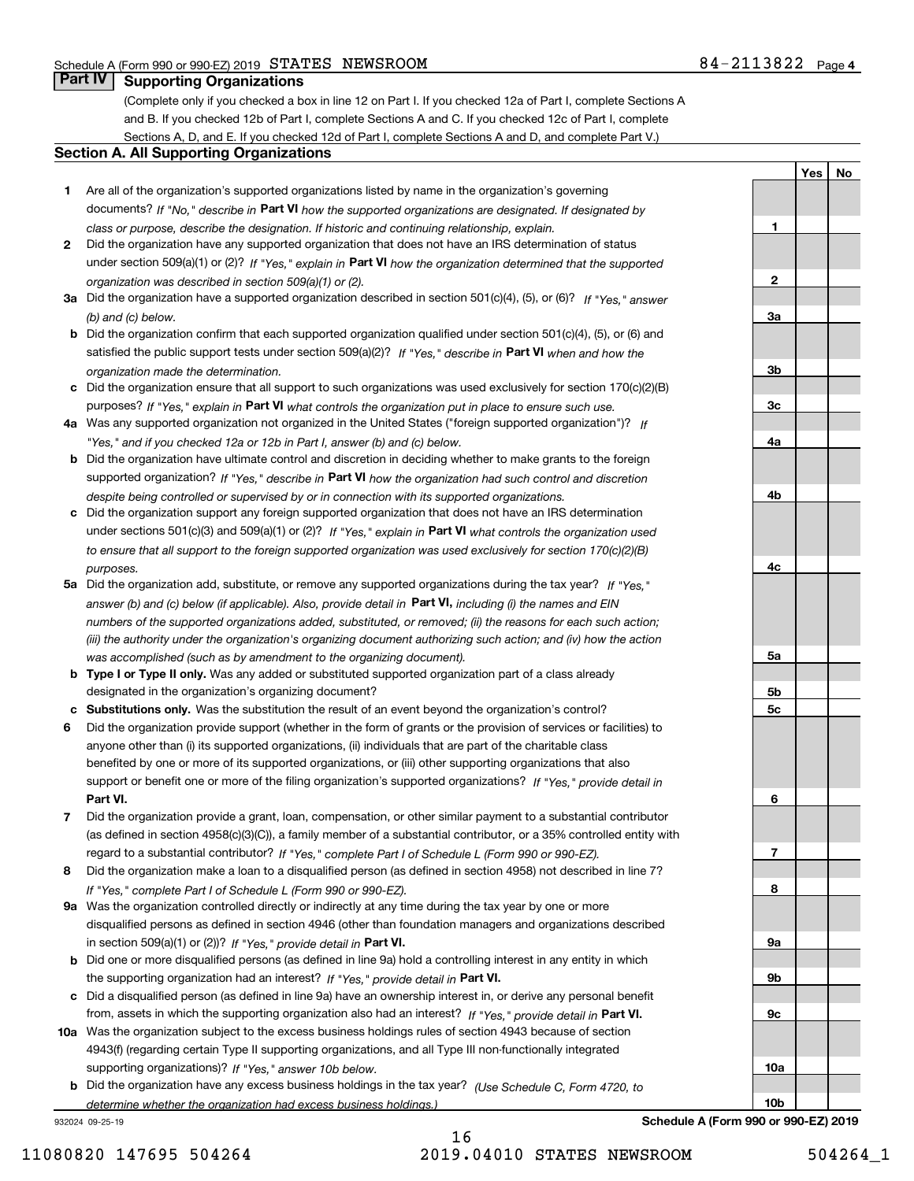**1**

**2**

**3a**

**YesNo**

## **Part IV Supporting Organizations**

(Complete only if you checked a box in line 12 on Part I. If you checked 12a of Part I, complete Sections A and B. If you checked 12b of Part I, complete Sections A and C. If you checked 12c of Part I, complete Sections A, D, and E. If you checked 12d of Part I, complete Sections A and D, and complete Part V.)

#### **Section A. All Supporting Organizations**

- **1** Are all of the organization's supported organizations listed by name in the organization's governing documents? If "No," describe in **Part VI** how the supported organizations are designated. If designated by *class or purpose, describe the designation. If historic and continuing relationship, explain.*
- **2** Did the organization have any supported organization that does not have an IRS determination of status under section 509(a)(1) or (2)? If "Yes," explain in Part VI how the organization determined that the supported *organization was described in section 509(a)(1) or (2).*
- **3a** Did the organization have a supported organization described in section 501(c)(4), (5), or (6)? If "Yes," answer *(b) and (c) below.*
- **b** Did the organization confirm that each supported organization qualified under section 501(c)(4), (5), or (6) and satisfied the public support tests under section 509(a)(2)? If "Yes," describe in **Part VI** when and how the *organization made the determination.*
- **c**Did the organization ensure that all support to such organizations was used exclusively for section 170(c)(2)(B) purposes? If "Yes," explain in **Part VI** what controls the organization put in place to ensure such use.
- **4a***If* Was any supported organization not organized in the United States ("foreign supported organization")? *"Yes," and if you checked 12a or 12b in Part I, answer (b) and (c) below.*
- **b** Did the organization have ultimate control and discretion in deciding whether to make grants to the foreign supported organization? If "Yes," describe in **Part VI** how the organization had such control and discretion *despite being controlled or supervised by or in connection with its supported organizations.*
- **c** Did the organization support any foreign supported organization that does not have an IRS determination under sections 501(c)(3) and 509(a)(1) or (2)? If "Yes," explain in **Part VI** what controls the organization used *to ensure that all support to the foreign supported organization was used exclusively for section 170(c)(2)(B) purposes.*
- **5a** Did the organization add, substitute, or remove any supported organizations during the tax year? If "Yes," answer (b) and (c) below (if applicable). Also, provide detail in **Part VI,** including (i) the names and EIN *numbers of the supported organizations added, substituted, or removed; (ii) the reasons for each such action; (iii) the authority under the organization's organizing document authorizing such action; and (iv) how the action was accomplished (such as by amendment to the organizing document).*
- **b** Type I or Type II only. Was any added or substituted supported organization part of a class already designated in the organization's organizing document?
- **cSubstitutions only.**  Was the substitution the result of an event beyond the organization's control?
- **6** Did the organization provide support (whether in the form of grants or the provision of services or facilities) to **Part VI.** *If "Yes," provide detail in* support or benefit one or more of the filing organization's supported organizations? anyone other than (i) its supported organizations, (ii) individuals that are part of the charitable class benefited by one or more of its supported organizations, or (iii) other supporting organizations that also
- **7**Did the organization provide a grant, loan, compensation, or other similar payment to a substantial contributor *If "Yes," complete Part I of Schedule L (Form 990 or 990-EZ).* regard to a substantial contributor? (as defined in section 4958(c)(3)(C)), a family member of a substantial contributor, or a 35% controlled entity with
- **8** Did the organization make a loan to a disqualified person (as defined in section 4958) not described in line 7? *If "Yes," complete Part I of Schedule L (Form 990 or 990-EZ).*
- **9a** Was the organization controlled directly or indirectly at any time during the tax year by one or more in section 509(a)(1) or (2))? If "Yes," *provide detail in* <code>Part VI.</code> disqualified persons as defined in section 4946 (other than foundation managers and organizations described
- **b** Did one or more disqualified persons (as defined in line 9a) hold a controlling interest in any entity in which the supporting organization had an interest? If "Yes," provide detail in P**art VI**.
- **c**Did a disqualified person (as defined in line 9a) have an ownership interest in, or derive any personal benefit from, assets in which the supporting organization also had an interest? If "Yes," provide detail in P**art VI.**
- **10a** Was the organization subject to the excess business holdings rules of section 4943 because of section supporting organizations)? If "Yes," answer 10b below. 4943(f) (regarding certain Type II supporting organizations, and all Type III non-functionally integrated
- **b** Did the organization have any excess business holdings in the tax year? (Use Schedule C, Form 4720, to *determine whether the organization had excess business holdings.)*

932024 09-25-19



**Schedule A (Form 990 or 990-EZ) 2019**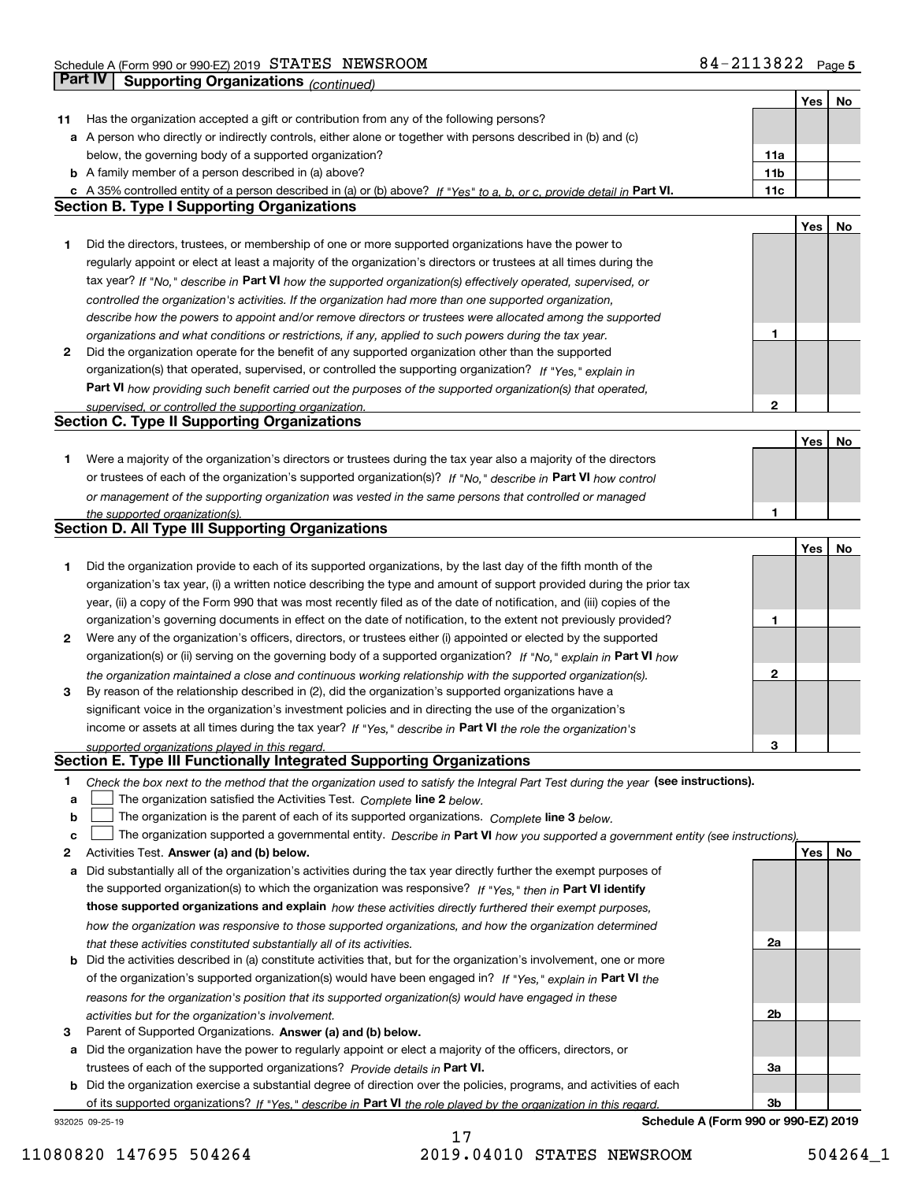|    |                                                                                                                                   |     | Yes | No |
|----|-----------------------------------------------------------------------------------------------------------------------------------|-----|-----|----|
| 11 | Has the organization accepted a gift or contribution from any of the following persons?                                           |     |     |    |
|    | a A person who directly or indirectly controls, either alone or together with persons described in (b) and (c)                    |     |     |    |
|    | below, the governing body of a supported organization?                                                                            | 11a |     |    |
|    | <b>b</b> A family member of a person described in (a) above?                                                                      | 11b |     |    |
|    | c A 35% controlled entity of a person described in (a) or (b) above? If "Yes" to a, b, or c, provide detail in Part VI.           | 11c |     |    |
|    | <b>Section B. Type I Supporting Organizations</b>                                                                                 |     |     |    |
|    |                                                                                                                                   |     | Yes | No |
| 1  | Did the directors, trustees, or membership of one or more supported organizations have the power to                               |     |     |    |
|    | regularly appoint or elect at least a majority of the organization's directors or trustees at all times during the                |     |     |    |
|    | tax year? If "No," describe in Part VI how the supported organization(s) effectively operated, supervised, or                     |     |     |    |
|    | controlled the organization's activities. If the organization had more than one supported organization,                           |     |     |    |
|    | describe how the powers to appoint and/or remove directors or trustees were allocated among the supported                         |     |     |    |
|    | organizations and what conditions or restrictions, if any, applied to such powers during the tax year.                            | 1   |     |    |
| 2  | Did the organization operate for the benefit of any supported organization other than the supported                               |     |     |    |
|    | organization(s) that operated, supervised, or controlled the supporting organization? If "Yes," explain in                        |     |     |    |
|    | Part VI how providing such benefit carried out the purposes of the supported organization(s) that operated,                       |     |     |    |
|    | supervised, or controlled the supporting organization.                                                                            | 2   |     |    |
|    | <b>Section C. Type II Supporting Organizations</b>                                                                                |     |     |    |
|    |                                                                                                                                   |     | Yes | No |
| 1  | Were a majority of the organization's directors or trustees during the tax year also a majority of the directors                  |     |     |    |
|    | or trustees of each of the organization's supported organization(s)? If "No," describe in Part VI how control                     |     |     |    |
|    | or management of the supporting organization was vested in the same persons that controlled or managed                            |     |     |    |
|    | the supported organization(s).                                                                                                    | 1   |     |    |
|    | <b>Section D. All Type III Supporting Organizations</b>                                                                           |     |     |    |
|    |                                                                                                                                   |     | Yes | No |
| 1  | Did the organization provide to each of its supported organizations, by the last day of the fifth month of the                    |     |     |    |
|    | organization's tax year, (i) a written notice describing the type and amount of support provided during the prior tax             |     |     |    |
|    | year, (ii) a copy of the Form 990 that was most recently filed as of the date of notification, and (iii) copies of the            |     |     |    |
|    | organization's governing documents in effect on the date of notification, to the extent not previously provided?                  | 1   |     |    |
| 2  | Were any of the organization's officers, directors, or trustees either (i) appointed or elected by the supported                  |     |     |    |
|    | organization(s) or (ii) serving on the governing body of a supported organization? If "No," explain in Part VI how                |     |     |    |
|    | the organization maintained a close and continuous working relationship with the supported organization(s).                       | 2   |     |    |
| 3  | By reason of the relationship described in (2), did the organization's supported organizations have a                             |     |     |    |
|    | significant voice in the organization's investment policies and in directing the use of the organization's                        |     |     |    |
|    | income or assets at all times during the tax year? If "Yes," describe in Part VI the role the organization's                      |     |     |    |
|    | supported organizations played in this regard.                                                                                    | 3   |     |    |
|    | Section E. Type III Functionally Integrated Supporting Organizations                                                              |     |     |    |
| 1  | Check the box next to the method that the organization used to satisfy the Integral Part Test during the year (see instructions). |     |     |    |
| a  | The organization satisfied the Activities Test. Complete line 2 below.                                                            |     |     |    |
| b  | The organization is the parent of each of its supported organizations. Complete line 3 below.                                     |     |     |    |
| C  | The organization supported a governmental entity. Describe in Part VI how you supported a government entity (see instructions).   |     |     |    |
| 2  | Activities Test. Answer (a) and (b) below.                                                                                        |     | Yes | No |
| а  | Did substantially all of the organization's activities during the tax year directly further the exempt purposes of                |     |     |    |
|    | the supported organization(s) to which the organization was responsive? If "Yes." then in Part VI identify                        |     |     |    |
|    | those supported organizations and explain how these activities directly furthered their exempt purposes,                          |     |     |    |
|    | how the organization was responsive to those supported organizations, and how the organization determined                         |     |     |    |
|    | that these activities constituted substantially all of its activities.                                                            | 2a  |     |    |
| b  | Did the activities described in (a) constitute activities that, but for the organization's involvement, one or more               |     |     |    |
|    | of the organization's supported organization(s) would have been engaged in? If "Yes," explain in Part VI the                      |     |     |    |
|    | reasons for the organization's position that its supported organization(s) would have engaged in these                            |     |     |    |
|    | activities but for the organization's involvement.                                                                                | 2b  |     |    |
| з  | Parent of Supported Organizations. Answer (a) and (b) below.                                                                      |     |     |    |
| а  | Did the organization have the power to regularly appoint or elect a majority of the officers, directors, or                       |     |     |    |
|    | trustees of each of the supported organizations? Provide details in Part VI.                                                      | За  |     |    |
| b  | Did the organization exercise a substantial degree of direction over the policies, programs, and activities of each               |     |     |    |
|    | of its supported organizations? If "Yes," describe in Part VI the role played by the organization in this regard.                 | 3b  |     |    |
|    | Schedule A (Form 990 or 990-EZ) 2019<br>932025 09-25-19                                                                           |     |     |    |

17 11080820 147695 504264 2019.04010 STATES NEWSROOM 504264\_1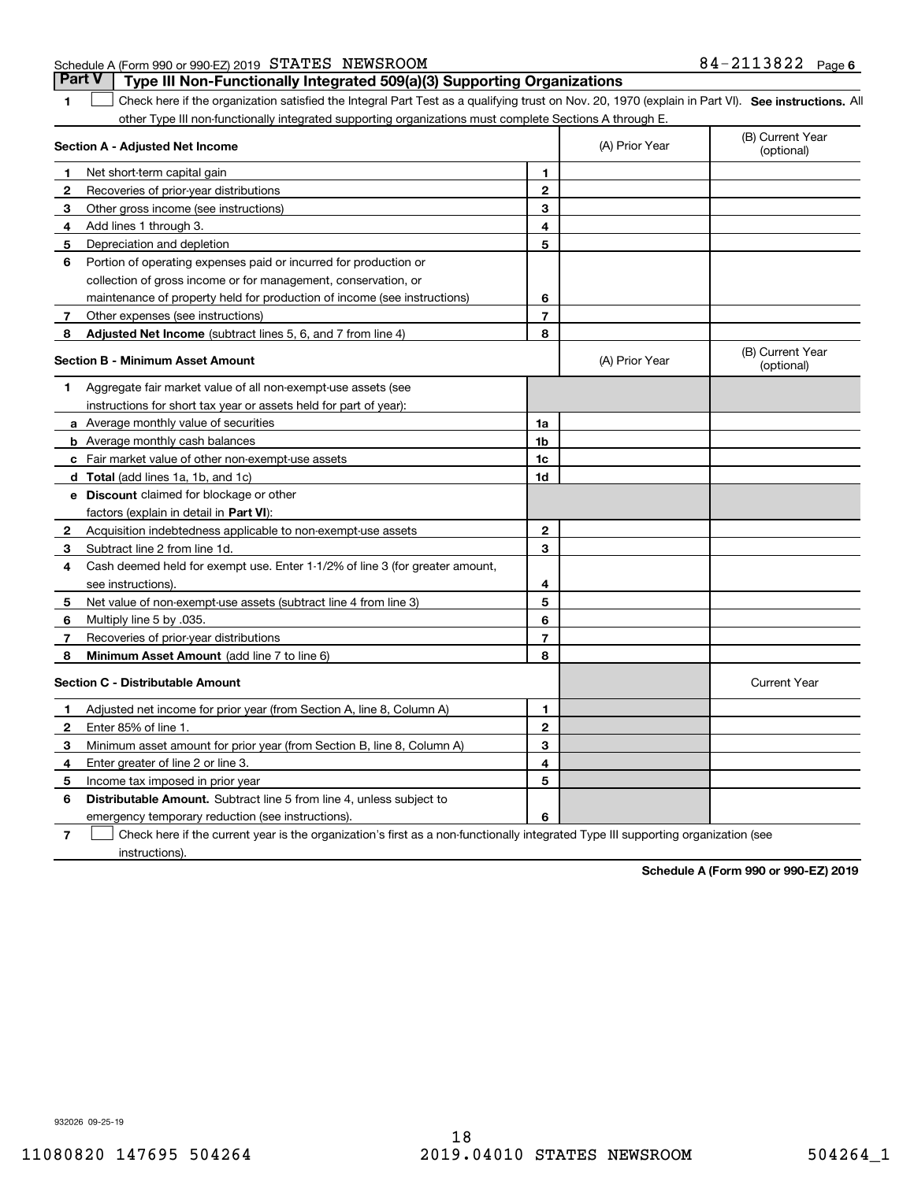932026 09-25-19

## Schedule A (Form 990 or 990-EZ) 2019 Page STATES NEWSROOM 84-2113822 **Part V Type III Non-Functionally Integrated 509(a)(3) Supporting Organizations**

**1**

1 Check here if the organization satisfied the Integral Part Test as a qualifying trust on Nov. 20, 1970 (explain in Part VI). See instructions. All other Type III non-functionally integrated supporting organizations must complete Sections A through E.

|              | mnogratoa oa<br>Section A - Adjusted Net Income                              |                          | (A) Prior Year | (B) Current Year<br>(optional) |
|--------------|------------------------------------------------------------------------------|--------------------------|----------------|--------------------------------|
| 1            | Net short-term capital gain                                                  | 1                        |                |                                |
| 2            | Recoveries of prior-year distributions                                       | $\mathbf{2}$             |                |                                |
| 3            | Other gross income (see instructions)                                        | 3                        |                |                                |
| 4            | Add lines 1 through 3.                                                       | 4                        |                |                                |
| 5            | Depreciation and depletion                                                   | 5                        |                |                                |
| 6            | Portion of operating expenses paid or incurred for production or             |                          |                |                                |
|              | collection of gross income or for management, conservation, or               |                          |                |                                |
|              | maintenance of property held for production of income (see instructions)     | 6                        |                |                                |
| $\mathbf{7}$ | Other expenses (see instructions)                                            | $\overline{\phantom{a}}$ |                |                                |
| 8            | <b>Adjusted Net Income</b> (subtract lines 5, 6, and 7 from line 4)          | 8                        |                |                                |
|              | <b>Section B - Minimum Asset Amount</b>                                      |                          | (A) Prior Year | (B) Current Year<br>(optional) |
| 1            | Aggregate fair market value of all non-exempt-use assets (see                |                          |                |                                |
|              | instructions for short tax year or assets held for part of year):            |                          |                |                                |
|              | a Average monthly value of securities                                        | 1a                       |                |                                |
|              | <b>b</b> Average monthly cash balances                                       | 1b                       |                |                                |
|              | c Fair market value of other non-exempt-use assets                           | 1c                       |                |                                |
|              | d Total (add lines 1a, 1b, and 1c)                                           | 1d                       |                |                                |
|              | e Discount claimed for blockage or other                                     |                          |                |                                |
|              | factors (explain in detail in Part VI):                                      |                          |                |                                |
| $\mathbf{2}$ | Acquisition indebtedness applicable to non-exempt-use assets                 | $\mathbf{2}$             |                |                                |
| 3            | Subtract line 2 from line 1d.                                                | 3                        |                |                                |
| 4            | Cash deemed held for exempt use. Enter 1-1/2% of line 3 (for greater amount, |                          |                |                                |
|              | see instructions).                                                           | 4                        |                |                                |
| 5            | Net value of non-exempt-use assets (subtract line 4 from line 3)             | 5                        |                |                                |
| 6            | Multiply line 5 by .035.                                                     | 6                        |                |                                |
| 7            | Recoveries of prior-year distributions                                       | $\overline{7}$           |                |                                |
| 8            | Minimum Asset Amount (add line 7 to line 6)                                  | 8                        |                |                                |
|              | <b>Section C - Distributable Amount</b>                                      |                          |                | <b>Current Year</b>            |
| 1            | Adjusted net income for prior year (from Section A, line 8, Column A)        | $\mathbf{1}$             |                |                                |
| $\mathbf{2}$ | Enter 85% of line 1.                                                         | $\overline{2}$           |                |                                |
| з            | Minimum asset amount for prior year (from Section B, line 8, Column A)       | 3                        |                |                                |
| 4            | Enter greater of line 2 or line 3.                                           | 4                        |                |                                |
| 5            | Income tax imposed in prior year                                             | 5                        |                |                                |
| 6            | <b>Distributable Amount.</b> Subtract line 5 from line 4, unless subject to  |                          |                |                                |
|              | emergency temporary reduction (see instructions).                            | 6                        |                |                                |
|              |                                                                              |                          |                |                                |

**7** Check here if the current year is the organization's first as a non-functionally integrated Type III supporting organization (see instructions).

**Schedule A (Form 990 or 990-EZ) 2019**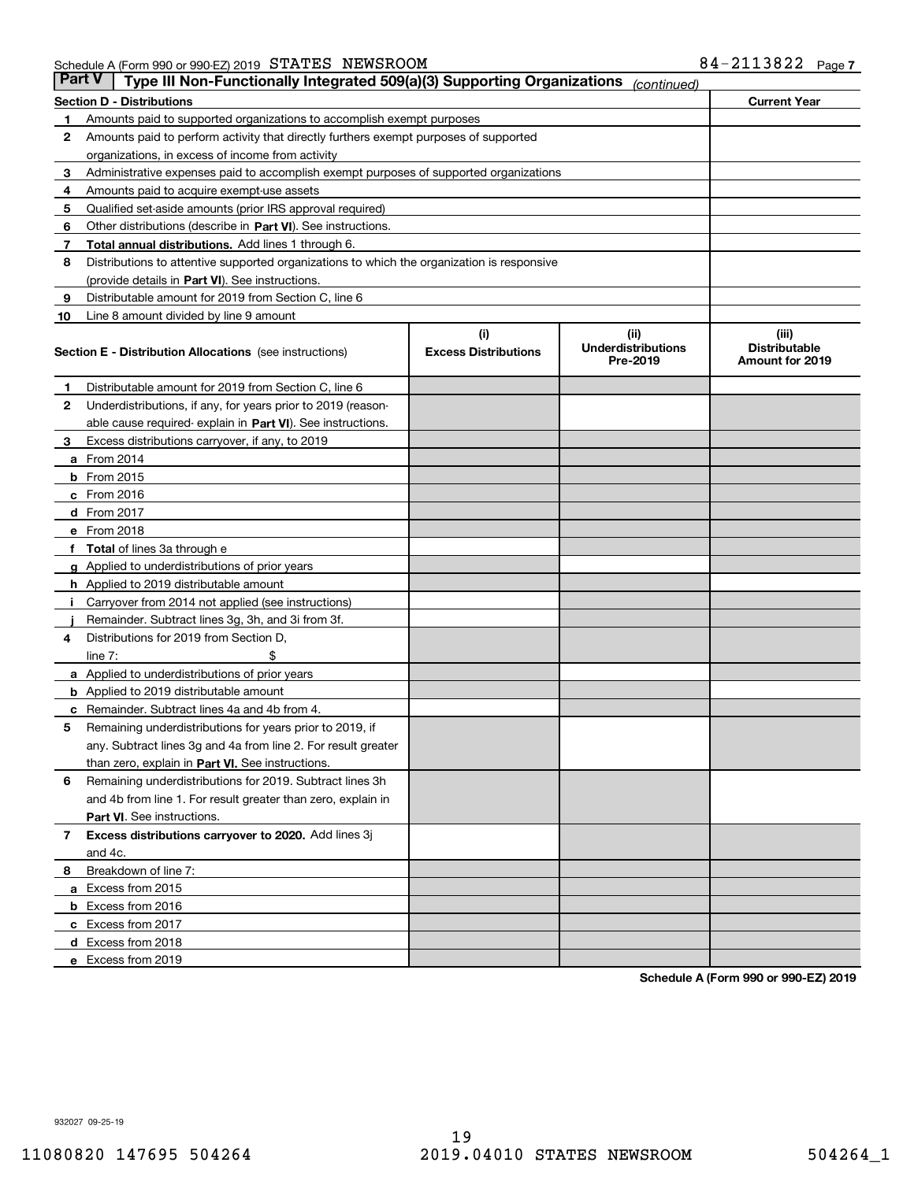| Part V | Type III Non-Functionally Integrated 509(a)(3) Supporting Organizations                    |                             | (continued)                           |                                         |
|--------|--------------------------------------------------------------------------------------------|-----------------------------|---------------------------------------|-----------------------------------------|
|        | <b>Section D - Distributions</b>                                                           |                             |                                       | <b>Current Year</b>                     |
| 1      | Amounts paid to supported organizations to accomplish exempt purposes                      |                             |                                       |                                         |
| 2      | Amounts paid to perform activity that directly furthers exempt purposes of supported       |                             |                                       |                                         |
|        | organizations, in excess of income from activity                                           |                             |                                       |                                         |
| з      | Administrative expenses paid to accomplish exempt purposes of supported organizations      |                             |                                       |                                         |
| 4      | Amounts paid to acquire exempt-use assets                                                  |                             |                                       |                                         |
| 5      | Qualified set-aside amounts (prior IRS approval required)                                  |                             |                                       |                                         |
| 6      | Other distributions (describe in Part VI). See instructions.                               |                             |                                       |                                         |
| 7      | <b>Total annual distributions.</b> Add lines 1 through 6.                                  |                             |                                       |                                         |
| 8      | Distributions to attentive supported organizations to which the organization is responsive |                             |                                       |                                         |
|        | (provide details in Part VI). See instructions.                                            |                             |                                       |                                         |
| 9      | Distributable amount for 2019 from Section C, line 6                                       |                             |                                       |                                         |
| 10     | Line 8 amount divided by line 9 amount                                                     |                             |                                       |                                         |
|        |                                                                                            | (i)                         | (iii)                                 | (iii)                                   |
|        | <b>Section E - Distribution Allocations</b> (see instructions)                             | <b>Excess Distributions</b> | <b>Underdistributions</b><br>Pre-2019 | <b>Distributable</b><br>Amount for 2019 |
| 1      | Distributable amount for 2019 from Section C, line 6                                       |                             |                                       |                                         |
| 2      | Underdistributions, if any, for years prior to 2019 (reason-                               |                             |                                       |                                         |
|        | able cause required- explain in <b>Part VI</b> ). See instructions.                        |                             |                                       |                                         |
| з      | Excess distributions carryover, if any, to 2019                                            |                             |                                       |                                         |
|        | <b>a</b> From 2014                                                                         |                             |                                       |                                         |
|        | <b>b</b> From 2015                                                                         |                             |                                       |                                         |
|        | $c$ From 2016                                                                              |                             |                                       |                                         |
|        | d From 2017                                                                                |                             |                                       |                                         |
|        | e From 2018                                                                                |                             |                                       |                                         |
|        | Total of lines 3a through e                                                                |                             |                                       |                                         |
|        | <b>g</b> Applied to underdistributions of prior years                                      |                             |                                       |                                         |
|        | <b>h</b> Applied to 2019 distributable amount                                              |                             |                                       |                                         |
|        | Carryover from 2014 not applied (see instructions)                                         |                             |                                       |                                         |
|        | Remainder. Subtract lines 3g, 3h, and 3i from 3f.                                          |                             |                                       |                                         |
| 4      | Distributions for 2019 from Section D,                                                     |                             |                                       |                                         |
|        | line $7:$                                                                                  |                             |                                       |                                         |
|        | <b>a</b> Applied to underdistributions of prior years                                      |                             |                                       |                                         |
|        | <b>b</b> Applied to 2019 distributable amount                                              |                             |                                       |                                         |
| с      | Remainder. Subtract lines 4a and 4b from 4.                                                |                             |                                       |                                         |
| 5      | Remaining underdistributions for years prior to 2019, if                                   |                             |                                       |                                         |
|        | any. Subtract lines 3g and 4a from line 2. For result greater                              |                             |                                       |                                         |
|        | than zero, explain in Part VI. See instructions.                                           |                             |                                       |                                         |
| 6      | Remaining underdistributions for 2019. Subtract lines 3h                                   |                             |                                       |                                         |
|        | and 4b from line 1. For result greater than zero, explain in                               |                             |                                       |                                         |
|        | Part VI. See instructions.                                                                 |                             |                                       |                                         |
| 7      | Excess distributions carryover to 2020. Add lines 3j                                       |                             |                                       |                                         |
|        | and 4c.                                                                                    |                             |                                       |                                         |
| 8      | Breakdown of line 7:                                                                       |                             |                                       |                                         |
|        | a Excess from 2015                                                                         |                             |                                       |                                         |
|        | <b>b</b> Excess from 2016                                                                  |                             |                                       |                                         |
|        | c Excess from 2017                                                                         |                             |                                       |                                         |
|        | d Excess from 2018                                                                         |                             |                                       |                                         |
|        | e Excess from 2019                                                                         |                             |                                       |                                         |
|        |                                                                                            |                             |                                       |                                         |

**Schedule A (Form 990 or 990-EZ) 2019**

932027 09-25-19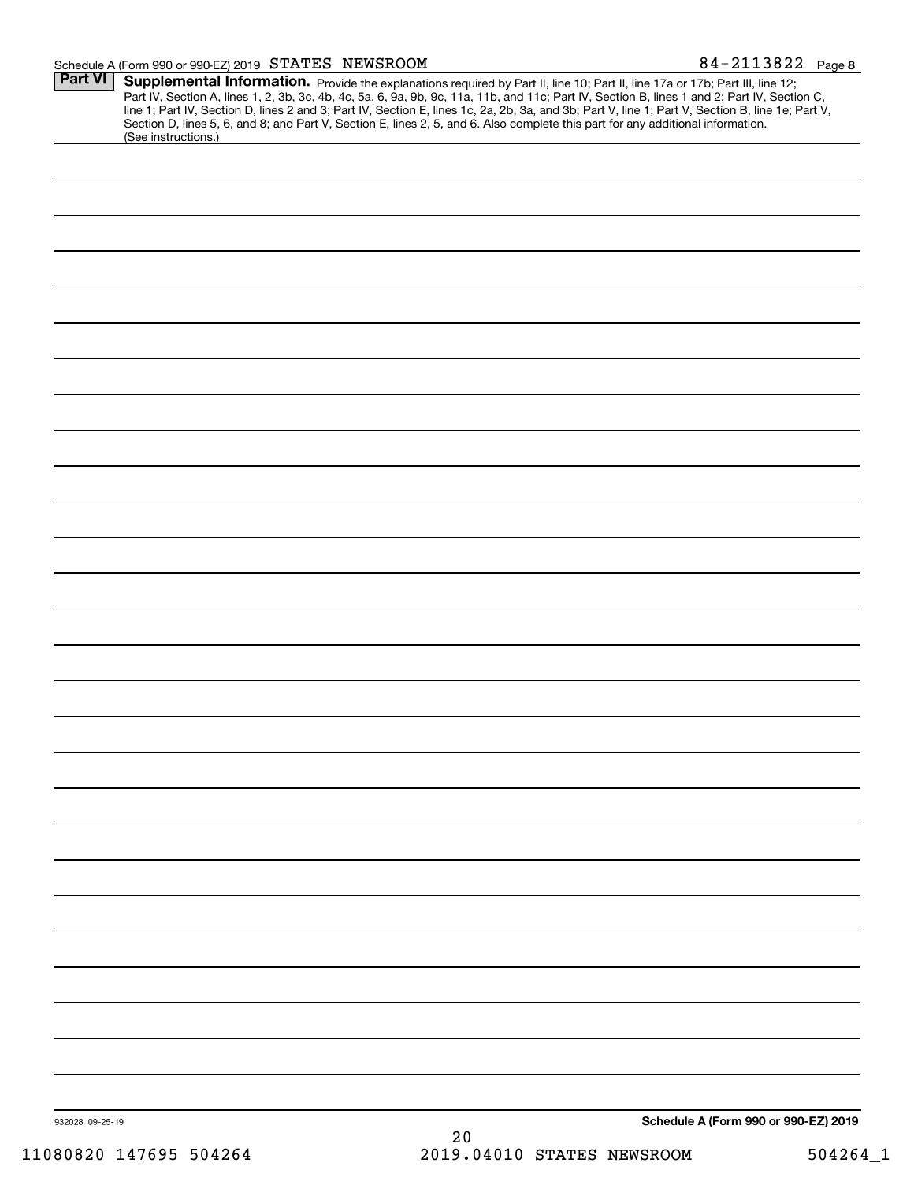#### Schedule A (Form 990 or 990-EZ) 2019 Page STATES NEWSROOM 84-2113822

| <b>Part VI</b>  | Supplemental Information. Provide the explanations required by Part II, line 10; Part II, line 17a or 17b; Part III, line 12;<br>Part IV, Section A, lines 1, 2, 3b, 3c, 4b, 4c, 5a, 6, 9a, 9b, 9c, 11a, 11b, and 11c; Part IV, Section B, lines 1 and 2; Part IV, Section C, line 1; Part IV, Section D, lines 2 and 3; Part IV, Section E, lines 1c, 2a, 2b,<br>Section D, lines 5, 6, and 8; and Part V, Section E, lines 2, 5, and 6. Also complete this part for any additional information.<br>(See instructions.) |                                      |
|-----------------|--------------------------------------------------------------------------------------------------------------------------------------------------------------------------------------------------------------------------------------------------------------------------------------------------------------------------------------------------------------------------------------------------------------------------------------------------------------------------------------------------------------------------|--------------------------------------|
|                 |                                                                                                                                                                                                                                                                                                                                                                                                                                                                                                                          |                                      |
|                 |                                                                                                                                                                                                                                                                                                                                                                                                                                                                                                                          |                                      |
|                 |                                                                                                                                                                                                                                                                                                                                                                                                                                                                                                                          |                                      |
|                 |                                                                                                                                                                                                                                                                                                                                                                                                                                                                                                                          |                                      |
|                 |                                                                                                                                                                                                                                                                                                                                                                                                                                                                                                                          |                                      |
|                 |                                                                                                                                                                                                                                                                                                                                                                                                                                                                                                                          |                                      |
|                 |                                                                                                                                                                                                                                                                                                                                                                                                                                                                                                                          |                                      |
|                 |                                                                                                                                                                                                                                                                                                                                                                                                                                                                                                                          |                                      |
|                 |                                                                                                                                                                                                                                                                                                                                                                                                                                                                                                                          |                                      |
|                 |                                                                                                                                                                                                                                                                                                                                                                                                                                                                                                                          |                                      |
|                 |                                                                                                                                                                                                                                                                                                                                                                                                                                                                                                                          |                                      |
|                 |                                                                                                                                                                                                                                                                                                                                                                                                                                                                                                                          |                                      |
|                 |                                                                                                                                                                                                                                                                                                                                                                                                                                                                                                                          |                                      |
|                 |                                                                                                                                                                                                                                                                                                                                                                                                                                                                                                                          |                                      |
|                 |                                                                                                                                                                                                                                                                                                                                                                                                                                                                                                                          |                                      |
|                 |                                                                                                                                                                                                                                                                                                                                                                                                                                                                                                                          |                                      |
|                 |                                                                                                                                                                                                                                                                                                                                                                                                                                                                                                                          |                                      |
|                 |                                                                                                                                                                                                                                                                                                                                                                                                                                                                                                                          |                                      |
|                 |                                                                                                                                                                                                                                                                                                                                                                                                                                                                                                                          |                                      |
|                 |                                                                                                                                                                                                                                                                                                                                                                                                                                                                                                                          |                                      |
|                 |                                                                                                                                                                                                                                                                                                                                                                                                                                                                                                                          |                                      |
|                 |                                                                                                                                                                                                                                                                                                                                                                                                                                                                                                                          |                                      |
|                 |                                                                                                                                                                                                                                                                                                                                                                                                                                                                                                                          |                                      |
|                 |                                                                                                                                                                                                                                                                                                                                                                                                                                                                                                                          |                                      |
|                 |                                                                                                                                                                                                                                                                                                                                                                                                                                                                                                                          |                                      |
|                 |                                                                                                                                                                                                                                                                                                                                                                                                                                                                                                                          |                                      |
|                 |                                                                                                                                                                                                                                                                                                                                                                                                                                                                                                                          |                                      |
|                 |                                                                                                                                                                                                                                                                                                                                                                                                                                                                                                                          |                                      |
|                 |                                                                                                                                                                                                                                                                                                                                                                                                                                                                                                                          |                                      |
|                 |                                                                                                                                                                                                                                                                                                                                                                                                                                                                                                                          |                                      |
|                 |                                                                                                                                                                                                                                                                                                                                                                                                                                                                                                                          |                                      |
|                 |                                                                                                                                                                                                                                                                                                                                                                                                                                                                                                                          |                                      |
|                 |                                                                                                                                                                                                                                                                                                                                                                                                                                                                                                                          |                                      |
|                 |                                                                                                                                                                                                                                                                                                                                                                                                                                                                                                                          |                                      |
|                 |                                                                                                                                                                                                                                                                                                                                                                                                                                                                                                                          |                                      |
|                 |                                                                                                                                                                                                                                                                                                                                                                                                                                                                                                                          |                                      |
| 932028 09-25-19 | 20                                                                                                                                                                                                                                                                                                                                                                                                                                                                                                                       | Schedule A (Form 990 or 990-EZ) 2019 |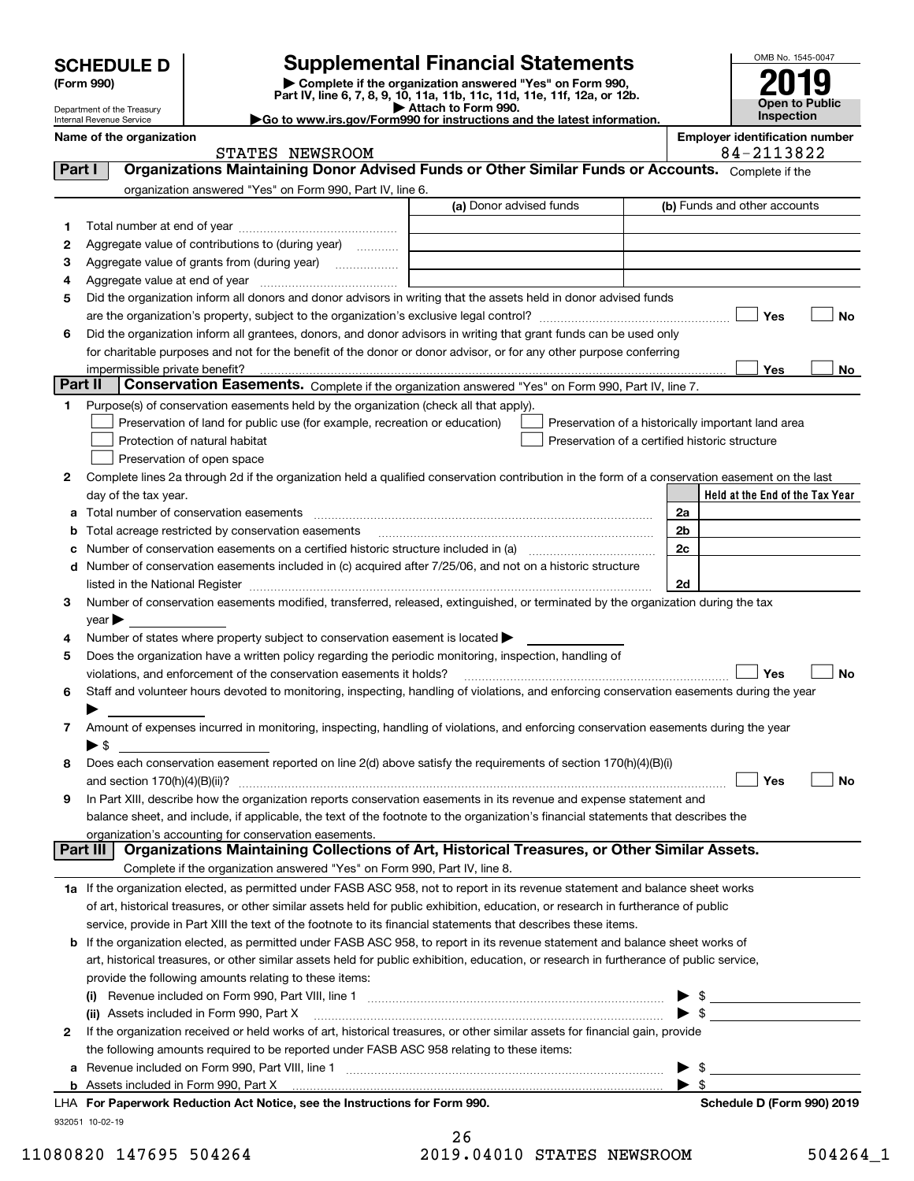Department of the Treasury

| (Form 990) |  |
|------------|--|
|------------|--|

# **Supplemental Financial Statements**

**(Form 990)** (**Form 990,**<br>Part IV, line 6, 7, 8, 9, 10, 11a, 11b, 11c, 11d, 11e, 11f, 12a, or 12b.<br>Department of the Treasury **and Exercise Connect Connect Connect Connect Connect Connect Connect Connect Connect** 

| Attach to Form 990.                                                    |
|------------------------------------------------------------------------|
| Go to www.irs.gov/Form990 for instructions and the latest information. |



Internal Revenue Service

| Name of the organization |         |          | <b>Emplover identification number</b> |
|--------------------------|---------|----------|---------------------------------------|
|                          | פחמחמים | NFW⊂ROOM | ຳດາງ<br>.<br>$81-$                    |

|         | STATES NEWSROOM                                                                                                                                |                         | 84-2113822                                         |
|---------|------------------------------------------------------------------------------------------------------------------------------------------------|-------------------------|----------------------------------------------------|
| Part I  | Organizations Maintaining Donor Advised Funds or Other Similar Funds or Accounts. Complete if the                                              |                         |                                                    |
|         | organization answered "Yes" on Form 990, Part IV, line 6.                                                                                      |                         |                                                    |
|         |                                                                                                                                                | (a) Donor advised funds | (b) Funds and other accounts                       |
| 1       |                                                                                                                                                |                         |                                                    |
| 2       | Aggregate value of contributions to (during year)                                                                                              |                         |                                                    |
| з       | Aggregate value of grants from (during year)                                                                                                   |                         |                                                    |
| 4       |                                                                                                                                                |                         |                                                    |
| 5       | Did the organization inform all donors and donor advisors in writing that the assets held in donor advised funds                               |                         |                                                    |
|         |                                                                                                                                                |                         | Yes<br>No                                          |
| 6       | Did the organization inform all grantees, donors, and donor advisors in writing that grant funds can be used only                              |                         |                                                    |
|         | for charitable purposes and not for the benefit of the donor or donor advisor, or for any other purpose conferring                             |                         |                                                    |
|         | impermissible private benefit?                                                                                                                 |                         | Yes<br>No                                          |
| Part II | Conservation Easements. Complete if the organization answered "Yes" on Form 990, Part IV, line 7.                                              |                         |                                                    |
| 1       | Purpose(s) of conservation easements held by the organization (check all that apply).                                                          |                         |                                                    |
|         | Preservation of land for public use (for example, recreation or education)                                                                     |                         | Preservation of a historically important land area |
|         | Protection of natural habitat                                                                                                                  |                         | Preservation of a certified historic structure     |
|         | Preservation of open space                                                                                                                     |                         |                                                    |
| 2       | Complete lines 2a through 2d if the organization held a qualified conservation contribution in the form of a conservation easement on the last |                         |                                                    |
|         | day of the tax year.                                                                                                                           |                         | Held at the End of the Tax Year                    |
|         |                                                                                                                                                |                         | 2a                                                 |
|         |                                                                                                                                                |                         | 2b                                                 |
|         | <b>b</b> Total acreage restricted by conservation easements                                                                                    |                         | 2c                                                 |
|         | d Number of conservation easements included in (c) acquired after 7/25/06, and not on a historic structure                                     |                         |                                                    |
|         |                                                                                                                                                |                         |                                                    |
|         |                                                                                                                                                |                         | 2d                                                 |
| 3       | Number of conservation easements modified, transferred, released, extinguished, or terminated by the organization during the tax               |                         |                                                    |
|         | $year \blacktriangleright$                                                                                                                     |                         |                                                    |
| 4       | Number of states where property subject to conservation easement is located >                                                                  |                         |                                                    |
| 5       | Does the organization have a written policy regarding the periodic monitoring, inspection, handling of                                         |                         | Yes                                                |
|         | violations, and enforcement of the conservation easements it holds?                                                                            |                         | <b>No</b>                                          |
| 6       | Staff and volunteer hours devoted to monitoring, inspecting, handling of violations, and enforcing conservation easements during the year      |                         |                                                    |
|         |                                                                                                                                                |                         |                                                    |
| 7       | Amount of expenses incurred in monitoring, inspecting, handling of violations, and enforcing conservation easements during the year<br>▶ \$    |                         |                                                    |
|         | Does each conservation easement reported on line 2(d) above satisfy the requirements of section 170(h)(4)(B)(i)                                |                         |                                                    |
| 8       |                                                                                                                                                |                         | Yes<br>No                                          |
| 9       | In Part XIII, describe how the organization reports conservation easements in its revenue and expense statement and                            |                         |                                                    |
|         | balance sheet, and include, if applicable, the text of the footnote to the organization's financial statements that describes the              |                         |                                                    |
|         | organization's accounting for conservation easements.                                                                                          |                         |                                                    |
|         | Organizations Maintaining Collections of Art, Historical Treasures, or Other Similar Assets.<br>Part III                                       |                         |                                                    |
|         | Complete if the organization answered "Yes" on Form 990, Part IV, line 8.                                                                      |                         |                                                    |
|         | 1a If the organization elected, as permitted under FASB ASC 958, not to report in its revenue statement and balance sheet works                |                         |                                                    |
|         | of art, historical treasures, or other similar assets held for public exhibition, education, or research in furtherance of public              |                         |                                                    |
|         | service, provide in Part XIII the text of the footnote to its financial statements that describes these items.                                 |                         |                                                    |
|         | b If the organization elected, as permitted under FASB ASC 958, to report in its revenue statement and balance sheet works of                  |                         |                                                    |
|         | art, historical treasures, or other similar assets held for public exhibition, education, or research in furtherance of public service,        |                         |                                                    |
|         | provide the following amounts relating to these items:                                                                                         |                         |                                                    |
|         |                                                                                                                                                |                         | \$                                                 |
|         | (ii) Assets included in Form 990, Part X                                                                                                       |                         |                                                    |
| 2       | If the organization received or held works of art, historical treasures, or other similar assets for financial gain, provide                   |                         | $\triangleright$ \$                                |
|         | the following amounts required to be reported under FASB ASC 958 relating to these items:                                                      |                         |                                                    |
|         |                                                                                                                                                |                         | -\$<br>▶                                           |
| a       | <b>b</b> Assets included in Form 990, Part X                                                                                                   |                         | $\blacktriangleright$ s                            |
|         | LHA For Paperwork Reduction Act Notice, see the Instructions for Form 990.                                                                     |                         | Schedule D (Form 990) 2019                         |
|         | 932051 10-02-19                                                                                                                                |                         |                                                    |

| 11080820 147695 504264 |  | 2019.04010 STATES NEWSROOM |  | 504264 1 |
|------------------------|--|----------------------------|--|----------|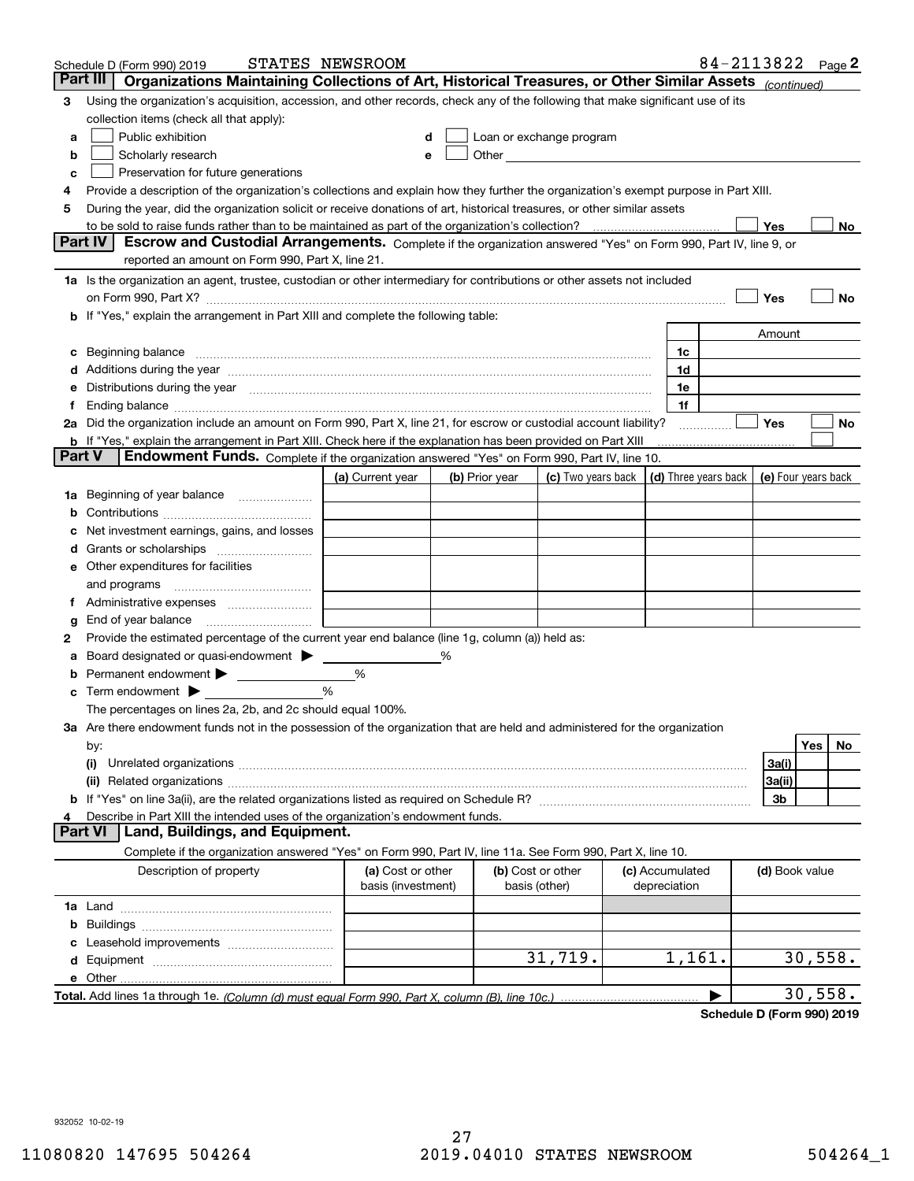|        | Schedule D (Form 990) 2019                                                                                                                                                                                                         | STATES NEWSROOM                         |   |                |                                                                                                                                                                                                                               |                                 | 84-2113822 Page 2 |                     |         |    |
|--------|------------------------------------------------------------------------------------------------------------------------------------------------------------------------------------------------------------------------------------|-----------------------------------------|---|----------------|-------------------------------------------------------------------------------------------------------------------------------------------------------------------------------------------------------------------------------|---------------------------------|-------------------|---------------------|---------|----|
|        | Part III<br>Organizations Maintaining Collections of Art, Historical Treasures, or Other Similar Assets (continued)                                                                                                                |                                         |   |                |                                                                                                                                                                                                                               |                                 |                   |                     |         |    |
| 3      | Using the organization's acquisition, accession, and other records, check any of the following that make significant use of its                                                                                                    |                                         |   |                |                                                                                                                                                                                                                               |                                 |                   |                     |         |    |
|        | collection items (check all that apply):                                                                                                                                                                                           |                                         |   |                |                                                                                                                                                                                                                               |                                 |                   |                     |         |    |
| a      | Public exhibition                                                                                                                                                                                                                  |                                         |   |                | Loan or exchange program                                                                                                                                                                                                      |                                 |                   |                     |         |    |
| b      | Scholarly research                                                                                                                                                                                                                 |                                         |   |                | Other and the contract of the contract of the contract of the contract of the contract of the contract of the contract of the contract of the contract of the contract of the contract of the contract of the contract of the |                                 |                   |                     |         |    |
| с      | Preservation for future generations                                                                                                                                                                                                |                                         |   |                |                                                                                                                                                                                                                               |                                 |                   |                     |         |    |
| 4      | Provide a description of the organization's collections and explain how they further the organization's exempt purpose in Part XIII.                                                                                               |                                         |   |                |                                                                                                                                                                                                                               |                                 |                   |                     |         |    |
| 5      | During the year, did the organization solicit or receive donations of art, historical treasures, or other similar assets                                                                                                           |                                         |   |                |                                                                                                                                                                                                                               |                                 |                   |                     |         |    |
|        | to be sold to raise funds rather than to be maintained as part of the organization's collection?                                                                                                                                   |                                         |   |                |                                                                                                                                                                                                                               |                                 |                   | Yes                 |         | No |
|        | Escrow and Custodial Arrangements. Complete if the organization answered "Yes" on Form 990, Part IV, line 9, or<br><b>Part IV</b>                                                                                                  |                                         |   |                |                                                                                                                                                                                                                               |                                 |                   |                     |         |    |
|        | reported an amount on Form 990, Part X, line 21.                                                                                                                                                                                   |                                         |   |                |                                                                                                                                                                                                                               |                                 |                   |                     |         |    |
|        | 1a Is the organization an agent, trustee, custodian or other intermediary for contributions or other assets not included                                                                                                           |                                         |   |                |                                                                                                                                                                                                                               |                                 |                   |                     |         |    |
|        | on Form 990, Part X? [11] matter contracts and contracts and contracts are contracted as a form 990, Part X?                                                                                                                       |                                         |   |                |                                                                                                                                                                                                                               |                                 |                   | Yes                 |         | No |
|        | <b>b</b> If "Yes," explain the arrangement in Part XIII and complete the following table:                                                                                                                                          |                                         |   |                |                                                                                                                                                                                                                               |                                 |                   |                     |         |    |
|        |                                                                                                                                                                                                                                    |                                         |   |                |                                                                                                                                                                                                                               |                                 |                   | Amount              |         |    |
| c      | Beginning balance <u>manual membershare communication</u> and the set of the set of the set of the set of the set of the set of the set of the set of the set of the set of the set of the set of the set of the set of the set of |                                         |   |                |                                                                                                                                                                                                                               | 1c                              |                   |                     |         |    |
|        |                                                                                                                                                                                                                                    |                                         |   |                |                                                                                                                                                                                                                               | 1d                              |                   |                     |         |    |
| е      | Distributions during the year manufactured and an account of the state of the state of the state of the state o                                                                                                                    |                                         |   |                |                                                                                                                                                                                                                               | 1e                              |                   |                     |         |    |
|        |                                                                                                                                                                                                                                    |                                         |   |                |                                                                                                                                                                                                                               | 1f                              |                   |                     |         |    |
|        | 2a Did the organization include an amount on Form 990, Part X, line 21, for escrow or custodial account liability?                                                                                                                 |                                         |   |                |                                                                                                                                                                                                                               |                                 |                   | Yes                 |         | No |
| Part V | <b>b</b> If "Yes," explain the arrangement in Part XIII. Check here if the explanation has been provided on Part XIII<br>Endowment Funds. Complete if the organization answered "Yes" on Form 990, Part IV, line 10.               |                                         |   |                |                                                                                                                                                                                                                               |                                 |                   |                     |         |    |
|        |                                                                                                                                                                                                                                    | (a) Current year                        |   | (b) Prior year | (c) Two years back $\vert$ (d) Three years back $\vert$                                                                                                                                                                       |                                 |                   | (e) Four years back |         |    |
|        |                                                                                                                                                                                                                                    |                                         |   |                |                                                                                                                                                                                                                               |                                 |                   |                     |         |    |
|        | 1a Beginning of year balance                                                                                                                                                                                                       |                                         |   |                |                                                                                                                                                                                                                               |                                 |                   |                     |         |    |
| b      | Net investment earnings, gains, and losses                                                                                                                                                                                         |                                         |   |                |                                                                                                                                                                                                                               |                                 |                   |                     |         |    |
|        |                                                                                                                                                                                                                                    |                                         |   |                |                                                                                                                                                                                                                               |                                 |                   |                     |         |    |
|        | e Other expenditures for facilities                                                                                                                                                                                                |                                         |   |                |                                                                                                                                                                                                                               |                                 |                   |                     |         |    |
|        | and programs                                                                                                                                                                                                                       |                                         |   |                |                                                                                                                                                                                                                               |                                 |                   |                     |         |    |
|        | f Administrative expenses                                                                                                                                                                                                          |                                         |   |                |                                                                                                                                                                                                                               |                                 |                   |                     |         |    |
| g      | End of year balance <i>manually contained</i>                                                                                                                                                                                      |                                         |   |                |                                                                                                                                                                                                                               |                                 |                   |                     |         |    |
| 2      | Provide the estimated percentage of the current year end balance (line 1g, column (a)) held as:                                                                                                                                    |                                         |   |                |                                                                                                                                                                                                                               |                                 |                   |                     |         |    |
| а      | Board designated or quasi-endowment                                                                                                                                                                                                |                                         | % |                |                                                                                                                                                                                                                               |                                 |                   |                     |         |    |
| b      | Permanent endowment >                                                                                                                                                                                                              | %                                       |   |                |                                                                                                                                                                                                                               |                                 |                   |                     |         |    |
| c      | Term endowment $\blacktriangleright$                                                                                                                                                                                               | %                                       |   |                |                                                                                                                                                                                                                               |                                 |                   |                     |         |    |
|        | The percentages on lines 2a, 2b, and 2c should equal 100%.                                                                                                                                                                         |                                         |   |                |                                                                                                                                                                                                                               |                                 |                   |                     |         |    |
|        | 3a Are there endowment funds not in the possession of the organization that are held and administered for the organization                                                                                                         |                                         |   |                |                                                                                                                                                                                                                               |                                 |                   |                     |         |    |
|        | by:                                                                                                                                                                                                                                |                                         |   |                |                                                                                                                                                                                                                               |                                 |                   |                     | Yes     | No |
|        | (i)                                                                                                                                                                                                                                |                                         |   |                |                                                                                                                                                                                                                               |                                 |                   | 3a(i)               |         |    |
|        |                                                                                                                                                                                                                                    |                                         |   |                |                                                                                                                                                                                                                               |                                 |                   | 3a(ii)              |         |    |
|        |                                                                                                                                                                                                                                    |                                         |   |                |                                                                                                                                                                                                                               |                                 |                   | 3b                  |         |    |
| 4      | Describe in Part XIII the intended uses of the organization's endowment funds.                                                                                                                                                     |                                         |   |                |                                                                                                                                                                                                                               |                                 |                   |                     |         |    |
|        | Land, Buildings, and Equipment.<br>Part VI                                                                                                                                                                                         |                                         |   |                |                                                                                                                                                                                                                               |                                 |                   |                     |         |    |
|        | Complete if the organization answered "Yes" on Form 990, Part IV, line 11a. See Form 990, Part X, line 10.                                                                                                                         |                                         |   |                |                                                                                                                                                                                                                               |                                 |                   |                     |         |    |
|        | Description of property                                                                                                                                                                                                            | (a) Cost or other<br>basis (investment) |   |                | (b) Cost or other<br>basis (other)                                                                                                                                                                                            | (c) Accumulated<br>depreciation |                   | (d) Book value      |         |    |
|        |                                                                                                                                                                                                                                    |                                         |   |                |                                                                                                                                                                                                                               |                                 |                   |                     |         |    |
| b      |                                                                                                                                                                                                                                    |                                         |   |                |                                                                                                                                                                                                                               |                                 |                   |                     |         |    |
|        |                                                                                                                                                                                                                                    |                                         |   |                |                                                                                                                                                                                                                               |                                 |                   |                     |         |    |
|        |                                                                                                                                                                                                                                    |                                         |   |                | 31,719.                                                                                                                                                                                                                       | 1,161.                          |                   |                     | 30,558. |    |
|        |                                                                                                                                                                                                                                    |                                         |   |                |                                                                                                                                                                                                                               |                                 |                   |                     |         |    |
|        |                                                                                                                                                                                                                                    |                                         |   |                |                                                                                                                                                                                                                               |                                 | ▶                 |                     | 30,558. |    |

**Schedule D (Form 990) 2019**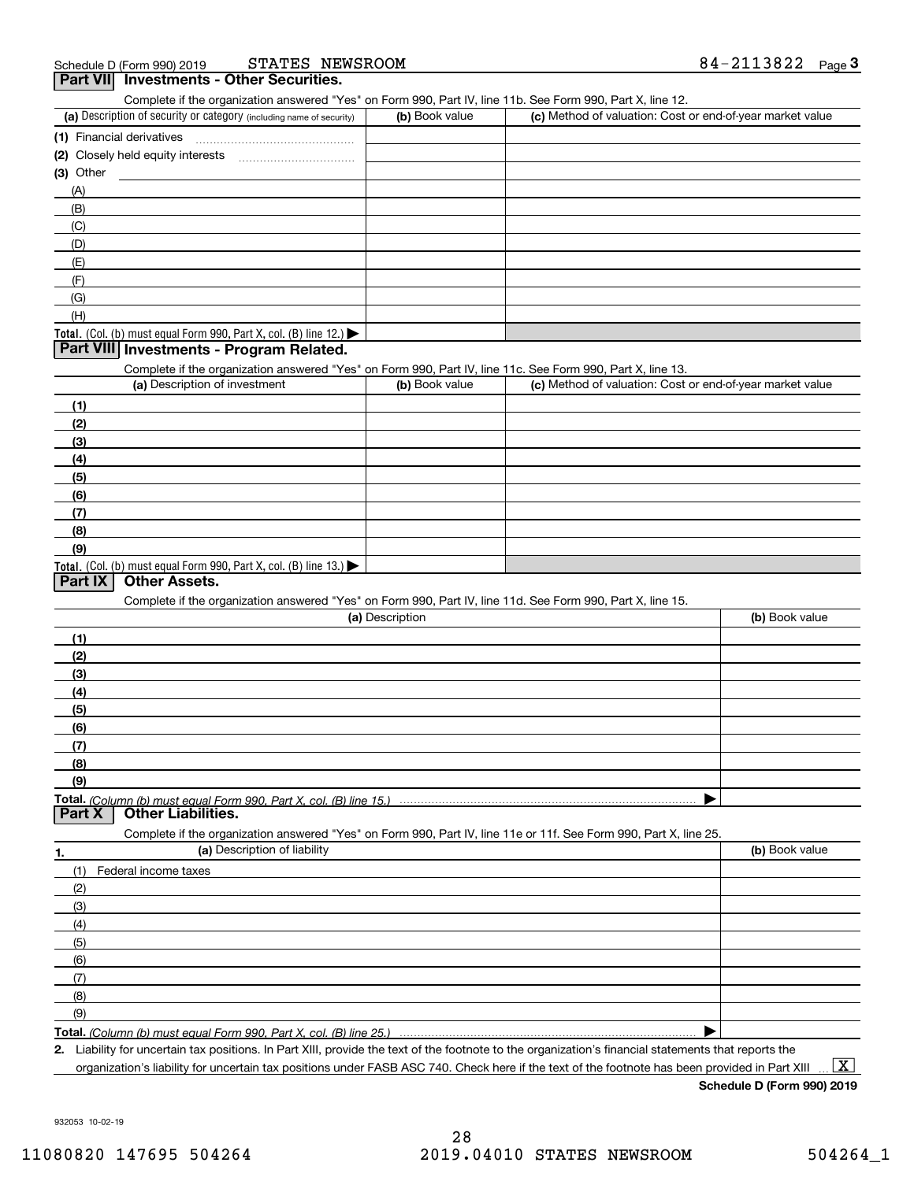| STATES NEWSROOM<br>Schedule D (Form 990) 2019                                                                     |                 |                                                           | 84-2113822<br><u>Page</u> 3 |
|-------------------------------------------------------------------------------------------------------------------|-----------------|-----------------------------------------------------------|-----------------------------|
| Part VII Investments - Other Securities.                                                                          |                 |                                                           |                             |
| Complete if the organization answered "Yes" on Form 990, Part IV, line 11b. See Form 990, Part X, line 12.        |                 |                                                           |                             |
| (a) Description of security or category (including name of security)                                              | (b) Book value  | (c) Method of valuation: Cost or end-of-year market value |                             |
|                                                                                                                   |                 |                                                           |                             |
| (2) Closely held equity interests [11] [12] Closely held equity interests                                         |                 |                                                           |                             |
| $(3)$ Other                                                                                                       |                 |                                                           |                             |
| (A)                                                                                                               |                 |                                                           |                             |
| (B)                                                                                                               |                 |                                                           |                             |
| (C)                                                                                                               |                 |                                                           |                             |
| (D)                                                                                                               |                 |                                                           |                             |
| (E)                                                                                                               |                 |                                                           |                             |
| (F)                                                                                                               |                 |                                                           |                             |
| (G)                                                                                                               |                 |                                                           |                             |
| (H)                                                                                                               |                 |                                                           |                             |
| Total. (Col. (b) must equal Form 990, Part X, col. (B) line 12.)                                                  |                 |                                                           |                             |
| Part VIII Investments - Program Related.                                                                          |                 |                                                           |                             |
| Complete if the organization answered "Yes" on Form 990, Part IV, line 11c. See Form 990, Part X, line 13.        |                 |                                                           |                             |
| (a) Description of investment                                                                                     | (b) Book value  | (c) Method of valuation: Cost or end-of-year market value |                             |
| (1)                                                                                                               |                 |                                                           |                             |
| (2)                                                                                                               |                 |                                                           |                             |
| (3)                                                                                                               |                 |                                                           |                             |
| (4)                                                                                                               |                 |                                                           |                             |
| (5)                                                                                                               |                 |                                                           |                             |
| (6)                                                                                                               |                 |                                                           |                             |
| (7)                                                                                                               |                 |                                                           |                             |
| (8)                                                                                                               |                 |                                                           |                             |
| (9)                                                                                                               |                 |                                                           |                             |
| Total. (Col. (b) must equal Form 990, Part X, col. (B) line $13.$ )                                               |                 |                                                           |                             |
| Part IX<br><b>Other Assets.</b>                                                                                   |                 |                                                           |                             |
| Complete if the organization answered "Yes" on Form 990, Part IV, line 11d. See Form 990, Part X, line 15.        |                 |                                                           |                             |
|                                                                                                                   | (a) Description |                                                           | (b) Book value              |
| (1)                                                                                                               |                 |                                                           |                             |
| (2)                                                                                                               |                 |                                                           |                             |
| (3)                                                                                                               |                 |                                                           |                             |
| (4)                                                                                                               |                 |                                                           |                             |
| (5)                                                                                                               |                 |                                                           |                             |
| (6)                                                                                                               |                 |                                                           |                             |
| (7)                                                                                                               |                 |                                                           |                             |
| (8)                                                                                                               |                 |                                                           |                             |
| (9)                                                                                                               |                 |                                                           |                             |
|                                                                                                                   |                 |                                                           |                             |
| <b>Other Liabilities.</b><br>Part X                                                                               |                 |                                                           |                             |
| Complete if the organization answered "Yes" on Form 990, Part IV, line 11e or 11f. See Form 990, Part X, line 25. |                 |                                                           |                             |
| (a) Description of liability                                                                                      |                 |                                                           | (b) Book value              |
| 1.<br>(1)<br>Federal income taxes                                                                                 |                 |                                                           |                             |
|                                                                                                                   |                 |                                                           |                             |
| (2)                                                                                                               |                 |                                                           |                             |
| (3)                                                                                                               |                 |                                                           |                             |
| (4)                                                                                                               |                 |                                                           |                             |
| (5)                                                                                                               |                 |                                                           |                             |
| (6)                                                                                                               |                 |                                                           |                             |
| (7)                                                                                                               |                 |                                                           |                             |
| (8)                                                                                                               |                 |                                                           |                             |
| (9)                                                                                                               |                 |                                                           |                             |
| Total. (Column (b) must equal Form 990. Part X, col. (B) line 25.)                                                |                 |                                                           |                             |
|                                                                                                                   |                 |                                                           |                             |

**2.** Liability for uncertain tax positions. In Part XIII, provide the text of the footnote to the organization's financial statements that reports the organization's liability for uncertain tax positions under FASB ASC 740. Check here if the text of the footnote has been provided in Part XIII

**Schedule D (Form 990) 2019**

932053 10-02-19

 $\boxed{\text{X}}$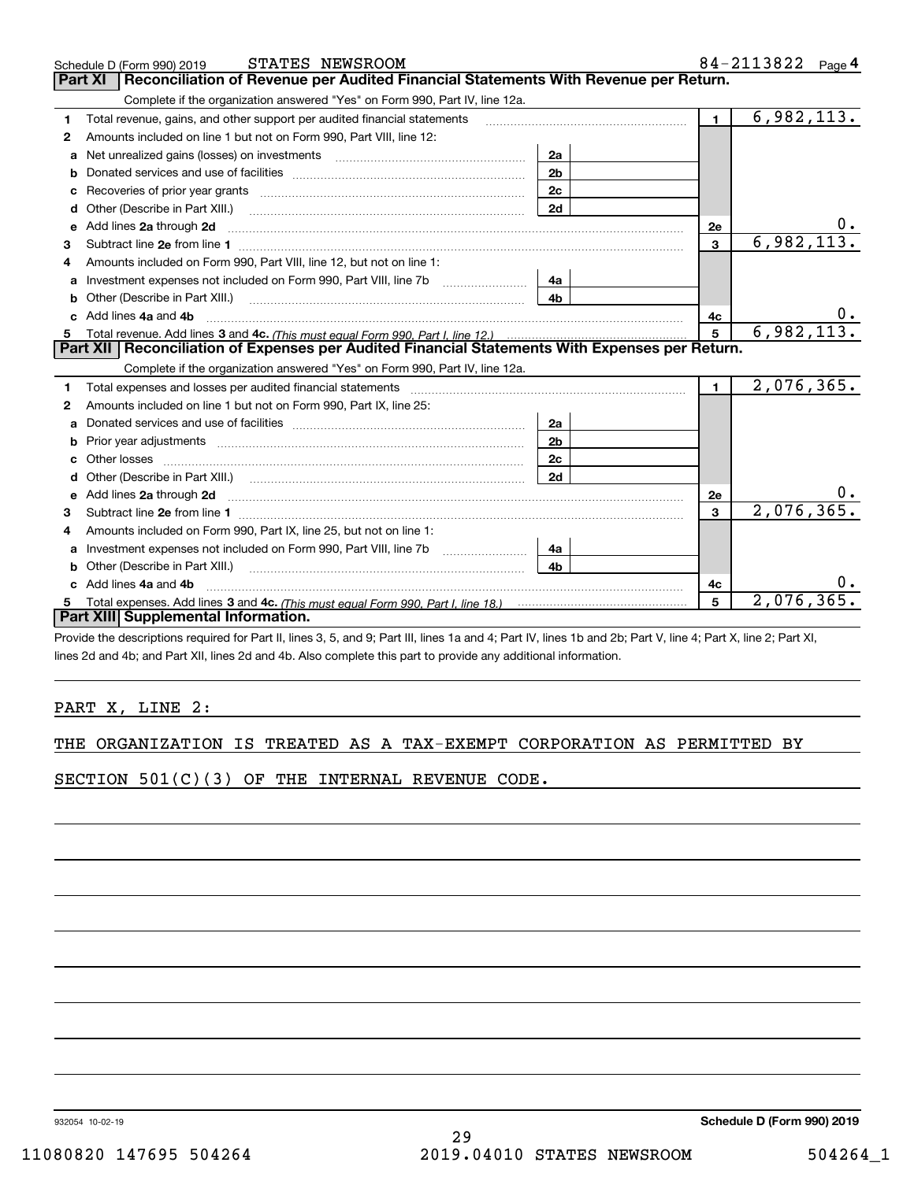| STATES NEWSROOM<br>Schedule D (Form 990) 2019                                                                                                                                                                                       |                |                | $84 - 2113822$ Page 4 |
|-------------------------------------------------------------------------------------------------------------------------------------------------------------------------------------------------------------------------------------|----------------|----------------|-----------------------|
| Reconciliation of Revenue per Audited Financial Statements With Revenue per Return.<br><b>Part XI</b>                                                                                                                               |                |                |                       |
| Complete if the organization answered "Yes" on Form 990, Part IV, line 12a.                                                                                                                                                         |                |                |                       |
| Total revenue, gains, and other support per audited financial statements<br>1                                                                                                                                                       |                | 1 <sup>1</sup> | 6,982,113.            |
| Amounts included on line 1 but not on Form 990, Part VIII, line 12:<br>2                                                                                                                                                            |                |                |                       |
| Net unrealized gains (losses) on investments [11] matter contracts and the unrealized gains (losses) on investments<br>a                                                                                                            | 2a             |                |                       |
| b                                                                                                                                                                                                                                   | 2 <sub>b</sub> |                |                       |
| Recoveries of prior year grants material content and prior year grants and content and all prior year grants and all prior and the Recoveries of prior year grants and all prior years and the Recoveries of Recovering and Re<br>с | 2c             |                |                       |
| Other (Describe in Part XIII.)<br>d                                                                                                                                                                                                 | 2d             |                |                       |
| Add lines 2a through 2d<br>е                                                                                                                                                                                                        |                | 2e             |                       |
| 3                                                                                                                                                                                                                                   |                | $\overline{3}$ | 6,982,113.            |
| Amounts included on Form 990, Part VIII, line 12, but not on line 1:                                                                                                                                                                |                |                |                       |
| Investment expenses not included on Form 990, Part VIII, line 7b [100] [100] [100] [100] [100] [100] [100] [10<br>a                                                                                                                 | 4a             |                |                       |
|                                                                                                                                                                                                                                     | 4 <sub>b</sub> |                |                       |
| Add lines 4a and 4b                                                                                                                                                                                                                 |                | 4c             | $0_{\cdot}$           |
|                                                                                                                                                                                                                                     |                | 5              | 6,982,113.            |
| Part XII   Reconciliation of Expenses per Audited Financial Statements With Expenses per Return.                                                                                                                                    |                |                |                       |
| Complete if the organization answered "Yes" on Form 990, Part IV, line 12a.                                                                                                                                                         |                |                |                       |
| Total expenses and losses per audited financial statements [11] [12] contain the control of the statements [11] [12] and the statements [12] and the statements [12] and the statements [12] and the statements [12] and the s<br>1 |                | $\blacksquare$ | 2,076,365.            |
| Amounts included on line 1 but not on Form 990, Part IX, line 25:<br>2                                                                                                                                                              |                |                |                       |
| a                                                                                                                                                                                                                                   | 2a             |                |                       |
| b                                                                                                                                                                                                                                   | 2 <sub>b</sub> |                |                       |
|                                                                                                                                                                                                                                     | 2c             |                |                       |
| d                                                                                                                                                                                                                                   | 2d             |                |                       |
| Add lines 2a through 2d <b>contained a contained a contained a contained a</b> contained a contact the state of the state of the state of the state of the state of the state of the state of the state of the state of the state o |                | 2e             |                       |
| Subtract line 2e from line 1 <b>Manual Community of the Community</b> Subtract line 2e from line 1<br>з                                                                                                                             |                | 3              | 2,076,365.            |
| Amounts included on Form 990, Part IX, line 25, but not on line 1:<br>4                                                                                                                                                             |                |                |                       |
| Investment expenses not included on Form 990, Part VIII, line 7b [100] [100] [100] [100] [100] [100] [100] [10<br>a                                                                                                                 | 4a             |                |                       |
| Other (Describe in Part XIII.)                                                                                                                                                                                                      | 4 <sub>b</sub> |                |                       |
| Add lines 4a and 4b                                                                                                                                                                                                                 |                | 4c             |                       |
| Total expenses. Add lines 3 and 4c. (This must equal Form 990. Part I. line 18.) <b>Construe that the State Information</b>                                                                                                         |                | 5              | 2,076,365             |
| Part XIII Supplemental Information.                                                                                                                                                                                                 |                |                |                       |

Provide the descriptions required for Part II, lines 3, 5, and 9; Part III, lines 1a and 4; Part IV, lines 1b and 2b; Part V, line 4; Part X, line 2; Part XI, lines 2d and 4b; and Part XII, lines 2d and 4b. Also complete this part to provide any additional information.

## PART X, LINE 2:

SECTION 501(C)(3) OF THE INTERNAL REVENUE CODE.

932054 10-02-19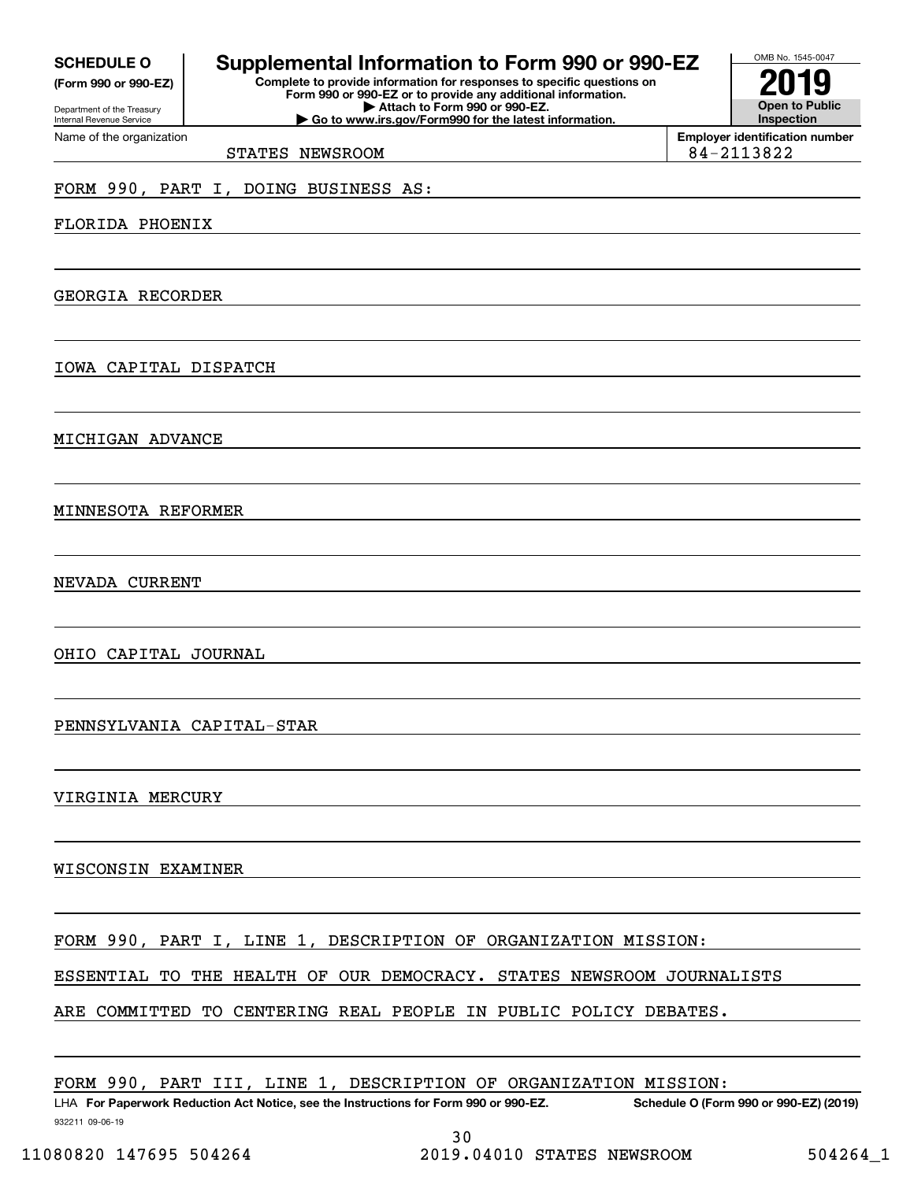|--|

**(Form 990 or 990-EZ)**

Department of the Treasury Internal Revenue Service Name of the organization

# **Supplemental Information to Form 990 or 990-EZ**

**Complete to provide information for responses to specific questions on Form 990 or 990-EZ or to provide any additional information. | Attach to Form 990 or 990-EZ. | Go to www.irs.gov/Form990 for the latest information.**



# STATES NEWSROOM 84-2113822

## FORM 990, PART I, DOING BUSINESS AS:

FLORIDA PHOENIX

GEORGIA RECORDER

IOWA CAPITAL DISPATCH

MICHIGAN ADVANCE

MINNESOTA REFORMER

NEVADA CURRENT

OHIO CAPITAL JOURNAL

PENNSYLVANIA CAPITAL-STAR

VIRGINIA MERCURY

WISCONSIN EXAMINER

FORM 990, PART I, LINE 1, DESCRIPTION OF ORGANIZATION MISSION:

ESSENTIAL TO THE HEALTH OF OUR DEMOCRACY. STATES NEWSROOM JOURNALISTS

ARE COMMITTED TO CENTERING REAL PEOPLE IN PUBLIC POLICY DEBATES.

FORM 990, PART III, LINE 1, DESCRIPTION OF ORGANIZATION MISSION:

932211 09-06-19 LHA For Paperwork Reduction Act Notice, see the Instructions for Form 990 or 990-EZ. Schedule O (Form 990 or 990-EZ) (2019) 30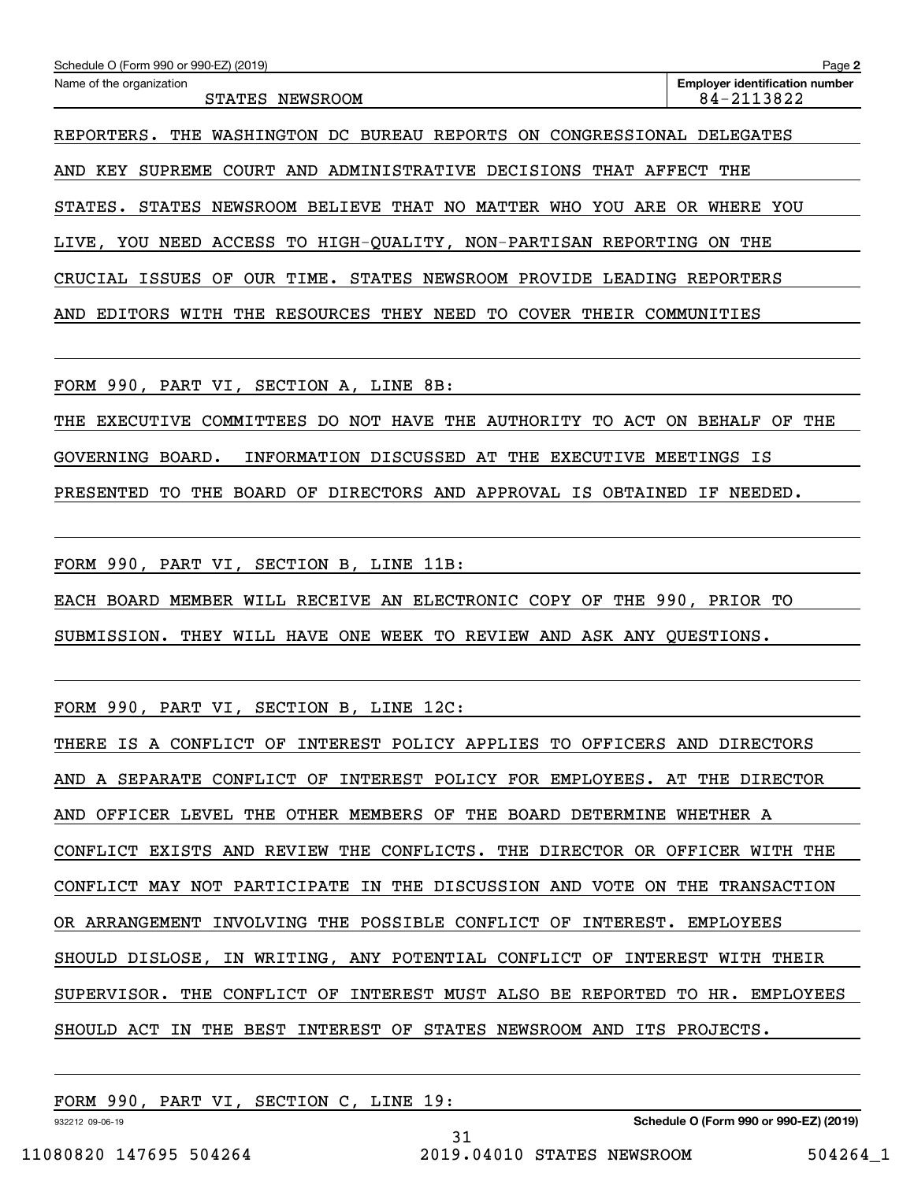| Schedule O (Form 990 or 990-EZ) (2019)                                                 | Page 2                                              |
|----------------------------------------------------------------------------------------|-----------------------------------------------------|
| Name of the organization<br>STATES<br>NEWSROOM                                         | <b>Employer identification number</b><br>84-2113822 |
| WASHINGTON DC BUREAU REPORTS ON<br>CONGRESSIONAL<br>REPORTERS.<br>THE                  | DELEGATES                                           |
| COURT AND ADMINISTRATIVE DECISIONS<br>THAT AFFECT<br>KEY<br>SUPREME<br>AND             | THE                                                 |
| BELIEVE THAT NO MATTER<br>WHO<br>YOU ARE<br>NEWSROOM<br>STATES.<br>STATES              | WHERE YOU<br>OR.                                    |
| ACCESS TO HIGH-OUALITY, NON-PARTISAN REPORTING<br>LIVE,<br>NEED<br>YOU                 | THE<br>ON.                                          |
| OUR TIME.<br>STATES NEWSROOM PROVIDE<br>ISSUES<br>LEADING<br>OF<br>CRUCIAL             | REPORTERS                                           |
| RESOURCES THEY<br><b>COVER</b><br>THE<br>NEED<br>TО<br>THEIR<br>AND<br>EDITORS<br>WITH | COMMUNITIES                                         |

FORM 990, PART VI, SECTION A, LINE 8B:

THE EXECUTIVE COMMITTEES DO NOT HAVE THE AUTHORITY TO ACT ON BEHALF OF THE GOVERNING BOARD. INFORMATION DISCUSSED AT THE EXECUTIVE MEETINGS IS PRESENTED TO THE BOARD OF DIRECTORS AND APPROVAL IS OBTAINED IF NEEDED.

FORM 990, PART VI, SECTION B, LINE 11B:

EACH BOARD MEMBER WILL RECEIVE AN ELECTRONIC COPY OF THE 990, PRIOR TO

SUBMISSION. THEY WILL HAVE ONE WEEK TO REVIEW AND ASK ANY QUESTIONS.

FORM 990, PART VI, SECTION B, LINE 12C:

THERE IS A CONFLICT OF INTEREST POLICY APPLIES TO OFFICERS AND DIRECTORS AND A SEPARATE CONFLICT OF INTEREST POLICY FOR EMPLOYEES. AT THE DIRECTOR AND OFFICER LEVEL THE OTHER MEMBERS OF THE BOARD DETERMINE WHETHER A CONFLICT EXISTS AND REVIEW THE CONFLICTS. THE DIRECTOR OR OFFICER WITH THE CONFLICT MAY NOT PARTICIPATE IN THE DISCUSSION AND VOTE ON THE TRANSACTION OR ARRANGEMENT INVOLVING THE POSSIBLE CONFLICT OF INTEREST. EMPLOYEES SHOULD DISLOSE, IN WRITING, ANY POTENTIAL CONFLICT OF INTEREST WITH THEIR SUPERVISOR. THE CONFLICT OF INTEREST MUST ALSO BE REPORTED TO HR. EMPLOYEES SHOULD ACT IN THE BEST INTEREST OF STATES NEWSROOM AND ITS PROJECTS.

31

FORM 990, PART VI, SECTION C, LINE 19:

932212 09-06-19

**Schedule O (Form 990 or 990-EZ) (2019)**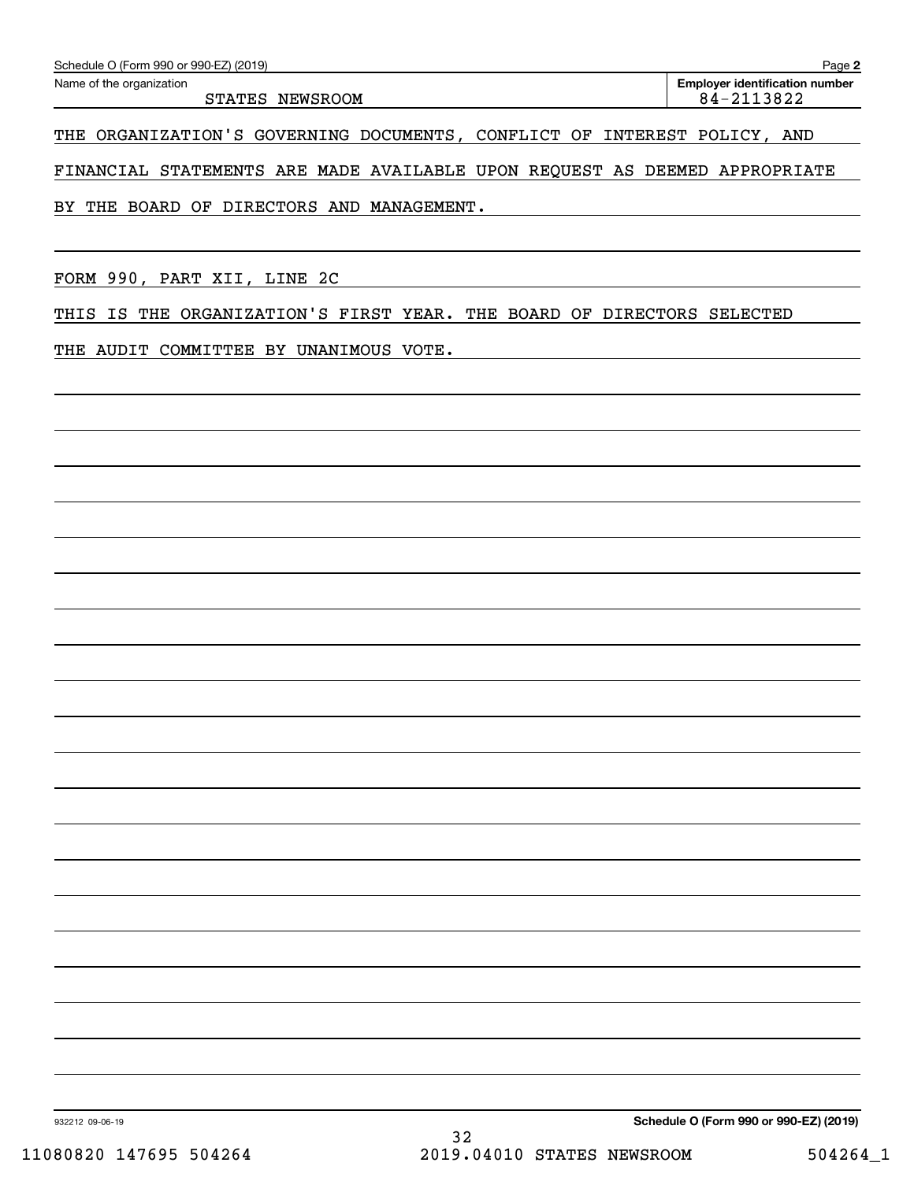| Schedule O (Form 990 or 990-EZ) (2019) | Page 2                                |
|----------------------------------------|---------------------------------------|
| Name of the organization               | <b>Employer identification number</b> |
| STATES<br>NEWSROOM                     | 84-2113822                            |

THE ORGANIZATION'S GOVERNING DOCUMENTS, CONFLICT OF INTEREST POLICY, AND

FINANCIAL STATEMENTS ARE MADE AVAILABLE UPON REQUEST AS DEEMED APPROPRIATE

BY THE BOARD OF DIRECTORS AND MANAGEMENT.

FORM 990, PART XII, LINE 2C

THIS IS THE ORGANIZATION'S FIRST YEAR. THE BOARD OF DIRECTORS SELECTED

THE AUDIT COMMITTEE BY UNANIMOUS VOTE.

**Schedule O (Form 990 or 990-EZ) (2019)**